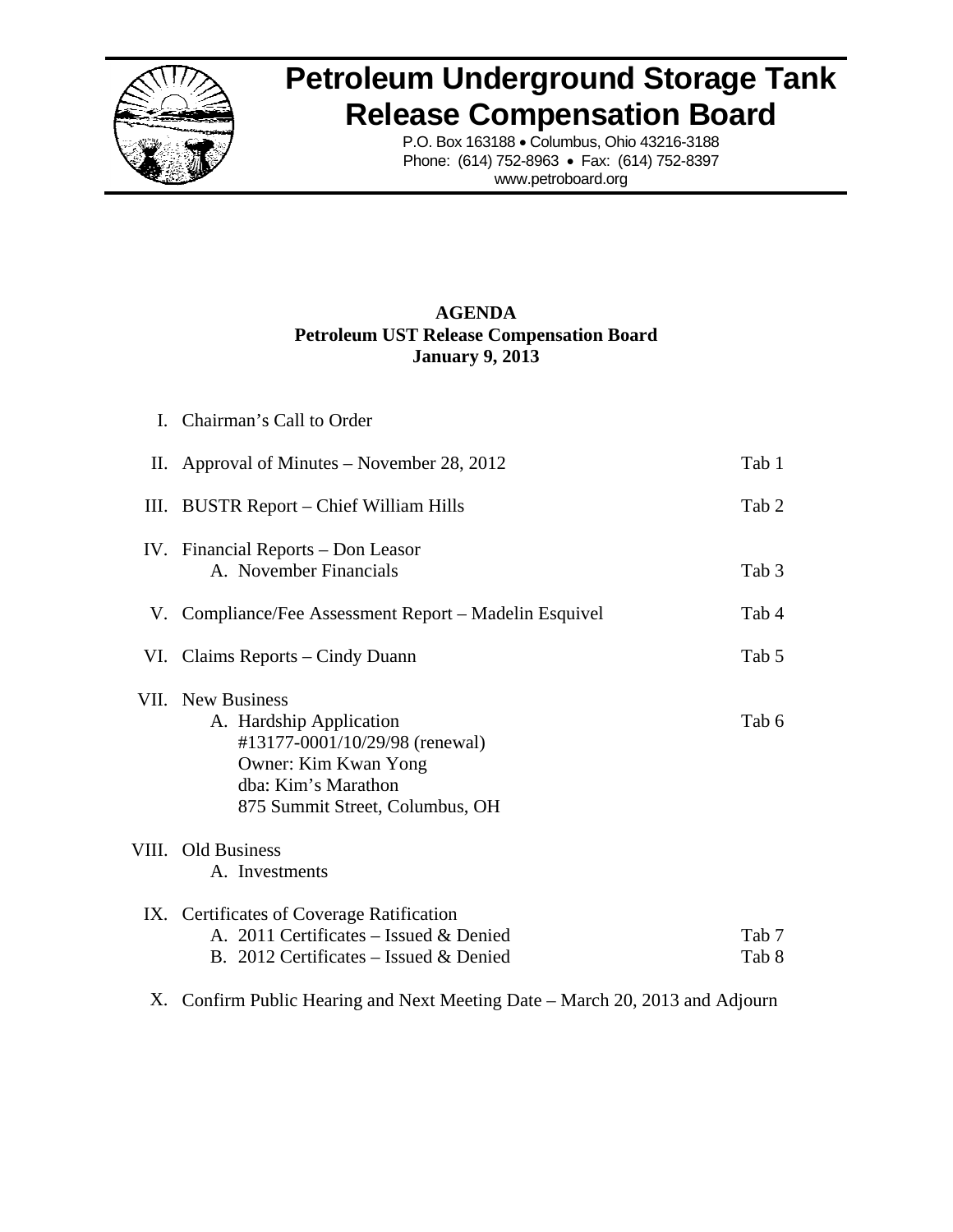

# **Petroleum Underground Storage Tank<br>
Release Compensation Board<br>
P.O. Box 163188 • Columbus, Ohio 43216-3188<br>
Phone: (614) 752-8963 • Fax: (614) 752-8397 Release Compensation Board**

P.O. Box 163188 • Columbus, Ohio 43216-3188 Phone: (614) 752-8963 • Fax: (614) 752-8397 www.petroboard.org

# **Petroleum UST Release Compensation Board A AGENDA Janu uary 9, 2013 3**

|      | I. Chairman's Call to Order                                                                                                                                             |                |
|------|-------------------------------------------------------------------------------------------------------------------------------------------------------------------------|----------------|
|      | II. Approval of Minutes – November 28, 2012                                                                                                                             | Tab 1          |
| III. | <b>BUSTR Report – Chief William Hills</b>                                                                                                                               | Tab 2          |
|      | IV. Financial Reports – Don Leasor<br>A. November Financials                                                                                                            | Tab 3          |
|      | V. Compliance/Fee Assessment Report – Madelin Esquivel                                                                                                                  | Tab 4          |
|      | VI. Claims Reports – Cindy Duann                                                                                                                                        | Tab 5          |
|      | <b>VII.</b> New Business<br>A. Hardship Application<br>#13177-0001/10/29/98 (renewal)<br>Owner: Kim Kwan Yong<br>dba: Kim's Marathon<br>875 Summit Street, Columbus, OH | Tab 6          |
|      | VIII. Old Business<br>A. Investments                                                                                                                                    |                |
|      | IX. Certificates of Coverage Ratification<br>A. 2011 Certificates - Issued & Denied<br>B. 2012 Certificates – Issued & Denied                                           | Tab 7<br>Tab 8 |
|      | X. Confirm Public Hearing and Next Meeting Date – March 20, 2013 and Adjourn                                                                                            |                |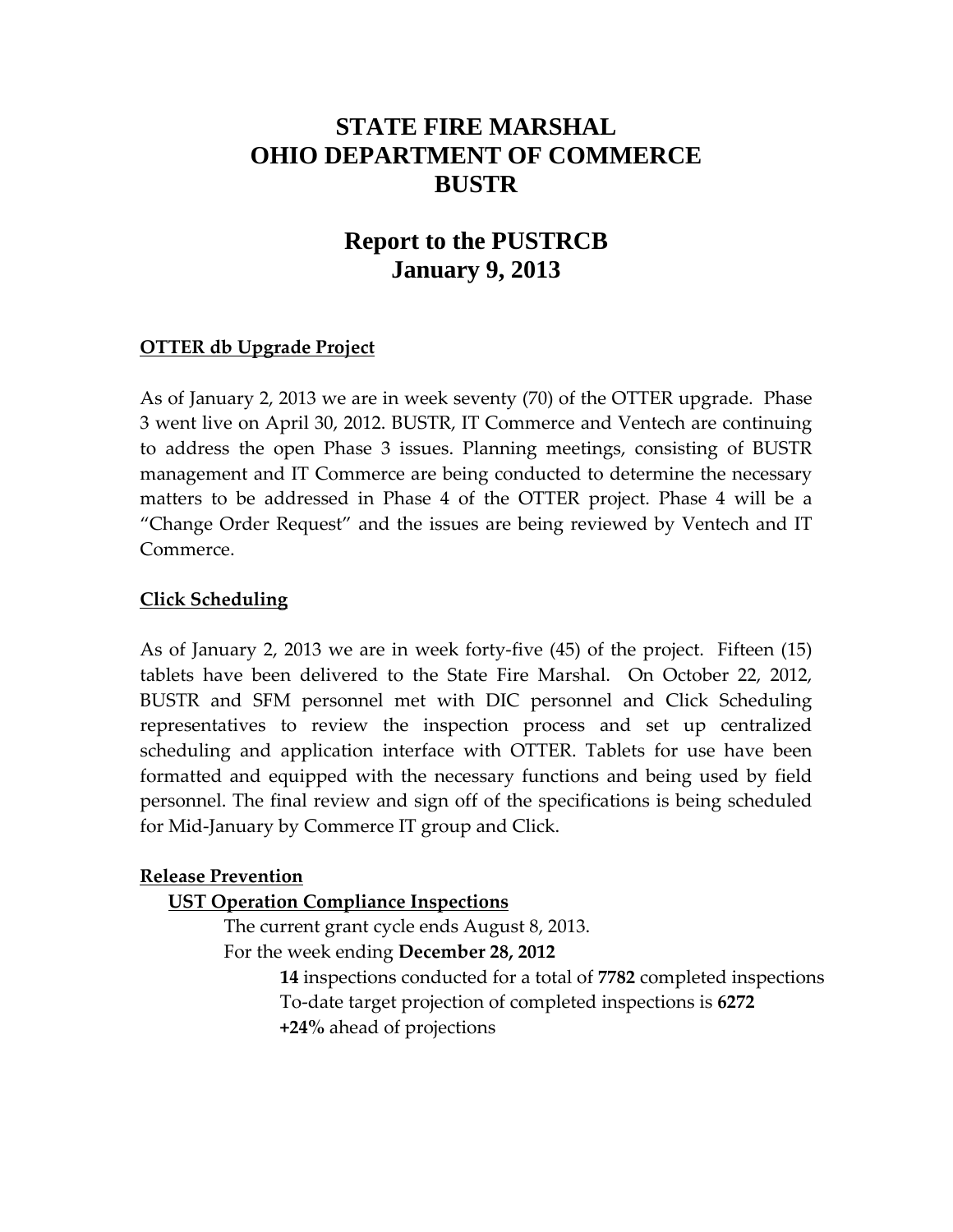# **STATE FIRE MARSHAL OHIO DEPARTMENT OF COMMERCE BUSTR**

# **Report to the PUSTRCB January 9, 2013**

# **OTTER db Upgrade Project**

As of January 2, 2013 we are in week seventy (70) of the OTTER upgrade. Phase 3 went live on April 30, 2012. BUSTR, IT Commerce and Ventech are continuing to address the open Phase 3 issues. Planning meetings, consisting of BUSTR management and IT Commerce are being conducted to determine the necessary matters to be addressed in Phase 4 of the OTTER project. Phase 4 will be a "Change Order Request" and the issues are being reviewed by Ventech and IT Commerce.

# **Click Scheduling**

As of January 2, 2013 we are in week forty‐five (45) of the project. Fifteen (15) tablets have been delivered to the State Fire Marshal. On October 22, 2012, BUSTR and SFM personnel met with DIC personnel and Click Scheduling representatives to review the inspection process and set up centralized scheduling and application interface with OTTER. Tablets for use have been formatted and equipped with the necessary functions and being used by field personnel. The final review and sign off of the specifications is being scheduled for Mid‐January by Commerce IT group and Click.

## **Release Prevention**

## **UST Operation Compliance Inspections**

The current grant cycle ends August 8, 2013. For the week ending **December 28, 2012**

> **14** inspections conducted for a total of **7782** completed inspections To‐date target projection of completed inspections is **6272 +24%** ahead of projections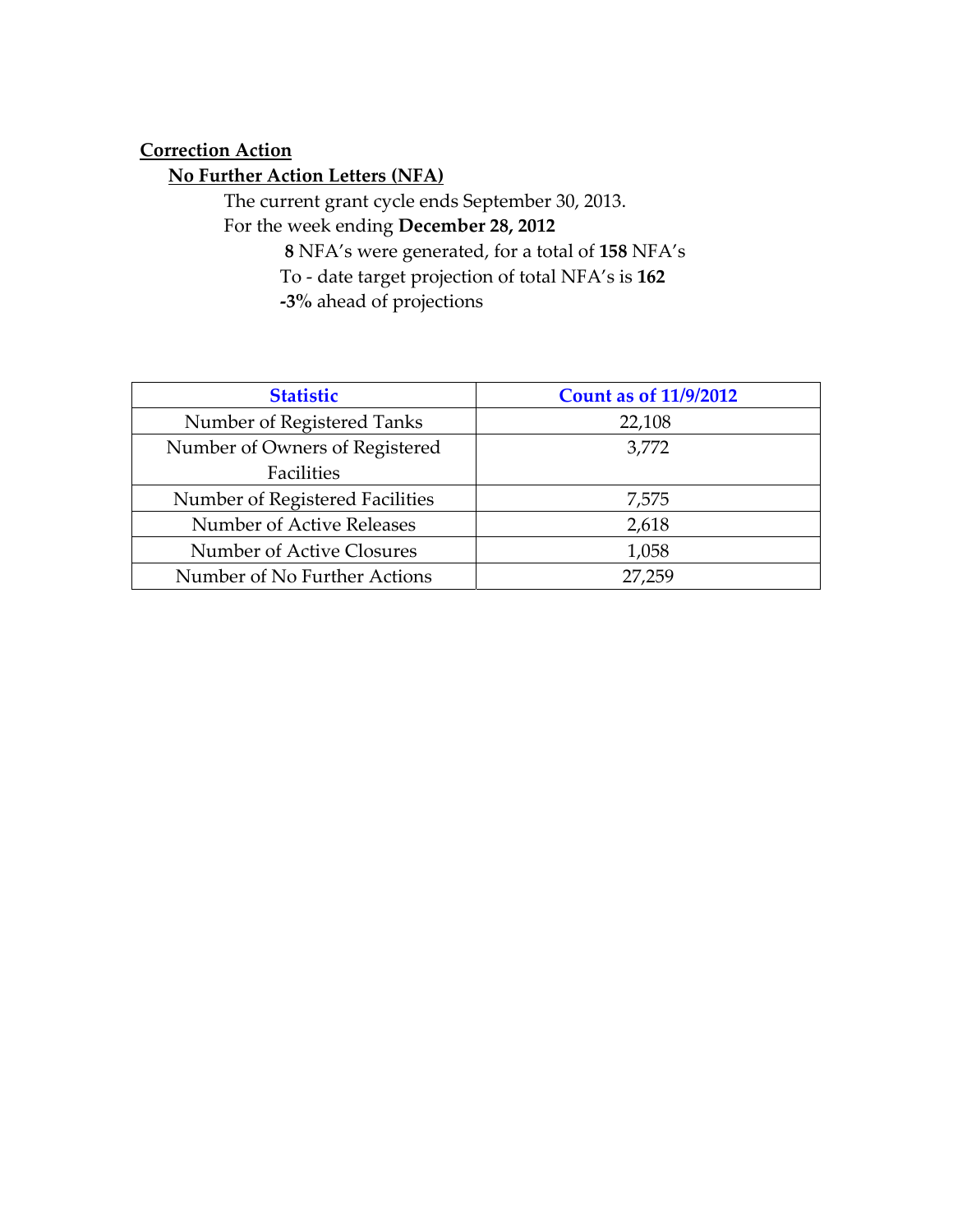# **Correction Action**

# **No Further Action Letters (NFA)**

The current grant cycle ends September 30, 2013. For the week ending **December 28, 2012**

**8** NFA's were generated, for a total of **158** NFA's To ‐ date target projection of total NFA's is **162 ‐3%** ahead of projections

| <b>Statistic</b>                | <b>Count as of 11/9/2012</b> |
|---------------------------------|------------------------------|
| Number of Registered Tanks      | 22,108                       |
| Number of Owners of Registered  | 3,772                        |
| Facilities                      |                              |
| Number of Registered Facilities | 7,575                        |
| Number of Active Releases       | 2,618                        |
| Number of Active Closures       | 1,058                        |
| Number of No Further Actions    | 27.259                       |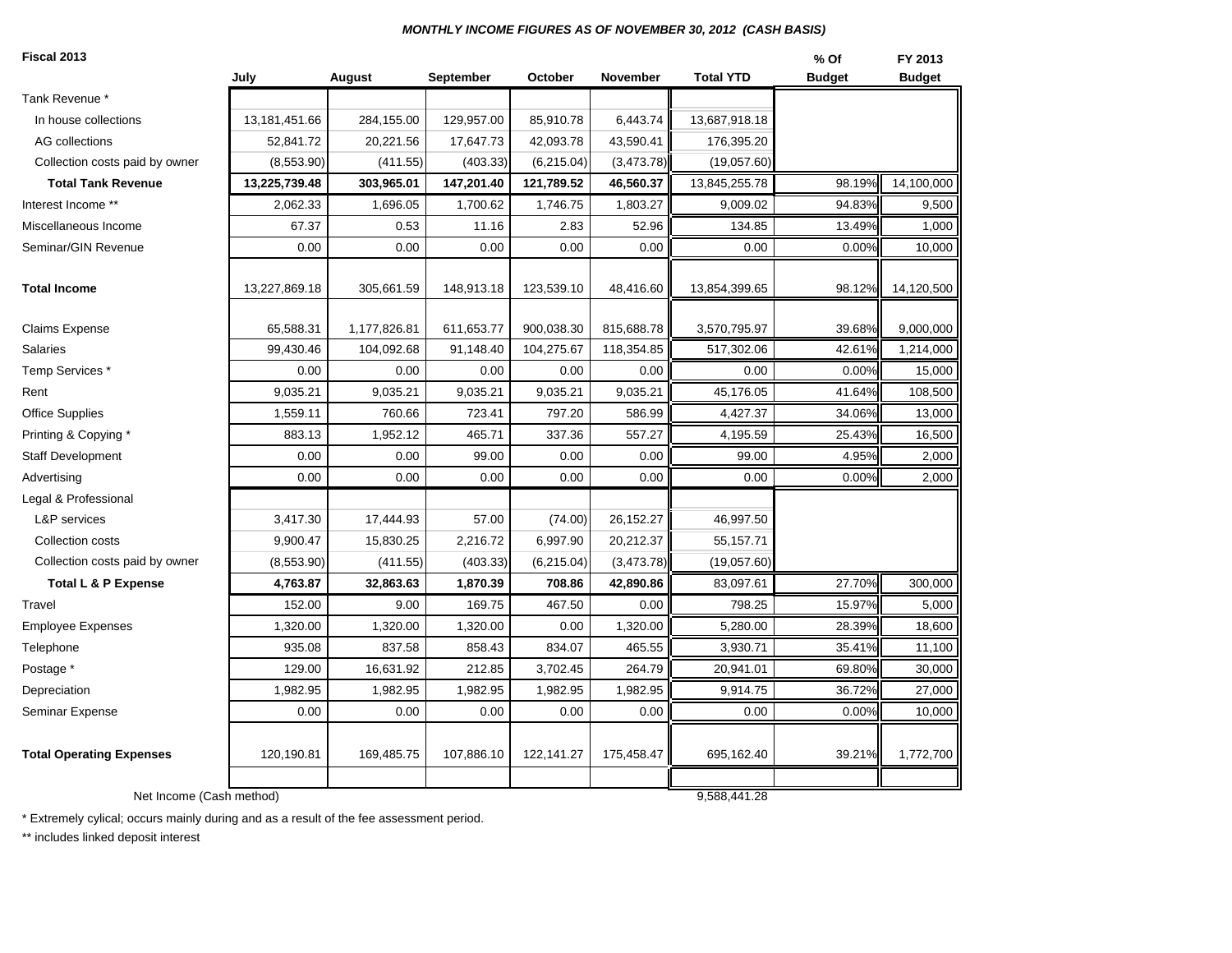#### *MONTHLY INCOME FIGURES AS OF NOVEMBER 30, 2012 (CASH BASIS)*

| Fiscal 2013                     |               |              |                  |            |            |                  | % Of          | FY 2013       |
|---------------------------------|---------------|--------------|------------------|------------|------------|------------------|---------------|---------------|
|                                 | July          | August       | <b>September</b> | October    | November   | <b>Total YTD</b> | <b>Budget</b> | <b>Budget</b> |
| Tank Revenue *                  |               |              |                  |            |            |                  |               |               |
| In house collections            | 13,181,451.66 | 284,155.00   | 129,957.00       | 85,910.78  | 6,443.74   | 13,687,918.18    |               |               |
| AG collections                  | 52,841.72     | 20,221.56    | 17,647.73        | 42,093.78  | 43,590.41  | 176,395.20       |               |               |
| Collection costs paid by owner  | (8,553.90)    | (411.55)     | (403.33)         | (6,215.04) | (3,473.78) | (19,057.60)      |               |               |
| <b>Total Tank Revenue</b>       | 13,225,739.48 | 303,965.01   | 147,201.40       | 121,789.52 | 46,560.37  | 13,845,255.78    | 98.19%        | 14,100,000    |
| Interest Income **              | 2,062.33      | 1,696.05     | 1,700.62         | 1,746.75   | 1,803.27   | 9,009.02         | 94.83%        | 9,500         |
| Miscellaneous Income            | 67.37         | 0.53         | 11.16            | 2.83       | 52.96      | 134.85           | 13.49%        | 1,000         |
| Seminar/GIN Revenue             | 0.00          | 0.00         | 0.00             | 0.00       | 0.00       | 0.00             | 0.00%         | 10,000        |
| <b>Total Income</b>             | 13,227,869.18 | 305,661.59   | 148,913.18       | 123,539.10 | 48,416.60  | 13,854,399.65    | 98.12%        | 14,120,500    |
| <b>Claims Expense</b>           | 65,588.31     | 1,177,826.81 | 611,653.77       | 900,038.30 | 815,688.78 | 3,570,795.97     | 39.68%        | 9,000,000     |
| <b>Salaries</b>                 | 99,430.46     | 104,092.68   | 91,148.40        | 104,275.67 | 118,354.85 | 517,302.06       | 42.61%        | 1,214,000     |
| Temp Services *                 | 0.00          | 0.00         | 0.00             | 0.00       | 0.00       | 0.00             | 0.00%         | 15,000        |
| Rent                            | 9,035.21      | 9,035.21     | 9,035.21         | 9,035.21   | 9,035.21   | 45,176.05        | 41.64%        | 108,500       |
| <b>Office Supplies</b>          | 1,559.11      | 760.66       | 723.41           | 797.20     | 586.99     | 4,427.37         | 34.06%        | 13,000        |
| Printing & Copying *            | 883.13        | 1,952.12     | 465.71           | 337.36     | 557.27     | 4,195.59         | 25.43%        | 16,500        |
| <b>Staff Development</b>        | 0.00          | 0.00         | 99.00            | 0.00       | 0.00       | 99.00            | 4.95%         | 2,000         |
| Advertising                     | 0.00          | 0.00         | 0.00             | 0.00       | 0.00       | 0.00             | 0.00%         | 2,000         |
| Legal & Professional            |               |              |                  |            |            |                  |               |               |
| <b>L&amp;P</b> services         | 3,417.30      | 17,444.93    | 57.00            | (74.00)    | 26,152.27  | 46,997.50        |               |               |
| Collection costs                | 9,900.47      | 15,830.25    | 2,216.72         | 6,997.90   | 20,212.37  | 55,157.71        |               |               |
| Collection costs paid by owner  | (8,553.90)    | (411.55)     | (403.33)         | (6,215.04) | (3,473.78) | (19,057.60)      |               |               |
| <b>Total L &amp; P Expense</b>  | 4,763.87      | 32,863.63    | 1,870.39         | 708.86     | 42,890.86  | 83,097.61        | 27.70%        | 300,000       |
| Travel                          | 152.00        | 9.00         | 169.75           | 467.50     | 0.00       | 798.25           | 15.97%        | 5,000         |
| <b>Employee Expenses</b>        | 1,320.00      | 1,320.00     | 1,320.00         | 0.00       | 1,320.00   | 5,280.00         | 28.39%        | 18,600        |
| Telephone                       | 935.08        | 837.58       | 858.43           | 834.07     | 465.55     | 3,930.71         | 35.41%        | 11,100        |
| Postage *                       | 129.00        | 16,631.92    | 212.85           | 3,702.45   | 264.79     | 20,941.01        | 69.80%        | 30,000        |
| Depreciation                    | 1,982.95      | 1,982.95     | 1,982.95         | 1,982.95   | 1,982.95   | 9,914.75         | 36.72%        | 27,000        |
| <b>Seminar Expense</b>          | 0.00          | 0.00         | 0.00             | 0.00       | 0.00       | 0.00             | 0.00%         | 10,000        |
| <b>Total Operating Expenses</b> | 120,190.81    | 169,485.75   | 107,886.10       | 122,141.27 | 175,458.47 | 695,162.40       | 39.21%        | 1,772,700     |
| Net Income (Cash method)        |               |              |                  |            |            | 9.588.441.28     |               |               |

\* Extremely cylical; occurs mainly during and as a result of the fee assessment period.

\*\* includes linked deposit interest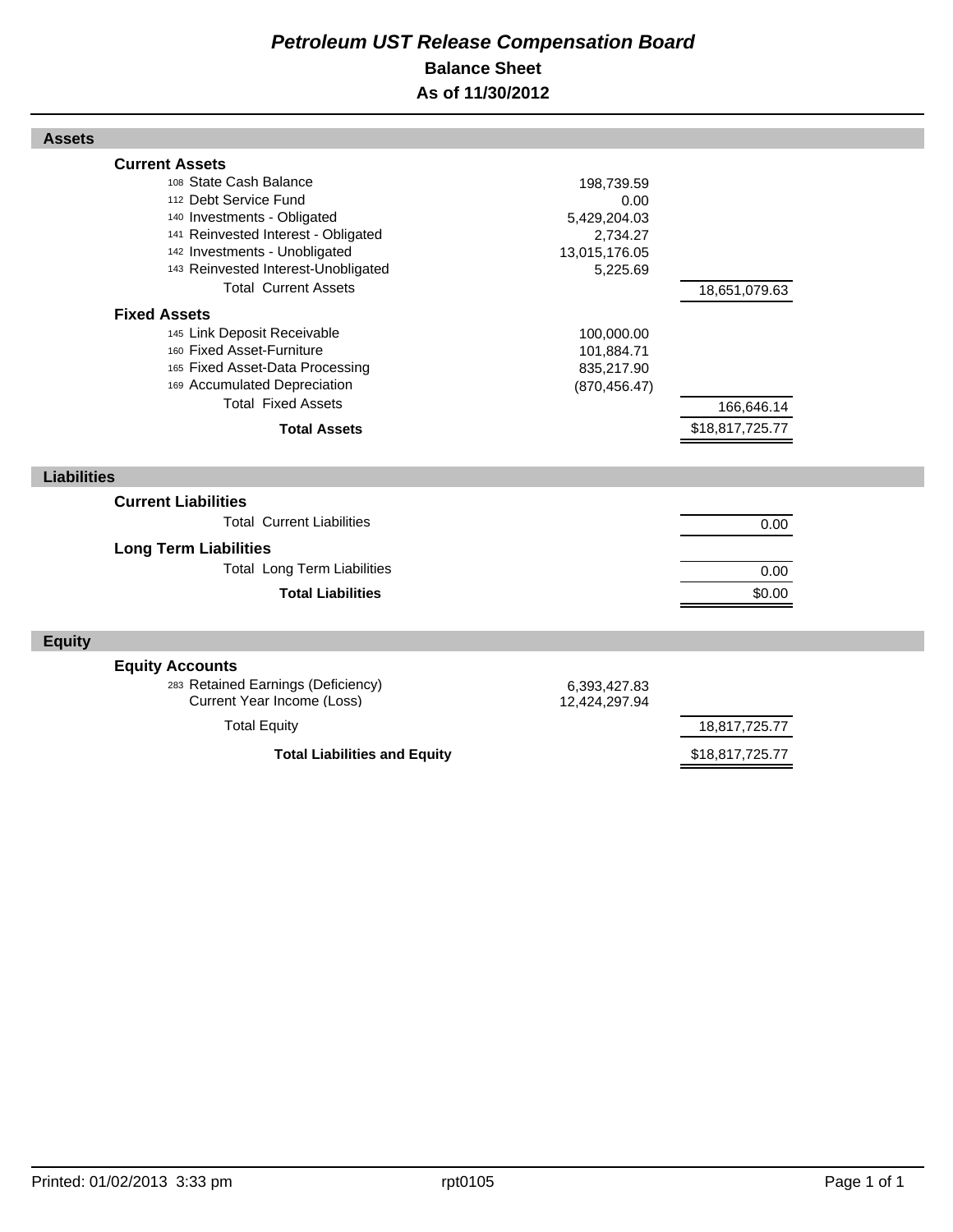# *Petroleum UST Release Compensation Board*  **Balance Sheet As of 11/30/2012**

| <b>Current Assets</b>                                            |               |                                  |  |
|------------------------------------------------------------------|---------------|----------------------------------|--|
| 108 State Cash Balance                                           | 198,739.59    |                                  |  |
| 112 Debt Service Fund                                            | 0.00          |                                  |  |
| 140 Investments - Obligated                                      | 5,429,204.03  |                                  |  |
| 141 Reinvested Interest - Obligated                              | 2,734.27      |                                  |  |
| 142 Investments - Unobligated                                    | 13,015,176.05 |                                  |  |
| 143 Reinvested Interest-Unobligated                              | 5,225.69      |                                  |  |
| <b>Total Current Assets</b>                                      |               | 18,651,079.63                    |  |
| <b>Fixed Assets</b>                                              |               |                                  |  |
| 145 Link Deposit Receivable                                      | 100,000.00    |                                  |  |
| 160 Fixed Asset-Furniture                                        | 101,884.71    |                                  |  |
| 165 Fixed Asset-Data Processing                                  | 835,217.90    |                                  |  |
| 169 Accumulated Depreciation                                     | (870, 456.47) |                                  |  |
| <b>Total Fixed Assets</b>                                        |               | 166,646.14                       |  |
| <b>Total Assets</b>                                              |               | \$18,817,725.77                  |  |
|                                                                  |               |                                  |  |
|                                                                  |               |                                  |  |
| <b>Liabilities</b>                                               |               |                                  |  |
|                                                                  |               |                                  |  |
| <b>Current Liabilities</b>                                       |               |                                  |  |
| <b>Total Current Liabilities</b>                                 |               | 0.00                             |  |
| <b>Long Term Liabilities</b>                                     |               |                                  |  |
| <b>Total Long Term Liabilities</b>                               |               | 0.00                             |  |
|                                                                  |               |                                  |  |
| <b>Total Liabilities</b>                                         |               | \$0.00                           |  |
| <b>Equity</b>                                                    |               |                                  |  |
|                                                                  |               |                                  |  |
| <b>Equity Accounts</b>                                           |               |                                  |  |
| 283 Retained Earnings (Deficiency)<br>Current Year Income (Loss) | 6,393,427.83  |                                  |  |
|                                                                  | 12,424,297.94 |                                  |  |
| <b>Total Equity</b><br><b>Total Liabilities and Equity</b>       |               | 18,817,725.77<br>\$18,817,725.77 |  |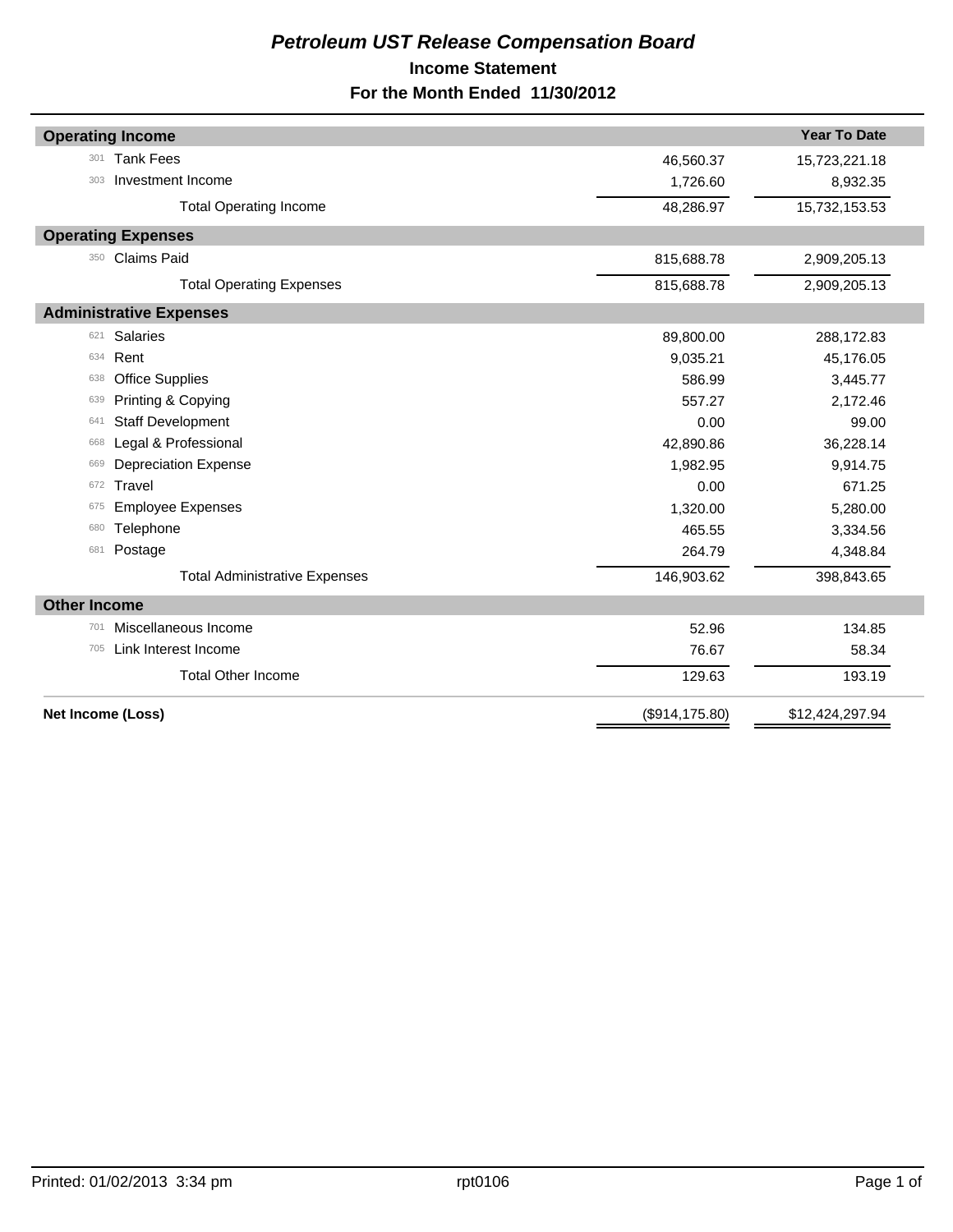# *Petroleum UST Release Compensation Board*  **Income Statement For the Month Ended 11/30/2012**

| <b>Operating Income</b>              |                 | <b>Year To Date</b> |
|--------------------------------------|-----------------|---------------------|
| <b>Tank Fees</b><br>301              | 46,560.37       | 15,723,221.18       |
| Investment Income<br>303             | 1,726.60        | 8,932.35            |
| <b>Total Operating Income</b>        | 48,286.97       | 15,732,153.53       |
| <b>Operating Expenses</b>            |                 |                     |
| Claims Paid<br>350                   | 815,688.78      | 2,909,205.13        |
| <b>Total Operating Expenses</b>      | 815,688.78      | 2,909,205.13        |
| <b>Administrative Expenses</b>       |                 |                     |
| <b>Salaries</b><br>621               | 89,800.00       | 288,172.83          |
| Rent<br>634                          | 9,035.21        | 45,176.05           |
| <b>Office Supplies</b><br>638        | 586.99          | 3,445.77            |
| Printing & Copying<br>639            | 557.27          | 2,172.46            |
| <b>Staff Development</b><br>641      | 0.00            | 99.00               |
| Legal & Professional<br>668          | 42,890.86       | 36,228.14           |
| <b>Depreciation Expense</b><br>669   | 1,982.95        | 9,914.75            |
| Travel<br>672                        | 0.00            | 671.25              |
| <b>Employee Expenses</b><br>675      | 1,320.00        | 5,280.00            |
| Telephone<br>680                     | 465.55          | 3,334.56            |
| Postage<br>681                       | 264.79          | 4,348.84            |
| <b>Total Administrative Expenses</b> | 146,903.62      | 398,843.65          |
| <b>Other Income</b>                  |                 |                     |
| Miscellaneous Income<br>701          | 52.96           | 134.85              |
| Link Interest Income<br>705          | 76.67           | 58.34               |
| <b>Total Other Income</b>            | 129.63          | 193.19              |
| Net Income (Loss)                    | (\$914, 175.80) | \$12,424,297.94     |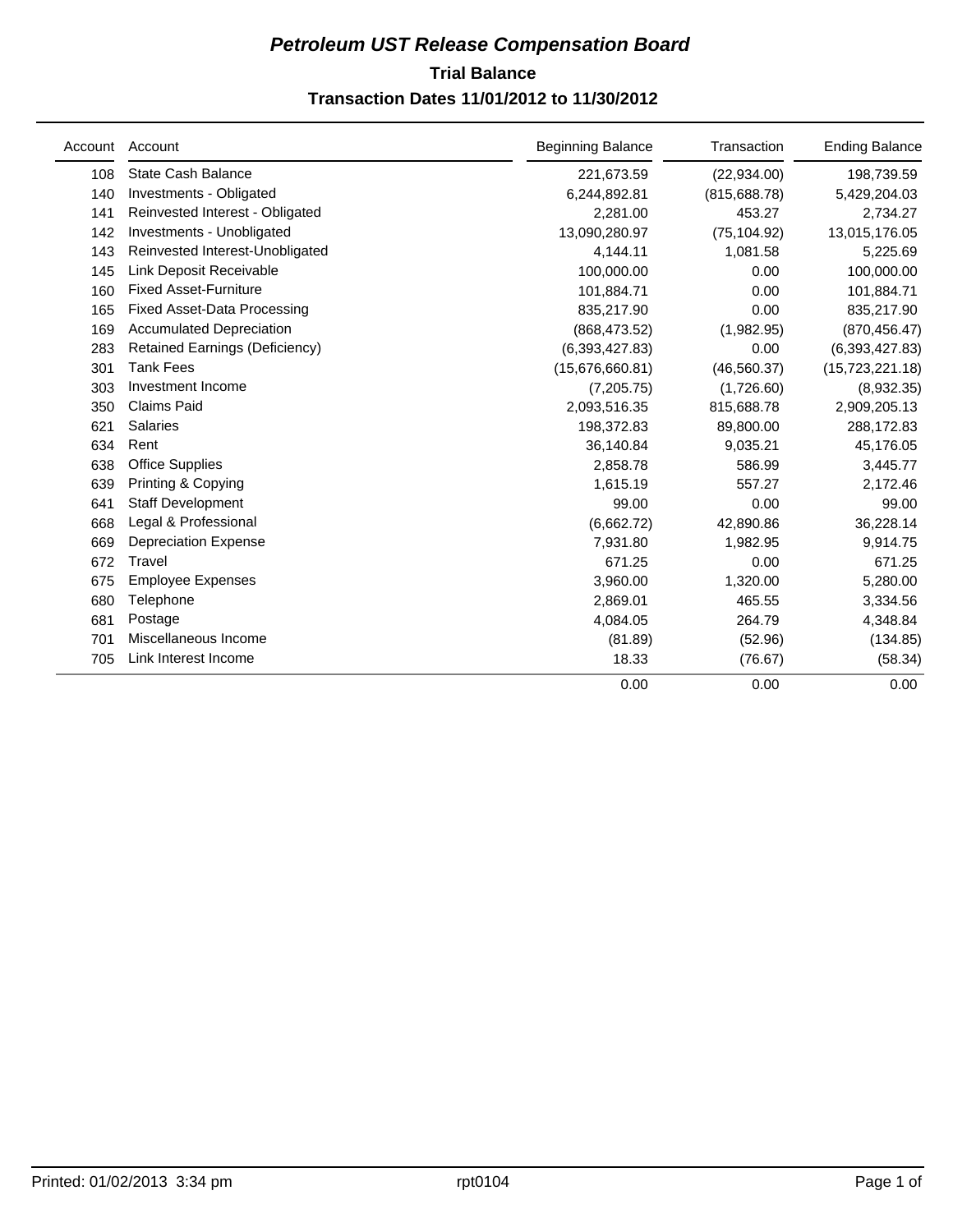# **Trial Balance** *Petroleum UST Release Compensation Board*  **Transaction Dates 11/01/2012 to 11/30/2012**

| Account | Account                               | <b>Beginning Balance</b> | Transaction   | <b>Ending Balance</b> |
|---------|---------------------------------------|--------------------------|---------------|-----------------------|
| 108     | State Cash Balance                    | 221,673.59               | (22, 934.00)  | 198,739.59            |
| 140     | Investments - Obligated               | 6,244,892.81             | (815, 688.78) | 5,429,204.03          |
| 141     | Reinvested Interest - Obligated       | 2,281.00                 | 453.27        | 2,734.27              |
| 142     | Investments - Unobligated             | 13,090,280.97            | (75, 104.92)  | 13,015,176.05         |
| 143     | Reinvested Interest-Unobligated       | 4,144.11                 | 1,081.58      | 5,225.69              |
| 145     | Link Deposit Receivable               | 100,000.00               | 0.00          | 100,000.00            |
| 160     | <b>Fixed Asset-Furniture</b>          | 101,884.71               | 0.00          | 101,884.71            |
| 165     | <b>Fixed Asset-Data Processing</b>    | 835,217.90               | 0.00          | 835,217.90            |
| 169     | <b>Accumulated Depreciation</b>       | (868, 473.52)            | (1,982.95)    | (870, 456.47)         |
| 283     | <b>Retained Earnings (Deficiency)</b> | (6,393,427.83)           | 0.00          | (6,393,427.83)        |
| 301     | <b>Tank Fees</b>                      | (15.676.660.81)          | (46, 560.37)  | (15, 723, 221.18)     |
| 303     | Investment Income                     | (7,205.75)               | (1,726.60)    | (8,932.35)            |
| 350     | <b>Claims Paid</b>                    | 2,093,516.35             | 815,688.78    | 2,909,205.13          |
| 621     | <b>Salaries</b>                       | 198,372.83               | 89,800.00     | 288,172.83            |
| 634     | Rent                                  | 36,140.84                | 9,035.21      | 45,176.05             |
| 638     | <b>Office Supplies</b>                | 2,858.78                 | 586.99        | 3,445.77              |
| 639     | Printing & Copying                    | 1,615.19                 | 557.27        | 2,172.46              |
| 641     | <b>Staff Development</b>              | 99.00                    | 0.00          | 99.00                 |
| 668     | Legal & Professional                  | (6,662.72)               | 42,890.86     | 36,228.14             |
| 669     | <b>Depreciation Expense</b>           | 7,931.80                 | 1,982.95      | 9,914.75              |
| 672     | Travel                                | 671.25                   | 0.00          | 671.25                |
| 675     | <b>Employee Expenses</b>              | 3,960.00                 | 1,320.00      | 5,280.00              |
| 680     | Telephone                             | 2,869.01                 | 465.55        | 3,334.56              |
| 681     | Postage                               | 4,084.05                 | 264.79        | 4,348.84              |
| 701     | Miscellaneous Income                  | (81.89)                  | (52.96)       | (134.85)              |
| 705     | Link Interest Income                  | 18.33                    | (76.67)       | (58.34)               |
|         |                                       | 0.00                     | 0.00          | 0.00                  |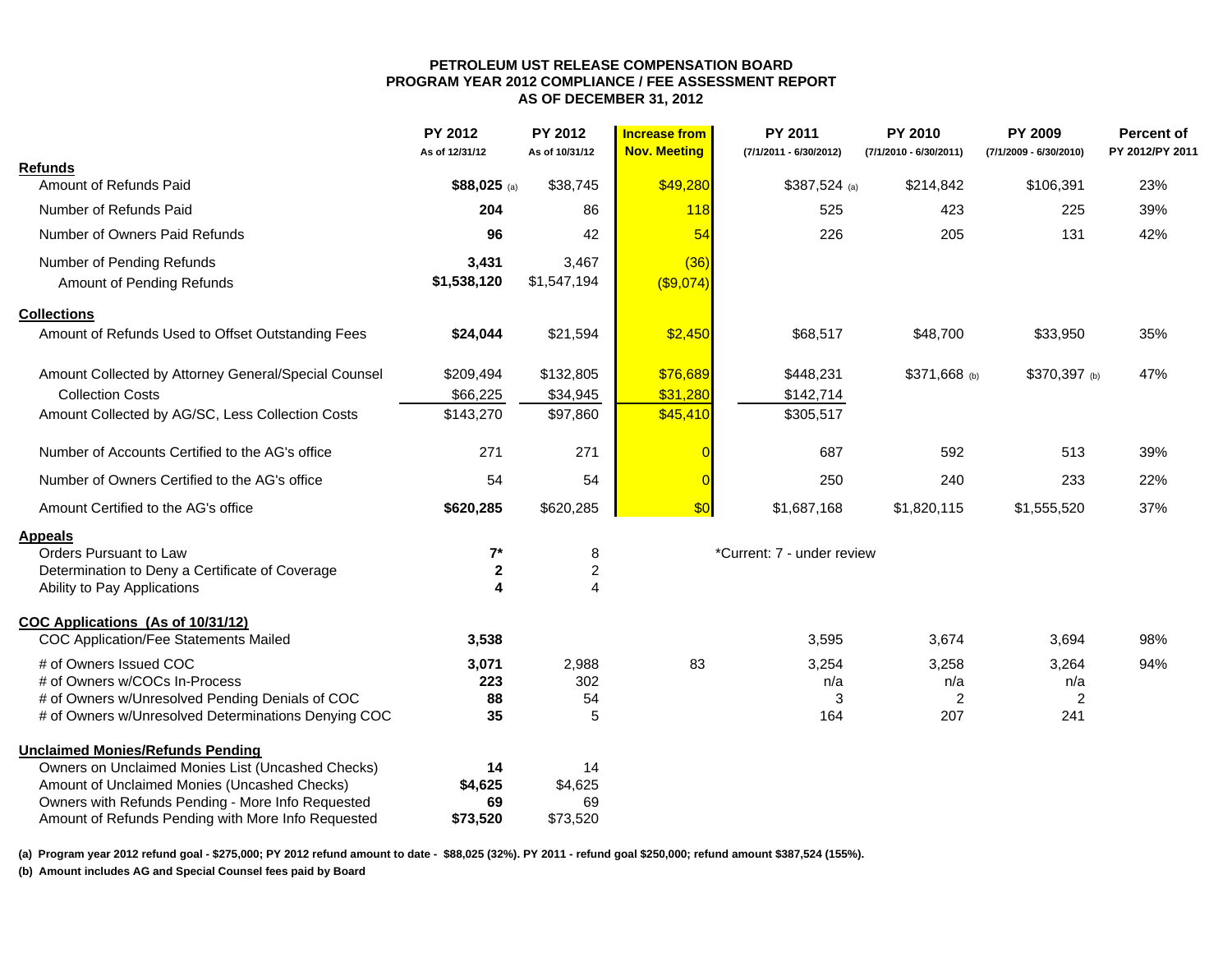#### **PETROLEUM UST RELEASE COMPENSATION BOARD PROGRAM YEAR 2012 COMPLIANCE / FEE ASSESSMENT REPORT AS OF DECEMBER 31, 2012**

|                                                      | PY 2012<br>As of 12/31/12 | PY 2012<br>As of 10/31/12 | <b>Increase from</b><br><b>Nov. Meeting</b> | PY 2011<br>(7/1/2011 - 6/30/2012) | <b>PY 2010</b><br>(7/1/2010 - 6/30/2011) | <b>PY 2009</b><br>(7/1/2009 - 6/30/2010) | Percent of<br>PY 2012/PY 2011 |
|------------------------------------------------------|---------------------------|---------------------------|---------------------------------------------|-----------------------------------|------------------------------------------|------------------------------------------|-------------------------------|
| <b>Refunds</b>                                       |                           |                           |                                             |                                   |                                          |                                          |                               |
| Amount of Refunds Paid                               | $$88,025$ (a)             | \$38,745                  | \$49,280                                    | $$387,524$ (a)                    | \$214,842                                | \$106,391                                | 23%                           |
| Number of Refunds Paid                               | 204                       | 86                        | <b>118</b>                                  | 525                               | 423                                      | 225                                      | 39%                           |
| Number of Owners Paid Refunds                        | 96                        | 42                        | 54                                          | 226                               | 205                                      | 131                                      | 42%                           |
| Number of Pending Refunds                            | 3,431                     | 3,467                     | (36)                                        |                                   |                                          |                                          |                               |
| Amount of Pending Refunds                            | \$1,538,120               | \$1,547,194               | $($ \$9,074)                                |                                   |                                          |                                          |                               |
| <b>Collections</b>                                   |                           |                           |                                             |                                   |                                          |                                          |                               |
| Amount of Refunds Used to Offset Outstanding Fees    | \$24,044                  | \$21,594                  | \$2,450                                     | \$68,517                          | \$48,700                                 | \$33,950                                 | 35%                           |
| Amount Collected by Attorney General/Special Counsel | \$209,494                 | \$132,805                 | \$76,689                                    | \$448,231                         | \$371,668 (b)                            | \$370,397 (b)                            | 47%                           |
| <b>Collection Costs</b>                              | \$66,225                  | \$34,945                  | \$31,280                                    | \$142,714                         |                                          |                                          |                               |
| Amount Collected by AG/SC, Less Collection Costs     | \$143,270                 | \$97,860                  | \$45,410                                    | \$305,517                         |                                          |                                          |                               |
| Number of Accounts Certified to the AG's office      | 271                       | 271                       |                                             | 687                               | 592                                      | 513                                      | 39%                           |
| Number of Owners Certified to the AG's office        | 54                        | 54                        | $\sqrt{ }$                                  | 250                               | 240                                      | 233                                      | 22%                           |
| Amount Certified to the AG's office                  | \$620,285                 | \$620,285                 | \$0                                         | \$1,687,168                       | \$1,820,115                              | \$1,555,520                              | 37%                           |
| <b>Appeals</b>                                       |                           |                           |                                             |                                   |                                          |                                          |                               |
| Orders Pursuant to Law                               | $7^*$                     | 8                         |                                             | *Current: 7 - under review        |                                          |                                          |                               |
| Determination to Deny a Certificate of Coverage      | $\mathbf 2$               | $\boldsymbol{2}$          |                                             |                                   |                                          |                                          |                               |
| Ability to Pay Applications                          | 4                         | 4                         |                                             |                                   |                                          |                                          |                               |
| COC Applications (As of 10/31/12)                    |                           |                           |                                             |                                   |                                          |                                          |                               |
| <b>COC Application/Fee Statements Mailed</b>         | 3,538                     |                           |                                             | 3,595                             | 3,674                                    | 3,694                                    | 98%                           |
| # of Owners Issued COC                               | 3,071                     | 2,988                     | 83                                          | 3,254                             | 3,258                                    | 3,264                                    | 94%                           |
| # of Owners w/COCs In-Process                        | 223                       | 302                       |                                             | n/a                               | n/a                                      | n/a                                      |                               |
| # of Owners w/Unresolved Pending Denials of COC      | 88                        | 54                        |                                             | 3                                 | $\overline{2}$                           | $\overline{2}$                           |                               |
| # of Owners w/Unresolved Determinations Denying COC  | 35                        | 5                         |                                             | 164                               | 207                                      | 241                                      |                               |
| <b>Unclaimed Monies/Refunds Pending</b>              |                           |                           |                                             |                                   |                                          |                                          |                               |
| Owners on Unclaimed Monies List (Uncashed Checks)    | 14                        | 14                        |                                             |                                   |                                          |                                          |                               |
| Amount of Unclaimed Monies (Uncashed Checks)         | \$4,625                   | \$4,625                   |                                             |                                   |                                          |                                          |                               |
| Owners with Refunds Pending - More Info Requested    | 69                        | 69                        |                                             |                                   |                                          |                                          |                               |
| Amount of Refunds Pending with More Info Requested   | \$73,520                  | \$73,520                  |                                             |                                   |                                          |                                          |                               |

**(a) Program year 2012 refund goal - \$275,000; PY 2012 refund amount to date - \$88,025 (32%). PY 2011 - refund goal \$250,000; refund amount \$387,524 (155%).** 

**(b) Amount includes AG and Special Counsel fees paid by Board**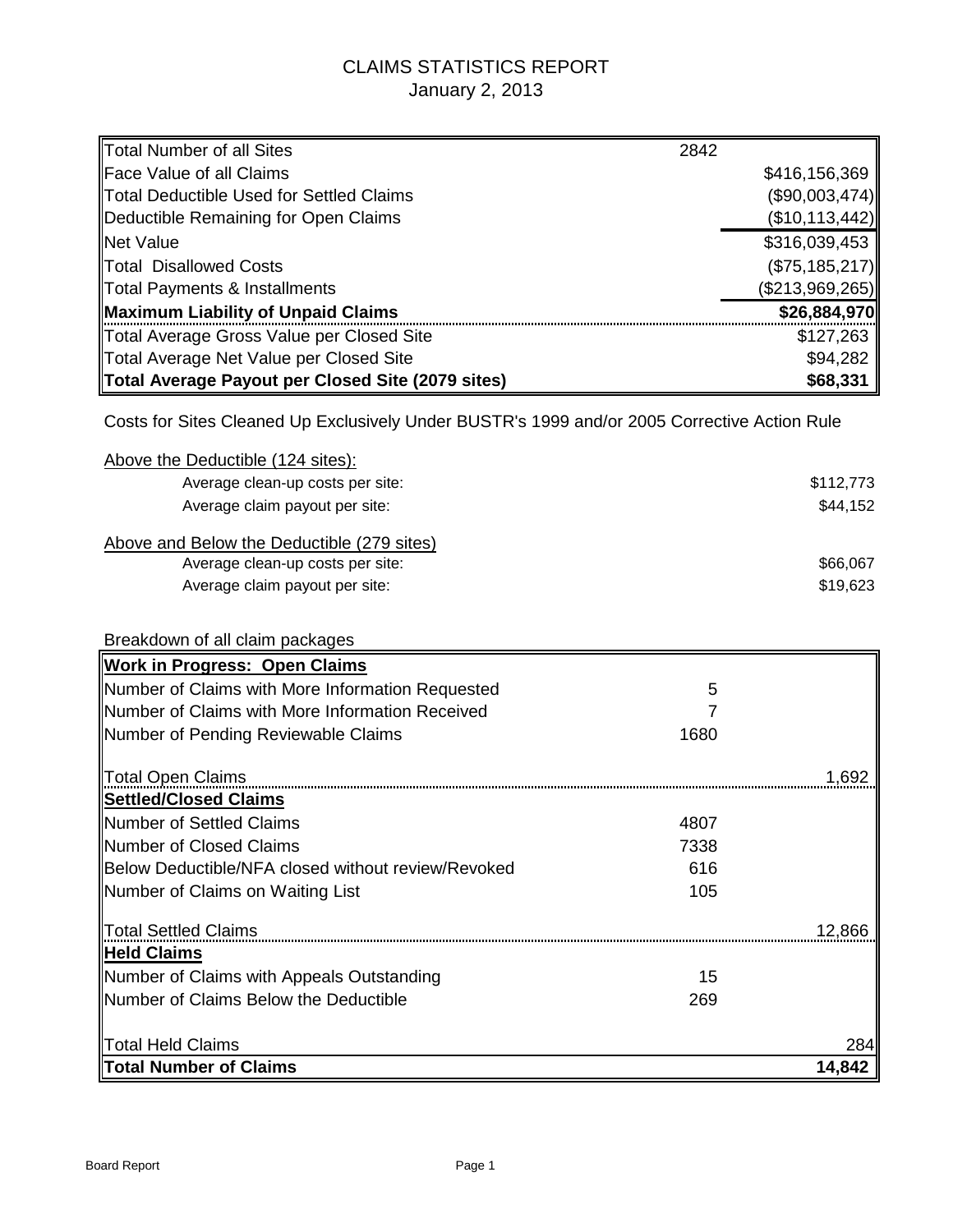# CLAIMS STATISTICS REPORT January 2, 2013

| <b>Total Number of all Sites</b>                                                             | 2842 |                 |
|----------------------------------------------------------------------------------------------|------|-----------------|
| <b>Face Value of all Claims</b>                                                              |      | \$416,156,369   |
| <b>Total Deductible Used for Settled Claims</b>                                              |      | (\$90,003,474)  |
| Deductible Remaining for Open Claims                                                         |      | (\$10,113,442)  |
| <b>Net Value</b>                                                                             |      | \$316,039,453   |
| <b>Total Disallowed Costs</b>                                                                |      | (\$75,185,217)  |
| Total Payments & Installments                                                                |      | (\$213,969,265) |
| Maximum Liability of Unpaid Claims                                                           |      | \$26,884,970    |
| Total Average Gross Value per Closed Site                                                    |      | \$127,263       |
| Total Average Net Value per Closed Site                                                      |      | \$94,282        |
| Total Average Payout per Closed Site (2079 sites)                                            |      | \$68,331        |
|                                                                                              |      |                 |
| Costs for Sites Cleaned Up Exclusively Under BUSTR's 1999 and/or 2005 Corrective Action Rule |      |                 |
| Above the Deductible (124 sites):                                                            |      |                 |
| Average clean-up costs per site:                                                             |      | \$112,773       |
| Average claim payout per site:                                                               |      | \$44,152        |
| Above and Below the Deductible (279 sites)                                                   |      |                 |
| Average clean-up costs per site:                                                             |      | \$66,067        |
| Average claim payout per site:                                                               |      | \$19,623        |
| Breakdown of all claim packages                                                              |      |                 |
| <b>Work in Progress: Open Claims</b>                                                         |      |                 |
| Number of Claims with More Information Requested                                             | 5    |                 |
| Number of Claims with More Information Received                                              | 7    |                 |
| Number of Pending Reviewable Claims                                                          | 1680 |                 |
|                                                                                              |      |                 |
| <b>Total Open Claims</b>                                                                     |      | 1,692           |
| <b>Settled/Closed Claims</b>                                                                 |      |                 |
| Number of Settled Claims                                                                     | 4807 |                 |
| Number of Closed Claims                                                                      | 7338 |                 |
| Below Deductible/NFA closed without review/Revoked                                           | 616  |                 |
| Number of Claims on Waiting List                                                             | 105  |                 |
| <b>Total Settled Claims</b>                                                                  |      | 12,866          |
| <b>Held Claims</b>                                                                           |      |                 |
| Number of Claims with Appeals Outstanding                                                    | 15   |                 |
| <b>INumber of Claims Below the Deductible</b>                                                | 269  |                 |
|                                                                                              |      |                 |
| <b>Total Held Claims</b>                                                                     |      | 284             |
| <b>Total Number of Claims</b>                                                                |      | 14,842          |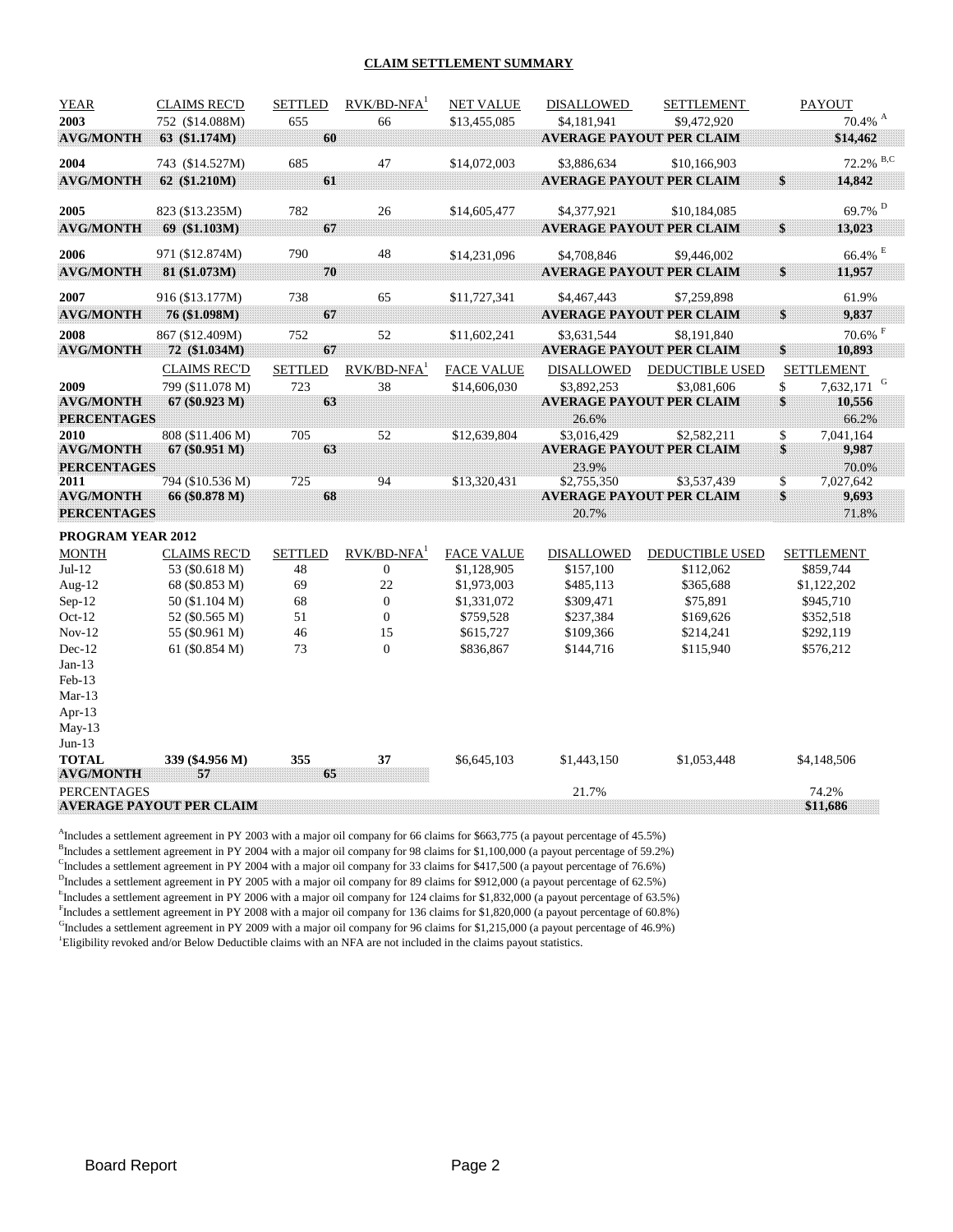#### **CLAIM SETTLEMENT SUMMARY**

| 2003<br>655<br>752 (\$14.088M)<br>66<br>\$13,455,085<br>\$4,181,941<br>\$9,472,920<br>60<br>63 (\$1.174M)<br>\$14,462<br><b>AVG/MONTH</b><br><b>AVERAGE PAYOUT PER CLAIM</b><br>2004<br>685<br>47<br>743 (\$14.527M)<br>\$14,072,003<br>\$3.886.634<br>\$10,166,903<br>\$<br><b>AVG/MONTH</b><br>62 (\$1.210M)<br>61<br><b>AVERAGE PAYOUT PER CLAIM</b><br>14,842<br>2005<br>782<br>26<br>\$14,605,477<br>823 (\$13.235M)<br>\$4,377,921<br>\$10,184,085<br>67<br>\$<br><b>AVG/MONTH</b><br>69 (\$1.103M)<br><b>AVERAGE PAYOUT PER CLAIM</b><br>13,023<br>$66.4\%$ $^{\rm E}$<br>790<br>48<br>971 (\$12.874M)<br>2006<br>\$14,231,096<br>\$4,708,846<br>\$9,446,002<br>70<br>\$<br><b>AVG/MONTH</b><br>81 (\$1.073M)<br><b>AVERAGE PAYOUT PER CLAIM</b><br>11,957<br>2007<br>738<br>65<br>\$11,727,341<br>\$4,467,443<br>61.9%<br>916 (\$13.177M)<br>\$7,259,898<br>67<br>\$<br>9,837<br><b>AVG/MONTH</b><br>76 (\$1.098M)<br><b>AVERAGE PAYOUT PER CLAIM</b><br>752<br>52<br>2008<br>867 (\$12.409M)<br>\$11,602,241<br>\$3.631.544<br>\$8,191,840<br>67<br>\$<br><b>AVG/MONTH</b><br><b>AVERAGE PAYOUT PER CLAIM</b><br>10,893<br>72 (\$1.034M)<br>$RVK/BD-NFA1$<br><b>DEDUCTIBLE USED</b><br><b>CLAIMS REC'D</b><br><b>SETTLED</b><br><b>FACE VALUE</b><br><b>DISALLOWED</b><br><b>SETTLEMENT</b><br>723<br>38<br>\$<br>7,632,171<br>2009<br>799 (\$11.078 M)<br>\$14,606,030<br>\$3,892,253<br>\$3,081,606<br>\$<br>63<br><b>AVG/MONTH</b><br>67 (\$0.923 M)<br><b>AVERAGE PAYOUT PER CLAIM</b><br>10,556<br><b>PERCENTAGES</b><br>26.6%<br>66.2%<br>705<br>52<br>\$3,016,429<br>\$<br>7,041,164<br>2010<br>808 (\$11.406 M)<br>\$12,639,804<br>\$2,582,211<br>\$<br>63<br>67 (\$0.951 M)<br><b>AVERAGE PAYOUT PER CLAIM</b><br>9,987<br><b>AVG/MONTH</b><br><b>PERCENTAGES</b><br>23.9%<br>70.0%<br>725<br>94<br>$\mathbb{S}$<br>794 (\$10.536 M)<br>\$13,320,431<br>\$2,755,350<br>\$3,537,439<br>7,027,642<br>2011<br>68<br>\$<br><b>AVG/MONTH</b><br><b>AVERAGE PAYOUT PER CLAIM</b><br>66 (\$0.878 M)<br>9,693<br><b>PERCENTAGES</b><br>20.7%<br>71.8%<br>PROGRAM YEAR 2012<br>$RVK/BD-NFA1$<br><b>MONTH</b><br><b>SETTLED</b><br><b>FACE VALUE</b><br><b>DEDUCTIBLE USED</b><br><b>CLAIMS REC'D</b><br><b>DISALLOWED</b><br><b>SETTLEMENT</b><br>$Jul-12$<br>48<br>$\mathbf{0}$<br>\$1,128,905<br>\$157,100<br>\$112,062<br>\$859,744<br>53 (\$0.618 M)<br>Aug- $12$<br>69<br>22<br>68 (\$0.853 M)<br>\$1,973,003<br>\$485,113<br>\$365,688<br>\$1,122,202<br>68<br>$\mathbf{0}$<br>Sep-12<br>\$945,710<br>50 (\$1.104 M)<br>\$1,331,072<br>\$309,471<br>\$75,891<br>$Oct-12$<br>51<br>$\boldsymbol{0}$<br>52 (\$0.565 M)<br>\$759,528<br>\$237,384<br>\$169,626<br>\$352,518<br>$Nov-12$<br>46<br>15<br>\$615,727<br>55 (\$0.961 M)<br>\$109,366<br>\$214,241<br>\$292,119<br>$Dec-12$<br>73<br>$\Omega$<br>\$836,867<br>61 (\$0.854 M)<br>\$144,716<br>\$115,940<br>\$576,212<br>$Jan-13$<br>$Feb-13$<br>$Mar-13$<br>Apr-13<br>$May-13$<br>$Jun-13$<br><b>TOTAL</b><br>339 (\$4.956 M)<br>355<br>37<br>\$6,645,103<br>\$1,443,150<br>\$1,053,448<br>\$4,148,506<br>65<br><b>AVG/MONTH</b><br>57<br>74.2%<br><b>PERCENTAGES</b> | <b>YEAR</b> | <b>CLAIMS REC'D</b> | <b>SETTLED</b> | $RVK/BD-NFA1$ | <b>NET VALUE</b> | DISALLOWED | <b>SETTLEMENT</b> | <b>PAYOUT</b>         |
|--------------------------------------------------------------------------------------------------------------------------------------------------------------------------------------------------------------------------------------------------------------------------------------------------------------------------------------------------------------------------------------------------------------------------------------------------------------------------------------------------------------------------------------------------------------------------------------------------------------------------------------------------------------------------------------------------------------------------------------------------------------------------------------------------------------------------------------------------------------------------------------------------------------------------------------------------------------------------------------------------------------------------------------------------------------------------------------------------------------------------------------------------------------------------------------------------------------------------------------------------------------------------------------------------------------------------------------------------------------------------------------------------------------------------------------------------------------------------------------------------------------------------------------------------------------------------------------------------------------------------------------------------------------------------------------------------------------------------------------------------------------------------------------------------------------------------------------------------------------------------------------------------------------------------------------------------------------------------------------------------------------------------------------------------------------------------------------------------------------------------------------------------------------------------------------------------------------------------------------------------------------------------------------------------------------------------------------------------------------------------------------------------------------------------------------------------------------------------------------------------------------------------------------------------------------------------------------------------------------------------------------------------------------------------------------------------------------------------------------------------------------------------------------------------------------------------------------------------------------------------------------------------------------------------------------------------------------------------------------------------------------------------------------------------------------------------------------------------------------------------------------------|-------------|---------------------|----------------|---------------|------------------|------------|-------------------|-----------------------|
|                                                                                                                                                                                                                                                                                                                                                                                                                                                                                                                                                                                                                                                                                                                                                                                                                                                                                                                                                                                                                                                                                                                                                                                                                                                                                                                                                                                                                                                                                                                                                                                                                                                                                                                                                                                                                                                                                                                                                                                                                                                                                                                                                                                                                                                                                                                                                                                                                                                                                                                                                                                                                                                                                                                                                                                                                                                                                                                                                                                                                                                                                                                                            |             |                     |                |               |                  |            |                   | $70.4\%$ A            |
|                                                                                                                                                                                                                                                                                                                                                                                                                                                                                                                                                                                                                                                                                                                                                                                                                                                                                                                                                                                                                                                                                                                                                                                                                                                                                                                                                                                                                                                                                                                                                                                                                                                                                                                                                                                                                                                                                                                                                                                                                                                                                                                                                                                                                                                                                                                                                                                                                                                                                                                                                                                                                                                                                                                                                                                                                                                                                                                                                                                                                                                                                                                                            |             |                     |                |               |                  |            |                   |                       |
|                                                                                                                                                                                                                                                                                                                                                                                                                                                                                                                                                                                                                                                                                                                                                                                                                                                                                                                                                                                                                                                                                                                                                                                                                                                                                                                                                                                                                                                                                                                                                                                                                                                                                                                                                                                                                                                                                                                                                                                                                                                                                                                                                                                                                                                                                                                                                                                                                                                                                                                                                                                                                                                                                                                                                                                                                                                                                                                                                                                                                                                                                                                                            |             |                     |                |               |                  |            |                   | 72.2% B,C             |
|                                                                                                                                                                                                                                                                                                                                                                                                                                                                                                                                                                                                                                                                                                                                                                                                                                                                                                                                                                                                                                                                                                                                                                                                                                                                                                                                                                                                                                                                                                                                                                                                                                                                                                                                                                                                                                                                                                                                                                                                                                                                                                                                                                                                                                                                                                                                                                                                                                                                                                                                                                                                                                                                                                                                                                                                                                                                                                                                                                                                                                                                                                                                            |             |                     |                |               |                  |            |                   |                       |
|                                                                                                                                                                                                                                                                                                                                                                                                                                                                                                                                                                                                                                                                                                                                                                                                                                                                                                                                                                                                                                                                                                                                                                                                                                                                                                                                                                                                                                                                                                                                                                                                                                                                                                                                                                                                                                                                                                                                                                                                                                                                                                                                                                                                                                                                                                                                                                                                                                                                                                                                                                                                                                                                                                                                                                                                                                                                                                                                                                                                                                                                                                                                            |             |                     |                |               |                  |            |                   | $69.7\%$ $^{\rm D}$   |
|                                                                                                                                                                                                                                                                                                                                                                                                                                                                                                                                                                                                                                                                                                                                                                                                                                                                                                                                                                                                                                                                                                                                                                                                                                                                                                                                                                                                                                                                                                                                                                                                                                                                                                                                                                                                                                                                                                                                                                                                                                                                                                                                                                                                                                                                                                                                                                                                                                                                                                                                                                                                                                                                                                                                                                                                                                                                                                                                                                                                                                                                                                                                            |             |                     |                |               |                  |            |                   |                       |
|                                                                                                                                                                                                                                                                                                                                                                                                                                                                                                                                                                                                                                                                                                                                                                                                                                                                                                                                                                                                                                                                                                                                                                                                                                                                                                                                                                                                                                                                                                                                                                                                                                                                                                                                                                                                                                                                                                                                                                                                                                                                                                                                                                                                                                                                                                                                                                                                                                                                                                                                                                                                                                                                                                                                                                                                                                                                                                                                                                                                                                                                                                                                            |             |                     |                |               |                  |            |                   |                       |
|                                                                                                                                                                                                                                                                                                                                                                                                                                                                                                                                                                                                                                                                                                                                                                                                                                                                                                                                                                                                                                                                                                                                                                                                                                                                                                                                                                                                                                                                                                                                                                                                                                                                                                                                                                                                                                                                                                                                                                                                                                                                                                                                                                                                                                                                                                                                                                                                                                                                                                                                                                                                                                                                                                                                                                                                                                                                                                                                                                                                                                                                                                                                            |             |                     |                |               |                  |            |                   |                       |
|                                                                                                                                                                                                                                                                                                                                                                                                                                                                                                                                                                                                                                                                                                                                                                                                                                                                                                                                                                                                                                                                                                                                                                                                                                                                                                                                                                                                                                                                                                                                                                                                                                                                                                                                                                                                                                                                                                                                                                                                                                                                                                                                                                                                                                                                                                                                                                                                                                                                                                                                                                                                                                                                                                                                                                                                                                                                                                                                                                                                                                                                                                                                            |             |                     |                |               |                  |            |                   |                       |
|                                                                                                                                                                                                                                                                                                                                                                                                                                                                                                                                                                                                                                                                                                                                                                                                                                                                                                                                                                                                                                                                                                                                                                                                                                                                                                                                                                                                                                                                                                                                                                                                                                                                                                                                                                                                                                                                                                                                                                                                                                                                                                                                                                                                                                                                                                                                                                                                                                                                                                                                                                                                                                                                                                                                                                                                                                                                                                                                                                                                                                                                                                                                            |             |                     |                |               |                  |            |                   |                       |
|                                                                                                                                                                                                                                                                                                                                                                                                                                                                                                                                                                                                                                                                                                                                                                                                                                                                                                                                                                                                                                                                                                                                                                                                                                                                                                                                                                                                                                                                                                                                                                                                                                                                                                                                                                                                                                                                                                                                                                                                                                                                                                                                                                                                                                                                                                                                                                                                                                                                                                                                                                                                                                                                                                                                                                                                                                                                                                                                                                                                                                                                                                                                            |             |                     |                |               |                  |            |                   |                       |
|                                                                                                                                                                                                                                                                                                                                                                                                                                                                                                                                                                                                                                                                                                                                                                                                                                                                                                                                                                                                                                                                                                                                                                                                                                                                                                                                                                                                                                                                                                                                                                                                                                                                                                                                                                                                                                                                                                                                                                                                                                                                                                                                                                                                                                                                                                                                                                                                                                                                                                                                                                                                                                                                                                                                                                                                                                                                                                                                                                                                                                                                                                                                            |             |                     |                |               |                  |            |                   | $70.6\%$ <sup>F</sup> |
|                                                                                                                                                                                                                                                                                                                                                                                                                                                                                                                                                                                                                                                                                                                                                                                                                                                                                                                                                                                                                                                                                                                                                                                                                                                                                                                                                                                                                                                                                                                                                                                                                                                                                                                                                                                                                                                                                                                                                                                                                                                                                                                                                                                                                                                                                                                                                                                                                                                                                                                                                                                                                                                                                                                                                                                                                                                                                                                                                                                                                                                                                                                                            |             |                     |                |               |                  |            |                   |                       |
|                                                                                                                                                                                                                                                                                                                                                                                                                                                                                                                                                                                                                                                                                                                                                                                                                                                                                                                                                                                                                                                                                                                                                                                                                                                                                                                                                                                                                                                                                                                                                                                                                                                                                                                                                                                                                                                                                                                                                                                                                                                                                                                                                                                                                                                                                                                                                                                                                                                                                                                                                                                                                                                                                                                                                                                                                                                                                                                                                                                                                                                                                                                                            |             |                     |                |               |                  |            |                   |                       |
|                                                                                                                                                                                                                                                                                                                                                                                                                                                                                                                                                                                                                                                                                                                                                                                                                                                                                                                                                                                                                                                                                                                                                                                                                                                                                                                                                                                                                                                                                                                                                                                                                                                                                                                                                                                                                                                                                                                                                                                                                                                                                                                                                                                                                                                                                                                                                                                                                                                                                                                                                                                                                                                                                                                                                                                                                                                                                                                                                                                                                                                                                                                                            |             |                     |                |               |                  |            |                   |                       |
|                                                                                                                                                                                                                                                                                                                                                                                                                                                                                                                                                                                                                                                                                                                                                                                                                                                                                                                                                                                                                                                                                                                                                                                                                                                                                                                                                                                                                                                                                                                                                                                                                                                                                                                                                                                                                                                                                                                                                                                                                                                                                                                                                                                                                                                                                                                                                                                                                                                                                                                                                                                                                                                                                                                                                                                                                                                                                                                                                                                                                                                                                                                                            |             |                     |                |               |                  |            |                   |                       |
|                                                                                                                                                                                                                                                                                                                                                                                                                                                                                                                                                                                                                                                                                                                                                                                                                                                                                                                                                                                                                                                                                                                                                                                                                                                                                                                                                                                                                                                                                                                                                                                                                                                                                                                                                                                                                                                                                                                                                                                                                                                                                                                                                                                                                                                                                                                                                                                                                                                                                                                                                                                                                                                                                                                                                                                                                                                                                                                                                                                                                                                                                                                                            |             |                     |                |               |                  |            |                   |                       |
|                                                                                                                                                                                                                                                                                                                                                                                                                                                                                                                                                                                                                                                                                                                                                                                                                                                                                                                                                                                                                                                                                                                                                                                                                                                                                                                                                                                                                                                                                                                                                                                                                                                                                                                                                                                                                                                                                                                                                                                                                                                                                                                                                                                                                                                                                                                                                                                                                                                                                                                                                                                                                                                                                                                                                                                                                                                                                                                                                                                                                                                                                                                                            |             |                     |                |               |                  |            |                   |                       |
|                                                                                                                                                                                                                                                                                                                                                                                                                                                                                                                                                                                                                                                                                                                                                                                                                                                                                                                                                                                                                                                                                                                                                                                                                                                                                                                                                                                                                                                                                                                                                                                                                                                                                                                                                                                                                                                                                                                                                                                                                                                                                                                                                                                                                                                                                                                                                                                                                                                                                                                                                                                                                                                                                                                                                                                                                                                                                                                                                                                                                                                                                                                                            |             |                     |                |               |                  |            |                   |                       |
|                                                                                                                                                                                                                                                                                                                                                                                                                                                                                                                                                                                                                                                                                                                                                                                                                                                                                                                                                                                                                                                                                                                                                                                                                                                                                                                                                                                                                                                                                                                                                                                                                                                                                                                                                                                                                                                                                                                                                                                                                                                                                                                                                                                                                                                                                                                                                                                                                                                                                                                                                                                                                                                                                                                                                                                                                                                                                                                                                                                                                                                                                                                                            |             |                     |                |               |                  |            |                   |                       |
|                                                                                                                                                                                                                                                                                                                                                                                                                                                                                                                                                                                                                                                                                                                                                                                                                                                                                                                                                                                                                                                                                                                                                                                                                                                                                                                                                                                                                                                                                                                                                                                                                                                                                                                                                                                                                                                                                                                                                                                                                                                                                                                                                                                                                                                                                                                                                                                                                                                                                                                                                                                                                                                                                                                                                                                                                                                                                                                                                                                                                                                                                                                                            |             |                     |                |               |                  |            |                   |                       |
|                                                                                                                                                                                                                                                                                                                                                                                                                                                                                                                                                                                                                                                                                                                                                                                                                                                                                                                                                                                                                                                                                                                                                                                                                                                                                                                                                                                                                                                                                                                                                                                                                                                                                                                                                                                                                                                                                                                                                                                                                                                                                                                                                                                                                                                                                                                                                                                                                                                                                                                                                                                                                                                                                                                                                                                                                                                                                                                                                                                                                                                                                                                                            |             |                     |                |               |                  |            |                   |                       |
|                                                                                                                                                                                                                                                                                                                                                                                                                                                                                                                                                                                                                                                                                                                                                                                                                                                                                                                                                                                                                                                                                                                                                                                                                                                                                                                                                                                                                                                                                                                                                                                                                                                                                                                                                                                                                                                                                                                                                                                                                                                                                                                                                                                                                                                                                                                                                                                                                                                                                                                                                                                                                                                                                                                                                                                                                                                                                                                                                                                                                                                                                                                                            |             |                     |                |               |                  |            |                   |                       |
|                                                                                                                                                                                                                                                                                                                                                                                                                                                                                                                                                                                                                                                                                                                                                                                                                                                                                                                                                                                                                                                                                                                                                                                                                                                                                                                                                                                                                                                                                                                                                                                                                                                                                                                                                                                                                                                                                                                                                                                                                                                                                                                                                                                                                                                                                                                                                                                                                                                                                                                                                                                                                                                                                                                                                                                                                                                                                                                                                                                                                                                                                                                                            |             |                     |                |               |                  |            |                   |                       |
|                                                                                                                                                                                                                                                                                                                                                                                                                                                                                                                                                                                                                                                                                                                                                                                                                                                                                                                                                                                                                                                                                                                                                                                                                                                                                                                                                                                                                                                                                                                                                                                                                                                                                                                                                                                                                                                                                                                                                                                                                                                                                                                                                                                                                                                                                                                                                                                                                                                                                                                                                                                                                                                                                                                                                                                                                                                                                                                                                                                                                                                                                                                                            |             |                     |                |               |                  |            |                   |                       |
|                                                                                                                                                                                                                                                                                                                                                                                                                                                                                                                                                                                                                                                                                                                                                                                                                                                                                                                                                                                                                                                                                                                                                                                                                                                                                                                                                                                                                                                                                                                                                                                                                                                                                                                                                                                                                                                                                                                                                                                                                                                                                                                                                                                                                                                                                                                                                                                                                                                                                                                                                                                                                                                                                                                                                                                                                                                                                                                                                                                                                                                                                                                                            |             |                     |                |               |                  |            |                   |                       |
|                                                                                                                                                                                                                                                                                                                                                                                                                                                                                                                                                                                                                                                                                                                                                                                                                                                                                                                                                                                                                                                                                                                                                                                                                                                                                                                                                                                                                                                                                                                                                                                                                                                                                                                                                                                                                                                                                                                                                                                                                                                                                                                                                                                                                                                                                                                                                                                                                                                                                                                                                                                                                                                                                                                                                                                                                                                                                                                                                                                                                                                                                                                                            |             |                     |                |               |                  |            |                   |                       |
|                                                                                                                                                                                                                                                                                                                                                                                                                                                                                                                                                                                                                                                                                                                                                                                                                                                                                                                                                                                                                                                                                                                                                                                                                                                                                                                                                                                                                                                                                                                                                                                                                                                                                                                                                                                                                                                                                                                                                                                                                                                                                                                                                                                                                                                                                                                                                                                                                                                                                                                                                                                                                                                                                                                                                                                                                                                                                                                                                                                                                                                                                                                                            |             |                     |                |               |                  |            |                   |                       |
|                                                                                                                                                                                                                                                                                                                                                                                                                                                                                                                                                                                                                                                                                                                                                                                                                                                                                                                                                                                                                                                                                                                                                                                                                                                                                                                                                                                                                                                                                                                                                                                                                                                                                                                                                                                                                                                                                                                                                                                                                                                                                                                                                                                                                                                                                                                                                                                                                                                                                                                                                                                                                                                                                                                                                                                                                                                                                                                                                                                                                                                                                                                                            |             |                     |                |               |                  |            |                   |                       |
|                                                                                                                                                                                                                                                                                                                                                                                                                                                                                                                                                                                                                                                                                                                                                                                                                                                                                                                                                                                                                                                                                                                                                                                                                                                                                                                                                                                                                                                                                                                                                                                                                                                                                                                                                                                                                                                                                                                                                                                                                                                                                                                                                                                                                                                                                                                                                                                                                                                                                                                                                                                                                                                                                                                                                                                                                                                                                                                                                                                                                                                                                                                                            |             |                     |                |               |                  |            |                   |                       |
|                                                                                                                                                                                                                                                                                                                                                                                                                                                                                                                                                                                                                                                                                                                                                                                                                                                                                                                                                                                                                                                                                                                                                                                                                                                                                                                                                                                                                                                                                                                                                                                                                                                                                                                                                                                                                                                                                                                                                                                                                                                                                                                                                                                                                                                                                                                                                                                                                                                                                                                                                                                                                                                                                                                                                                                                                                                                                                                                                                                                                                                                                                                                            |             |                     |                |               |                  |            |                   |                       |
|                                                                                                                                                                                                                                                                                                                                                                                                                                                                                                                                                                                                                                                                                                                                                                                                                                                                                                                                                                                                                                                                                                                                                                                                                                                                                                                                                                                                                                                                                                                                                                                                                                                                                                                                                                                                                                                                                                                                                                                                                                                                                                                                                                                                                                                                                                                                                                                                                                                                                                                                                                                                                                                                                                                                                                                                                                                                                                                                                                                                                                                                                                                                            |             |                     |                |               |                  |            |                   |                       |
|                                                                                                                                                                                                                                                                                                                                                                                                                                                                                                                                                                                                                                                                                                                                                                                                                                                                                                                                                                                                                                                                                                                                                                                                                                                                                                                                                                                                                                                                                                                                                                                                                                                                                                                                                                                                                                                                                                                                                                                                                                                                                                                                                                                                                                                                                                                                                                                                                                                                                                                                                                                                                                                                                                                                                                                                                                                                                                                                                                                                                                                                                                                                            |             |                     |                |               |                  |            |                   |                       |
|                                                                                                                                                                                                                                                                                                                                                                                                                                                                                                                                                                                                                                                                                                                                                                                                                                                                                                                                                                                                                                                                                                                                                                                                                                                                                                                                                                                                                                                                                                                                                                                                                                                                                                                                                                                                                                                                                                                                                                                                                                                                                                                                                                                                                                                                                                                                                                                                                                                                                                                                                                                                                                                                                                                                                                                                                                                                                                                                                                                                                                                                                                                                            |             |                     |                |               |                  |            |                   |                       |
|                                                                                                                                                                                                                                                                                                                                                                                                                                                                                                                                                                                                                                                                                                                                                                                                                                                                                                                                                                                                                                                                                                                                                                                                                                                                                                                                                                                                                                                                                                                                                                                                                                                                                                                                                                                                                                                                                                                                                                                                                                                                                                                                                                                                                                                                                                                                                                                                                                                                                                                                                                                                                                                                                                                                                                                                                                                                                                                                                                                                                                                                                                                                            |             |                     |                |               |                  |            |                   |                       |
|                                                                                                                                                                                                                                                                                                                                                                                                                                                                                                                                                                                                                                                                                                                                                                                                                                                                                                                                                                                                                                                                                                                                                                                                                                                                                                                                                                                                                                                                                                                                                                                                                                                                                                                                                                                                                                                                                                                                                                                                                                                                                                                                                                                                                                                                                                                                                                                                                                                                                                                                                                                                                                                                                                                                                                                                                                                                                                                                                                                                                                                                                                                                            |             |                     |                |               |                  |            |                   |                       |
|                                                                                                                                                                                                                                                                                                                                                                                                                                                                                                                                                                                                                                                                                                                                                                                                                                                                                                                                                                                                                                                                                                                                                                                                                                                                                                                                                                                                                                                                                                                                                                                                                                                                                                                                                                                                                                                                                                                                                                                                                                                                                                                                                                                                                                                                                                                                                                                                                                                                                                                                                                                                                                                                                                                                                                                                                                                                                                                                                                                                                                                                                                                                            |             |                     |                |               |                  |            |                   |                       |
| <b>AVERAGE PAYOUT PER CLAIM</b><br>\$11,686                                                                                                                                                                                                                                                                                                                                                                                                                                                                                                                                                                                                                                                                                                                                                                                                                                                                                                                                                                                                                                                                                                                                                                                                                                                                                                                                                                                                                                                                                                                                                                                                                                                                                                                                                                                                                                                                                                                                                                                                                                                                                                                                                                                                                                                                                                                                                                                                                                                                                                                                                                                                                                                                                                                                                                                                                                                                                                                                                                                                                                                                                                |             |                     |                |               |                  | 21.7%      |                   |                       |

<sup>A</sup>Includes a settlement agreement in PY 2003 with a major oil company for 66 claims for \$663,775 (a payout percentage of 45.5%) <sup>B</sup>Includes a settlement agreement in PY 2004 with a major oil company for 98 claims for \$1,100,000 (a payout percentage of 59.2%)

CIncludes a settlement agreement in PY 2004 with a major oil company for 33 claims for \$417,500 (a payout percentage of 76.6%)

 $<sup>D</sup>$  Includes a settlement agreement in PY 2005 with a major oil company for 89 claims for \$912,000 (a payout percentage of 62.5%)</sup>

<sup>E</sup>Includes a settlement agreement in PY 2006 with a major oil company for 124 claims for \$1,832,000 (a payout percentage of 63.5%)

Fincludes a settlement agreement in PY 2008 with a major oil company for 136 claims for \$1,820,000 (a payout percentage of 60.8%)  $<sup>G</sup>$ Includes a settlement agreement in PY 2009 with a major oil company for 96 claims for \$1,215,000 (a payout percentage of 46.9%)</sup>

<sup>1</sup>Eligibility revoked and/or Below Deductible claims with an NFA are not included in the claims payout statistics.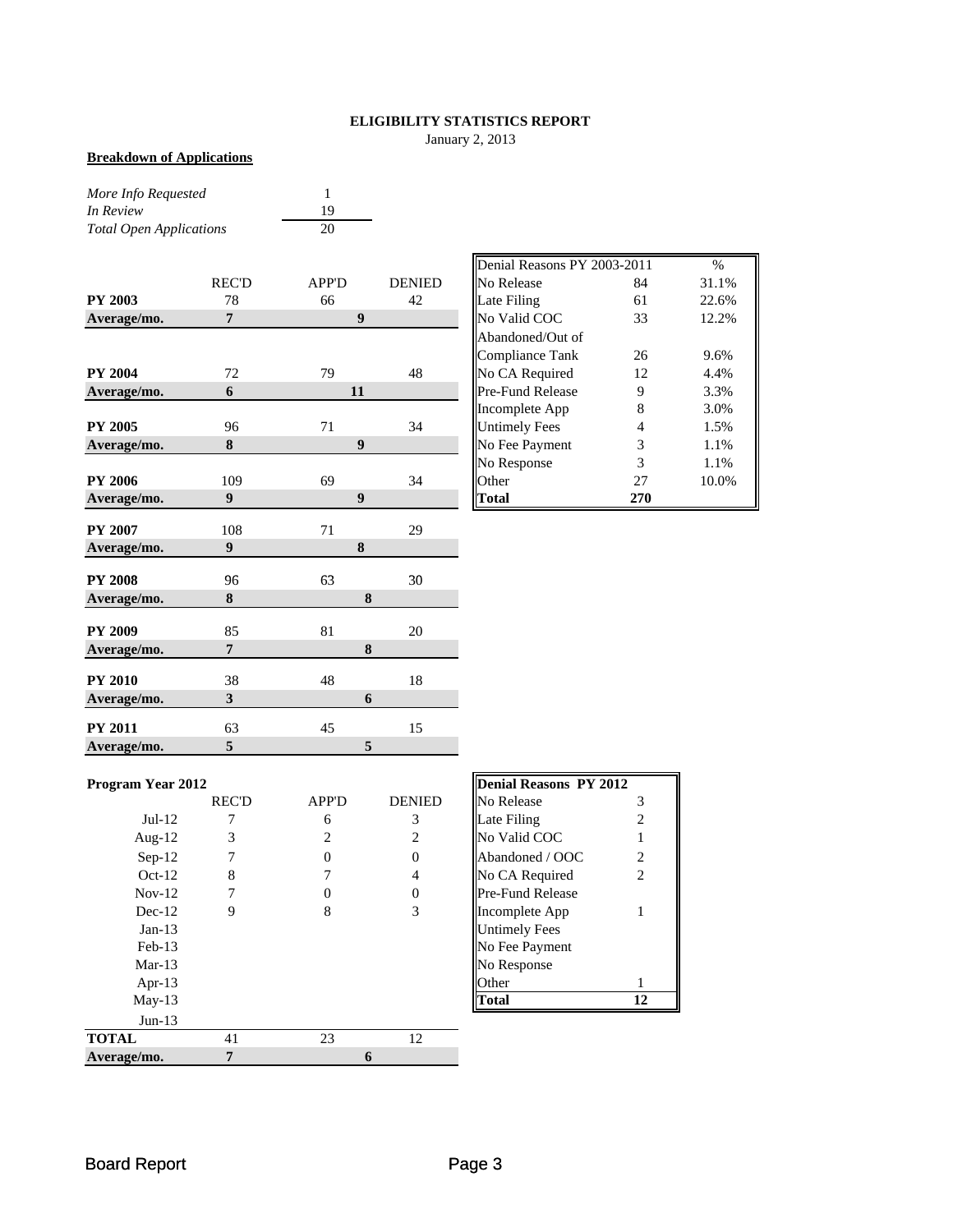## **ELIGIBILITY STATISTICS REPORT**

January 2, 2013

#### **Breakdown of Applications**

*More Info Requested* 1 *In Review* 19<br> *Total Open Applications* 20 **Total Open Applications** 

|                |                         |                  |               | $D$ cinai iscasons 1 1 2009-2011 |     | 7 U   |
|----------------|-------------------------|------------------|---------------|----------------------------------|-----|-------|
|                | <b>REC'D</b>            | APP'D            | <b>DENIED</b> | No Release                       | 84  | 31.1% |
| <b>PY 2003</b> | 78                      | 66               | 42            | Late Filing                      | 61  | 22.6% |
| Average/mo.    | $\overline{7}$          | $\boldsymbol{9}$ |               | No Valid COC                     | 33  | 12.2% |
|                |                         |                  |               | Abandoned/Out of                 |     |       |
|                |                         |                  |               | <b>Compliance Tank</b>           | 26  | 9.6%  |
| <b>PY 2004</b> | 72                      | 79               | 48            | No CA Required                   | 12  | 4.4%  |
| Average/mo.    | 6                       | 11               |               | Pre-Fund Release                 | 9   | 3.3%  |
|                |                         |                  |               | Incomplete App                   | 8   | 3.0%  |
| <b>PY 2005</b> | 96                      | 71               | 34            | <b>Untimely Fees</b>             | 4   | 1.5%  |
| Average/mo.    | 8                       | 9                |               | No Fee Payment                   | 3   | 1.1%  |
|                |                         |                  |               | No Response                      | 3   | 1.1%  |
| <b>PY 2006</b> | 109                     | 69               | 34            | Other                            | 27  | 10.0% |
| Average/mo.    | 9                       | $\boldsymbol{9}$ |               | <b>Total</b>                     | 270 |       |
| <b>PY 2007</b> |                         |                  |               |                                  |     |       |
|                | 108                     | 71               | 29            |                                  |     |       |
| Average/mo.    | 9                       | 8                |               |                                  |     |       |
| <b>PY 2008</b> | 96                      | 63               | 30            |                                  |     |       |
| Average/mo.    | 8                       |                  | 8             |                                  |     |       |
| <b>PY 2009</b> | 85                      | 81               | 20            |                                  |     |       |
| Average/mo.    | $\overline{7}$          |                  | 8             |                                  |     |       |
|                |                         |                  |               |                                  |     |       |
| <b>PY 2010</b> | 38                      | 48               | 18            |                                  |     |       |
| Average/mo.    | $\overline{\mathbf{3}}$ |                  | 6             |                                  |     |       |
| <b>PY 2011</b> | 63                      | 45               | 15            |                                  |     |       |
| Average/mo.    | 5                       |                  | 5             |                                  |     |       |

|       |              |               | Denial Reasons PY 2003-2011 |     | %     |
|-------|--------------|---------------|-----------------------------|-----|-------|
| REC'D | <b>APP'D</b> | <b>DENIED</b> | No Release                  | 84  | 31.1% |
| 78    | 66           | 42            | Late Filing                 | 61  | 22.6% |
| 7     | 9            |               | No Valid COC                | 33  | 12.2% |
|       |              |               | Abandoned/Out of            |     |       |
|       |              |               | <b>Compliance Tank</b>      | 26  | 9.6%  |
| 72    | 79           | 48            | No CA Required              | 12  | 4.4%  |
| 6     | 11           |               | Pre-Fund Release            | 9   | 3.3%  |
|       |              |               | Incomplete App              | 8   | 3.0%  |
| 96    | 71           | 34            | <b>Untimely Fees</b>        | 4   | 1.5%  |
| 8     | 9            |               | No Fee Payment              | 3   | 1.1%  |
|       |              |               | No Response                 | 3   | 1.1%  |
| 109   | 69           | 34            | <b>Other</b>                | 27  | 10.0% |
| 9     | 9            |               | Total                       | 270 |       |

| <b>Program Year 2012</b> |  |
|--------------------------|--|

|              | <b>REC'D</b> | <b>APP'D</b> | <b>DENIED</b> | No Release              | 3  |
|--------------|--------------|--------------|---------------|-------------------------|----|
| $Jul-12$     |              | 6            | 3             | Late Filing             | 2  |
| Aug- $12$    | 3            | 2            |               | No Valid COC            |    |
| $Sep-12$     |              | 0            | 0             | Abandoned / OOC         | 2  |
| $Oct-12$     | 8            |              | 4             | No CA Required          | 2  |
| $Nov-12$     |              |              | 0             | <b>Pre-Fund Release</b> |    |
| $Dec-12$     | 9            | 8            | 3             | Incomplete App          |    |
| $Jan-13$     |              |              |               | <b>Untimely Fees</b>    |    |
| $Feb-13$     |              |              |               | No Fee Payment          |    |
| $Mar-13$     |              |              |               | No Response             |    |
| Apr-13       |              |              |               | Other                   |    |
| $May-13$     |              |              |               | <b>Total</b>            | 12 |
| $Jun-13$     |              |              |               |                         |    |
| <b>TOTAL</b> | 41           | 23           | 12            |                         |    |
| Average/mo.  |              | 6            |               |                         |    |

| Program Year 2012 |              |              |               | Denial Reasons PY 2012  |    |
|-------------------|--------------|--------------|---------------|-------------------------|----|
|                   | <b>REC'D</b> | <b>APP'D</b> | <b>DENIED</b> | No Release              |    |
| $Jul-12$          |              | 6            | 3             | Late Filing             |    |
| Aug- $12$         | 3            | 2            |               | No Valid COC            |    |
| $Sep-12$          |              |              |               | Abandoned / OOC         | 2  |
| $Oct-12$          | 8            |              | 4             | No CA Required          | 2  |
| $Nov-12$          |              |              |               | <b>Pre-Fund Release</b> |    |
| $Dec-12$          | 9            | 8            | 3             | Incomplete App          |    |
| $Jan-13$          |              |              |               | <b>Untimely Fees</b>    |    |
| $Feb-13$          |              |              |               | No Fee Payment          |    |
| $Mar-13$          |              |              |               | No Response             |    |
| Apr- $13$         |              |              |               | <b>Other</b>            |    |
| $May-13$          |              |              |               | Total                   | 12 |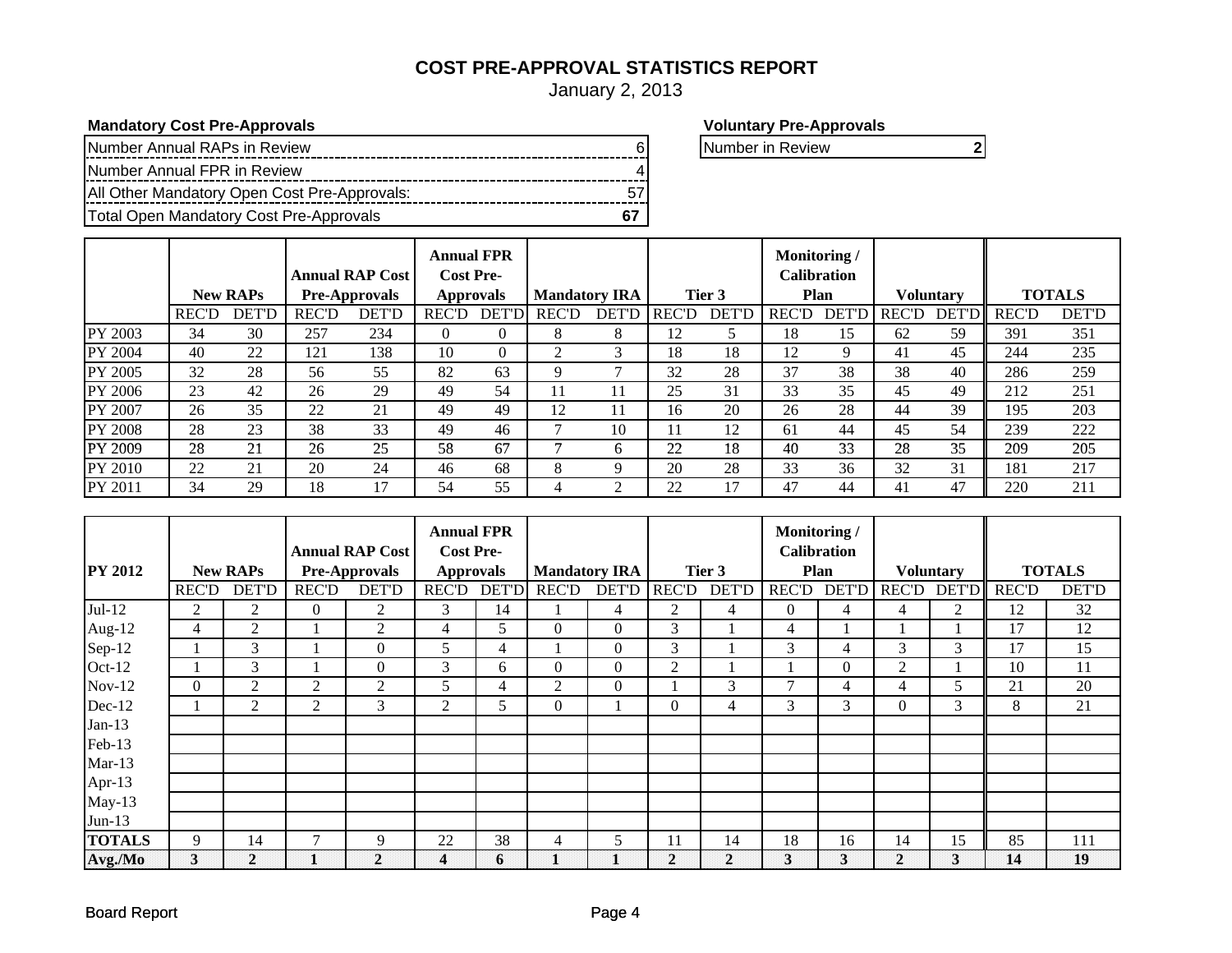# **COST PRE-APPROVAL STATISTICS REPORT**

January 2, 2013

**Mandatory Cost Pre-Approvals Voluntary Pre-Approvals**

| Number Annual RAPs in Review                 |  | INumber in Review |  |
|----------------------------------------------|--|-------------------|--|
| Number Annual FPR in Review                  |  |                   |  |
| All Other Mandatory Open Cost Pre-Approvals: |  |                   |  |
| Total Open Mandatory Cost Pre-Approvals      |  |                   |  |

|                |              |                 |              | <b>Annual RAP Cost</b> | <b>Annual FPR</b><br><b>Cost Pre-</b>    |              |              |              |              |              | Monitoring/      | <b>Calibration</b> |               |               |              |              |
|----------------|--------------|-----------------|--------------|------------------------|------------------------------------------|--------------|--------------|--------------|--------------|--------------|------------------|--------------------|---------------|---------------|--------------|--------------|
|                |              | <b>New RAPs</b> |              | <b>Pre-Approvals</b>   | <b>Mandatory IRA</b><br><b>Approvals</b> |              | Tier 3       |              | Plan         |              | <b>Voluntary</b> |                    | <b>TOTALS</b> |               |              |              |
|                | <b>REC'D</b> | <b>DET'D</b>    | <b>REC'D</b> | <b>DET'D</b>           | <b>REC'D</b>                             | <b>DET'D</b> | <b>REC'D</b> | <b>DET'D</b> | <b>REC'D</b> | <b>DET'D</b> | <b>REC'D</b>     | <b>DET'D</b>       | <b>REC'D</b>  | <b>DET'DI</b> | <b>REC'D</b> | <b>DET'D</b> |
| PY 2003        | 34           | 30              | 257          | 234                    | $^{(1)}$                                 | $\Omega$     | 8            | 8            | 12           |              | 18               | 15                 | 62            | 59            | 391          | 351          |
| PY 2004        | 40           | 22              | 121          | 138                    | 10                                       | $\theta$     | 2            | 3            | 18           | 18           | 12               | 9                  | 41            | 45            | 244          | 235          |
| PY 2005        | 32           | 28              | 56           | 55                     | 82                                       | 63           | 9            | ⇁            | 32           | 28           | 37               | 38                 | 38            | 40            | 286          | 259          |
| PY 2006        | 23           | 42              | 26           | 29                     | 49                                       | 54           | 11           | 11           | 25           | 31           | 33               | 35                 | 45            | 49            | 212          | 251          |
| PY 2007        | 26           | 35              | 22           | 21                     | 49                                       | 49           | 12           | 11           | 16           | 20           | 26               | 28                 | 44            | 39            | 195          | 203          |
| <b>PY 2008</b> | 28           | 23              | 38           | 33                     | 49                                       | 46           |              | 10           | 11           | 12           | -61              | 44                 | 45            | 54            | 239          | 222          |
| PY 2009        | 28           | 21              | 26           | 25                     | 58                                       | 67           |              | h.           | 22           | 18           | 40               | 33                 | 28            | 35            | 209          | 205          |
| PY 2010        | 22           | 21              | 20           | 24                     | 46                                       | 68           | 8            | 9            | 20           | 28           | 33               | 36                 | 32            | 31            | 181          | 217          |
| PY 2011        | 34           | 29              | 18           | 17                     | 54                                       | 55           |              | ◠            | 22           |              | 47               | 44                 | 41            | 47            | 220          | 211          |

|                |                |                 |                | <b>Annual RAP Cost</b> | <b>Annual FPR</b><br><b>Cost Pre-</b> |                |                      |                |                |                | Monitoring/  | <b>Calibration</b> |              |                  |              |               |
|----------------|----------------|-----------------|----------------|------------------------|---------------------------------------|----------------|----------------------|----------------|----------------|----------------|--------------|--------------------|--------------|------------------|--------------|---------------|
| <b>PY 2012</b> |                | <b>New RAPs</b> |                | <b>Pre-Approvals</b>   | <b>Approvals</b>                      |                | <b>Mandatory IRA</b> |                |                | Tier 3         |              | <b>Plan</b>        |              | <b>Voluntary</b> |              | <b>TOTALS</b> |
|                | <b>REC'D</b>   | <b>DET'D</b>    | <b>REC'D</b>   | <b>DET'D</b>           | <b>REC'D</b>                          | <b>DET'D</b>   | <b>REC'D</b>         | <b>DET'D</b>   | <b>REC'D</b>   | <b>DET'D</b>   | <b>REC'D</b> | <b>DET'D</b>       | <b>REC'D</b> | <b>DET'D</b>     | <b>REC'D</b> | <b>DET'D</b>  |
| $Jul-12$       | 2              | 2               | $\overline{0}$ | 2                      | 3                                     | 14             |                      | $\overline{4}$ | 2              | 4              | $\Omega$     | 4                  | 4            | 2                | 12           | 32            |
| Aug-12         | $\overline{4}$ | 2               |                | $\overline{2}$         | 4                                     | 5              | $\mathbf{0}$         | $\mathbf{0}$   | 3              |                | 4            |                    |              |                  | 17           | 12            |
| Sep-12         |                | 3               |                | $\mathbf{0}$           | 5                                     | $\overline{4}$ |                      | $\mathbf{0}$   | 3              |                | 3            | 4                  | 3            | 3                | 17           | 15            |
| Oct-12         |                | 3               |                | $\mathbf{0}$           | 3                                     | 6              | $\boldsymbol{0}$     | $\mathbf{0}$   | $\overline{2}$ |                |              | $\Omega$           | 2            |                  | 10           | 11            |
| $Nov-12$       | $\theta$       | 2               | $\overline{2}$ | $\overline{2}$         | 5                                     | $\overline{4}$ | $\overline{2}$       | $\mathbf{0}$   |                | 3              |              | 4                  | 4            | 5                | 21           | 20            |
| Dec-12         |                | $\overline{2}$  | $\overline{2}$ | 3                      | 2                                     | 5              | $\boldsymbol{0}$     |                | $\Omega$       | 4              | 3            | 3                  | $\theta$     | 3                | 8            | 21            |
| $Jan-13$       |                |                 |                |                        |                                       |                |                      |                |                |                |              |                    |              |                  |              |               |
| Feb-13         |                |                 |                |                        |                                       |                |                      |                |                |                |              |                    |              |                  |              |               |
| $Mar-13$       |                |                 |                |                        |                                       |                |                      |                |                |                |              |                    |              |                  |              |               |
| Apr-13         |                |                 |                |                        |                                       |                |                      |                |                |                |              |                    |              |                  |              |               |
| $May-13$       |                |                 |                |                        |                                       |                |                      |                |                |                |              |                    |              |                  |              |               |
| $Jun-13$       |                |                 |                |                        |                                       |                |                      |                |                |                |              |                    |              |                  |              |               |
| <b>TOTALS</b>  | 9              | 14              | 7              | 9                      | 22                                    | 38             | $\overline{4}$       | 5              | 11             | 14             | 18           | 16                 | 14           | 15               | 85           | 111           |
| Avg./Mo        | $\bf{3}$       | $\mathbf{2}$    |                | $\mathbf{2}$           | 4                                     | 6              |                      |                | $\mathbf{2}$   | $\overline{2}$ | $\mathbf{3}$ | 3                  | 2            | 3                | 14           | 19            |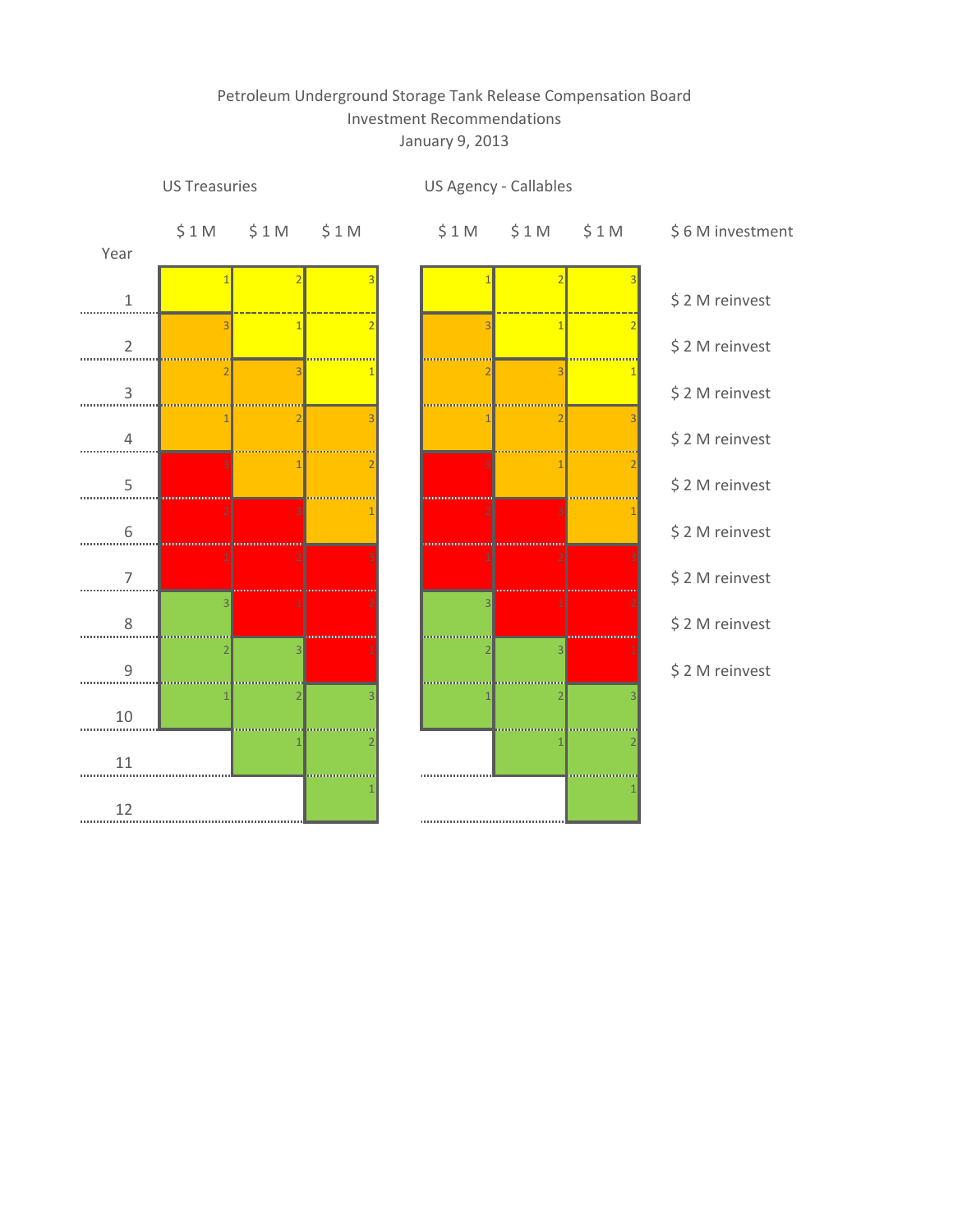# Petroleum Underground Storage Tank Release Compensation Board Investment Recommendations January 9, 2013

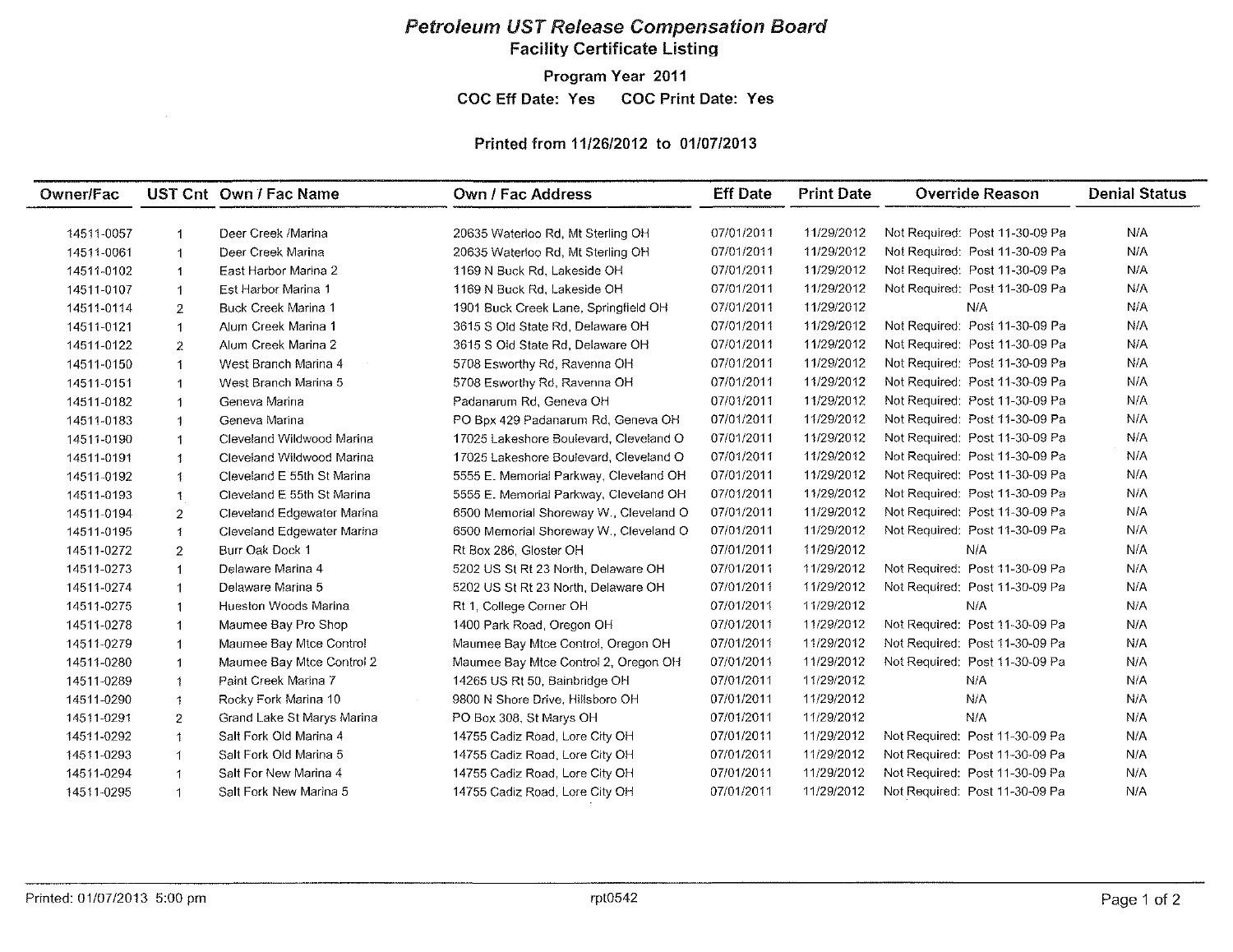## Petroleum UST Release Compensation Board Facility Certificate Listing

Program Year 2011

COC Eff Date: Yes COC Print Date: Yes

## Printed from *11/26/2012* to 01/07/2013

| Owner/Fac  |                         | UST Cnt Own / Fac Name     | Own / Fac Address                      | <b>Eff Date</b> | <b>Print Date</b> | <b>Override Reason</b>         | <b>Denial Status</b> |
|------------|-------------------------|----------------------------|----------------------------------------|-----------------|-------------------|--------------------------------|----------------------|
|            |                         |                            |                                        |                 |                   |                                |                      |
| 14511-0057 | $\overline{1}$          | Deer Creek /Marina         | 20635 Waterloo Rd, Mt Sterling OH      | 07/01/2011      | 11/29/2012        | Not Required: Post 11-30-09 Pa | N/A                  |
| 14511-0061 | -1                      | Deer Creek Marina          | 20635 Waterloo Rd, Mt Sterling OH      | 07/01/2011      | 11/29/2012        | Not Required: Post 11-30-09 Pa | N/A                  |
| 14511-0102 | $\overline{1}$          | East Harbor Marina 2       | 1169 N Buck Rd, Lakeside OH            | 07/01/2011      | 11/29/2012        | Not Required: Post 11-30-09 Pa | N/A                  |
| 14511-0107 | $\overline{1}$          | Est Harbor Marina 1        | 1169 N Buck Rd, Lakeside OH            | 07/01/2011      | 11/29/2012        | Not Required: Post 11-30-09 Pa | N/A                  |
| 14511-0114 | $\overline{2}$          | Buck Creek Marina 1        | 1901 Buck Creek Lane, Springfield OH   | 07/01/2011      | 11/29/2012        | N/A                            | N/A                  |
| 14511-0121 | $\mathbf 1$             | Alum Creek Marina 1        | 3615 S Old State Rd, Delaware OH       | 07/01/2011      | 11/29/2012        | Not Required: Post 11-30-09 Pa | N/A                  |
| 14511-0122 | 2                       | Alum Creek Marina 2        | 3615 S Old State Rd, Delaware OH       | 07/01/2011      | 11/29/2012        | Not Required: Post 11-30-09 Pa | N/A                  |
| 14511-0150 | -1                      | West Branch Marina 4       | 5708 Esworthy Rd, Ravenna OH           | 07/01/2011      | 11/29/2012        | Not Required: Post 11-30-09 Pa | N/A                  |
| 14511-0151 | $\mathbf{1}$            | West Branch Marina 5       | 5708 Esworthy Rd, Ravenna OH           | 07/01/2011      | 11/29/2012        | Not Required: Post 11-30-09 Pa | N/A                  |
| 14511-0182 | $\mathbf{1}$            | Geneva Marina              | Padanarum Rd, Geneva OH                | 07/01/2011      | 11/29/2012        | Not Required: Post 11-30-09 Pa | N/A                  |
| 14511-0183 | $\overline{\mathbf{1}}$ | Geneva Marina              | PO Bpx 429 Padanarum Rd, Geneva OH     | 07/01/2011      | 11/29/2012        | Not Required: Post 11-30-09 Pa | N/A                  |
| 14511-0190 | $\mathbf{1}$            | Cleveland Wildwood Marina  | 17025 Lakeshore Boulevard, Cleveland O | 07/01/2011      | 11/29/2012        | Not Required: Post 11-30-09 Pa | N/A                  |
| 14511-0191 | $\mathbf{1}$            | Cleveland Wildwood Marina  | 17025 Lakeshore Boulevard, Cleveland O | 07/01/2011      | 11/29/2012        | Not Required: Post 11-30-09 Pa | N/A                  |
| 14511-0192 | $\mathbf{1}$            | Cleveland E 55th St Marina | 5555 E. Memorial Parkway, Cleveland OH | 07/01/2011      | 11/29/2012        | Not Required: Post 11-30-09 Pa | N/A                  |
| 14511-0193 | $\mathbf{1}$            | Cleveland E 55th St Marina | 5555 E. Memorial Parkway, Cleveland OH | 07/01/2011      | 11/29/2012        | Not Required: Post 11-30-09 Pa | N/A                  |
| 14511-0194 | $\overline{2}$          | Cleveland Edgewater Marina | 6500 Memorial Shoreway W., Cleveland O | 07/01/2011      | 11/29/2012        | Not Required: Post 11-30-09 Pa | N/A                  |
| 14511-0195 | $\uparrow$              | Cleveland Edgewater Marina | 6500 Memorial Shoreway W., Cleveland O | 07/01/2011      | 11/29/2012        | Not Required: Post 11-30-09 Pa | N/A                  |
| 14511-0272 | 2                       | Burr Oak Dock 1            | Rt Box 286, Gloster OH                 | 07/01/2011      | 11/29/2012        | N/A                            | N/A                  |
| 14511-0273 | $\mathbf{1}$            | Delaware Marina 4          | 5202 US St Rt 23 North, Delaware OH    | 07/01/2011      | 11/29/2012        | Not Required: Post 11-30-09 Pa | N/A                  |
| 14511-0274 | $\mathbf{1}$            | Delaware Marina 5          | 5202 US St Rt 23 North, Delaware OH    | 07/01/2011      | 11/29/2012        | Not Required: Post 11-30-09 Pa | N/A                  |
| 14511-0275 | $\mathbf{1}$            | Hueston Woods Marina       | Rt 1, College Corner OH                | 07/01/2011      | 11/29/2012        | N/A                            | N/A                  |
| 14511-0278 | $\mathbf{1}$            | Maumee Bay Pro Shop        | 1400 Park Road, Oregon OH              | 07/01/2011      | 11/29/2012        | Not Required: Post 11-30-09 Pa | N/A                  |
| 14511-0279 | $\mathbf{1}$            | Maumee Bay Mtce Control    | Maumee Bay Mtce Control, Oregon OH     | 07/01/2011      | 11/29/2012        | Not Required: Post 11-30-09 Pa | N/A                  |
| 14511-0280 | $\mathbf{1}$            | Maumee Bay Mtce Control 2  | Maumee Bay Mtce Control 2, Oregon OH   | 07/01/2011      | 11/29/2012        | Not Required: Post 11-30-09 Pa | N/A                  |
| 14511-0289 | $\ddot{\phantom{1}}$    | Paint Creek Marina 7       | 14265 US Rt 50, Bainbridge OH          | 07/01/2011      | 11/29/2012        | N/A                            | N/A                  |
| 14511-0290 | $\mathbf{1}$            | Rocky Fork Marina 10       | 9800 N Shore Drive, Hillsboro OH       | 07/01/2011      | 11/29/2012        | N/A                            | N/A                  |
| 14511-0291 | $\overline{2}$          | Grand Lake St Marys Marina | PO Box 308, St Marys OH                | 07/01/2011      | 11/29/2012        | N/A                            | N/A                  |
| 14511-0292 | $\mathbf{1}$            | Salt Fork Old Marina 4     | 14755 Cadiz Road, Lore City OH         | 07/01/2011      | 11/29/2012        | Not Required: Post 11-30-09 Pa | N/A                  |
| 14511-0293 | $\mathbf{1}$            | Salt Fork Old Marina 5     | 14755 Cadiz Road, Lore City OH         | 07/01/2011      | 11/29/2012        | Not Required: Post 11-30-09 Pa | N/A                  |
| 14511-0294 | $\blacktriangleleft$    | Salt For New Marina 4      | 14755 Cadiz Road, Lore City OH         | 07/01/2011      | 11/29/2012        | Not Required: Post 11-30-09 Pa | N/A                  |
| 14511-0295 | $\blacktriangleleft$    | Salt Fork New Marina 5     | 14755 Cadiz Road, Lore City OH         | 07/01/2011      | 11/29/2012        | Not Required: Post 11-30-09 Pa | N/A                  |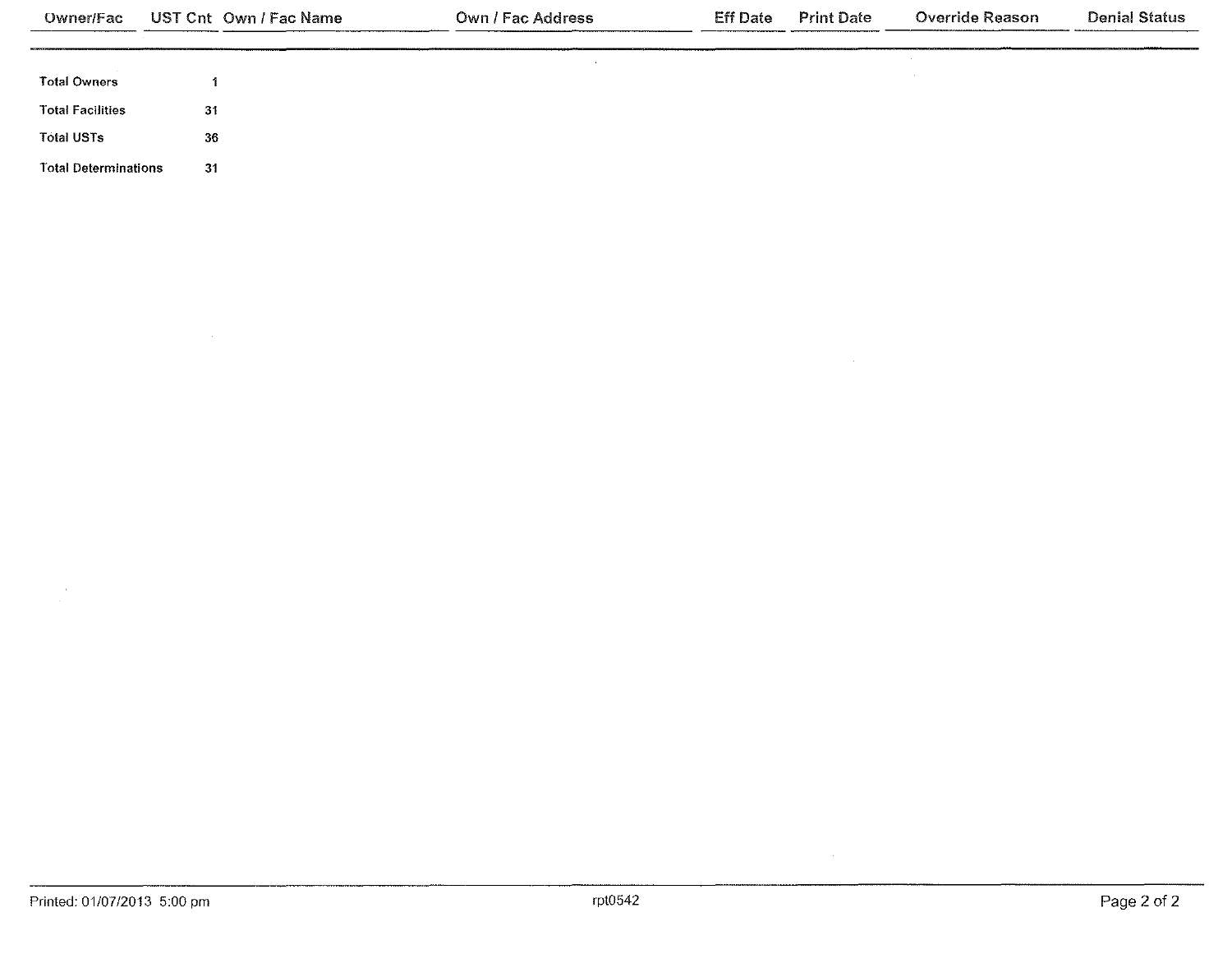| Owner/Fac                   | UST Cnt Own / Fac Name | Own / Fac Address | Eff Date | <b>Print Date</b> | Override Reason | <b>Denial Status</b> |
|-----------------------------|------------------------|-------------------|----------|-------------------|-----------------|----------------------|
|                             |                        |                   |          |                   | $\sim$          |                      |
| <b>Total Owners</b>         |                        |                   |          |                   |                 |                      |
| <b>Total Facilities</b>     | 31                     |                   |          |                   |                 |                      |
| <b>Total USTs</b>           | 36                     |                   |          |                   |                 |                      |
| <b>Total Determinations</b> | 31                     |                   |          |                   |                 |                      |

 $\frac{1}{\sqrt{2}}$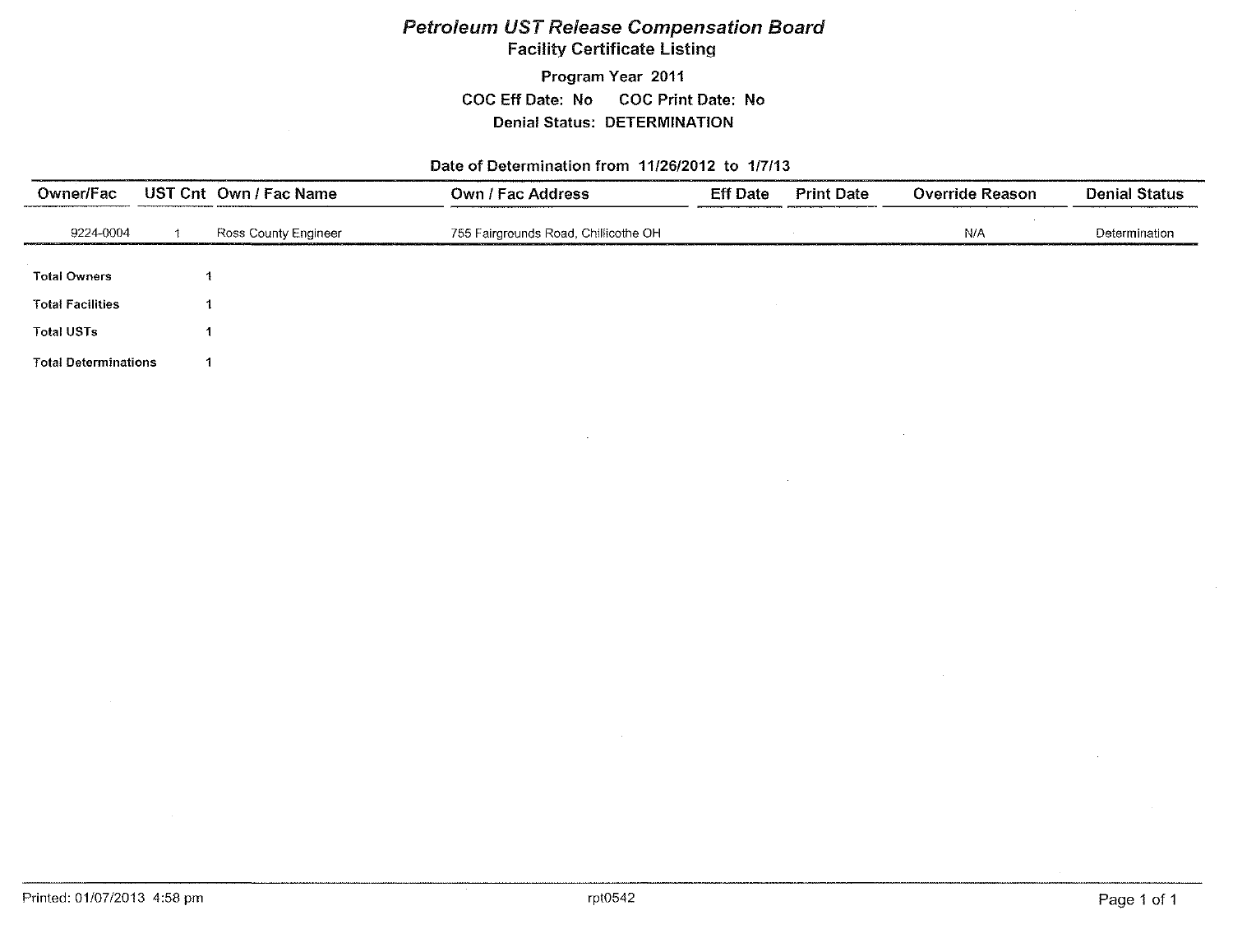## Petroleum UST Release Compensation Board Facility Certificate Listing

Program Year 2011 COC Eff Date: No COC Print Date: No Denial Status: DETERMINATION

#### Date of Determination from 11/26/2012 to 117/13

| Owner/Fac                   | UST Cnt Own / Fac Name | <b>Own / Fac Address</b>             | <b>Eff Date</b> | <b>Print Date</b> | <b>Override Reason</b> | <b>Denial Status</b> |
|-----------------------------|------------------------|--------------------------------------|-----------------|-------------------|------------------------|----------------------|
| 9224-0004                   | Ross County Engineer   | 755 Fairgrounds Road, Chillicothe OH |                 |                   | N/A                    | Determination        |
| <b>Total Owners</b>         |                        |                                      |                 |                   |                        |                      |
| <b>Total Facilities</b>     |                        |                                      |                 |                   |                        |                      |
| <b>Total USTs</b>           |                        |                                      |                 |                   |                        |                      |
| <b>Total Determinations</b> |                        |                                      |                 |                   |                        |                      |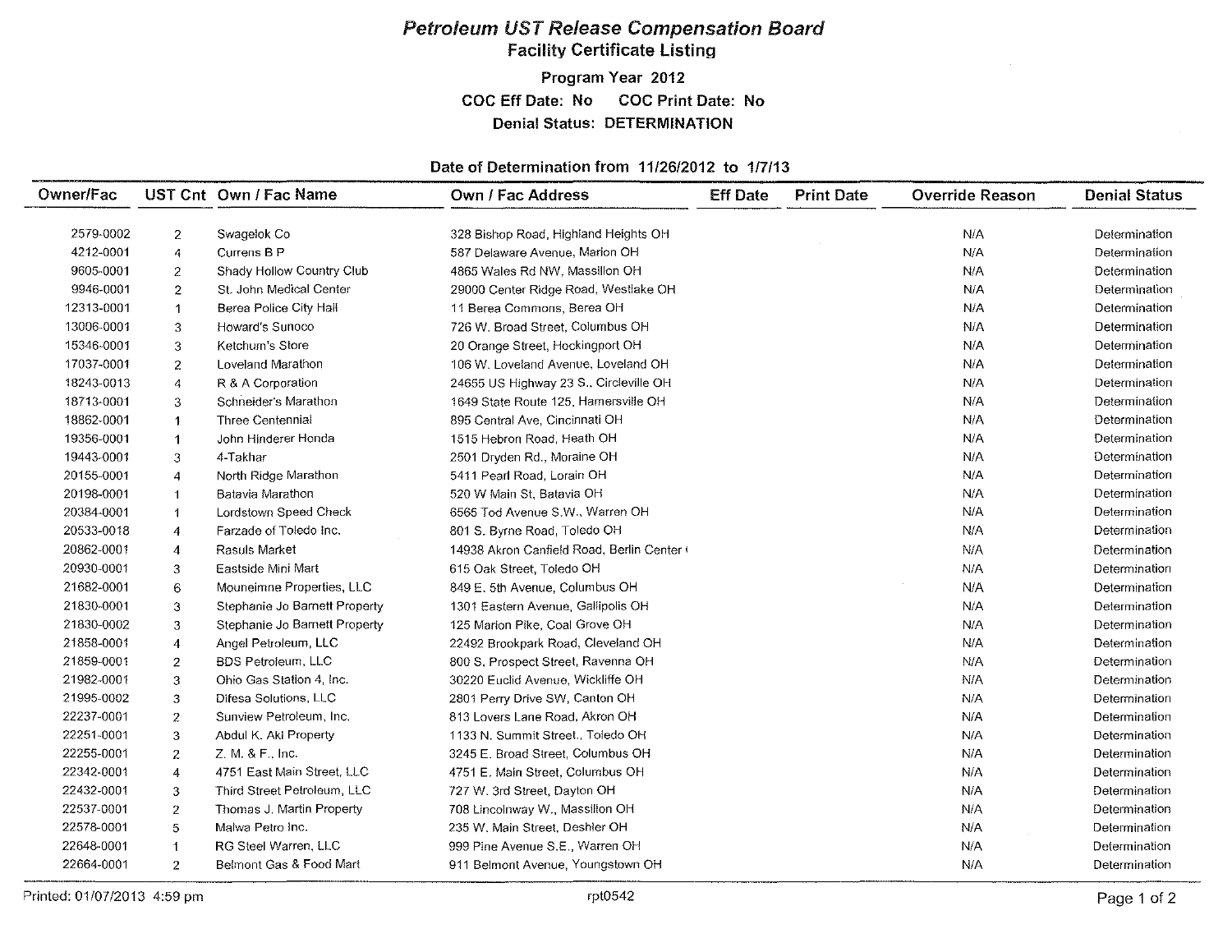# Petroleum UST Release Compensation Board Facility Certificate Listing

Program Year 2012 COC Eff Date: No COC Print Date: No Denial Status: DETERMINATION

#### Date of Determination from 11/26/2012 to 117/13

| Owner/Fac  |                | UST Cnt Own / Fac Name        | <b>Own / Fac Address</b>                   | <b>Eff Date</b> | <b>Print Date</b> | <b>Override Reason</b> | <b>Denial Status</b> |
|------------|----------------|-------------------------------|--------------------------------------------|-----------------|-------------------|------------------------|----------------------|
|            |                |                               |                                            |                 |                   |                        |                      |
| 2579-0002  | $\mathbf{2}$   | Swagelok Co                   | 328 Bishop Road, Highland Heights OH       |                 |                   | N/A                    | Determination        |
| 4212-0001  | 4              | Currens B P                   | 587 Delaware Avenue, Marion OH             |                 |                   | N/A                    | Determination        |
| 9605-0001  | $\mathbf{2}$   | Shady Hollow Country Club     | 4865 Wales Rd NW, Massillon OH             |                 |                   | N/A                    | Determination        |
| 9946-0001  | $\overline{2}$ | St. John Medical Center       | 29000 Center Ridge Road, Westlake OH       |                 |                   | N/A                    | Determination        |
| 12313-0001 | -1             | Berea Police City Hall        | 11 Berea Commons, Berea OH                 |                 |                   | N/A                    | Determination        |
| 13006-0001 | 3              | Howard's Sunoco               | 726 W. Broad Street, Columbus OH           |                 |                   | N/A                    | Determination        |
| 15346-0001 | 3              | Ketchum's Store               | 20 Orange Street, Hockingport OH           |                 |                   | N/A                    | Determination        |
| 17037-0001 | $\overline{2}$ | Loveland Marathon             | 106 W. Loveland Avenue, Loveland OH        |                 |                   | N/A                    | Determination        |
| 18243-0013 | 4              | R & A Corporation             | 24655 US Highway 23 S., Circleville OH     |                 |                   | N/A                    | Determination        |
| 18713-0001 | 3              | Schneider's Marathon          | 1649 State Route 125, Hamersville OH       |                 |                   | N/A                    | Determination        |
| 18862-0001 | $\mathbf{1}$   | Three Centennial              | 895 Central Ave, Cincinnati OH             |                 |                   | N/A                    | Determination        |
| 19356-0001 | $\overline{1}$ | John Hinderer Honda           | 1515 Hebron Road, Heath OH                 |                 |                   | N/A                    | Determination        |
| 19443-0001 | 3              | 4-Takhar                      | 2501 Dryden Rd., Moraine OH                |                 |                   | N/A                    | Determination        |
| 20155-0001 | 4              | North Ridge Marathon          | 5411 Pearl Road, Lorain OH                 |                 |                   | N/A                    | Determination        |
| 20198-0001 |                | Batavia Marathon              | 520 W Main St, Batavia OH                  |                 |                   | N/A                    | Determination        |
| 20384-0001 |                | Lordstown Speed Check         | 6565 Tod Avenue S.W., Warren OH            |                 |                   | N/A                    | Determination        |
| 20533-0018 | 4              | Farzade of Toledo Inc.        | 801 S. Byrne Road, Toledo OH               |                 |                   | N/A                    | Determination        |
| 20862-0001 | $\overline{4}$ | <b>Rasuls Market</b>          | 14938 Akron Canfield Road, Berlin Center ( |                 |                   | N/A                    | Determination        |
| 20930-0001 | 3              | Eastside Mini Mart            | 615 Oak Street, Toledo OH                  |                 |                   | N/A                    | Determination        |
| 21682-0001 | 6              | Mouneimne Properties, LLC     | 849 E. 5th Avenue, Columbus OH             |                 |                   | N/A                    | Determination        |
| 21830-0001 | 3              | Stephanie Jo Barnett Property | 1301 Eastern Avenue, Gallipolis OH         |                 |                   | N/A                    | Determination        |
| 21830-0002 | 3              | Stephanie Jo Barnett Property | 125 Marion Pike, Coal Grove OH             |                 |                   | N/A                    | Determination        |
| 21858-0001 | $\overline{4}$ | Angel Petroleum, LLC          | 22492 Brookpark Road, Cleveland OH         |                 |                   | N/A                    | Determination        |
| 21859-0001 | $\overline{2}$ | <b>BDS Petroleum, LLC</b>     | 800 S, Prospect Street, Ravenna OH         |                 |                   | N/A                    | Determination        |
| 21982-0001 | 3              | Ohio Gas Station 4, Inc.      | 30220 Euclid Avenue, Wickliffe OH          |                 |                   | N/A                    | Determination        |
| 21995-0002 | 3              | Difesa Solutions, LLC         | 2801 Perry Drive SW, Canton OH             |                 |                   | N/A                    | Determination        |
| 22237-0001 | $\mathbf{z}$   | Sunview Petroleum, Inc.       | 813 Lovers Lane Road, Akron OH             |                 |                   | N/A                    | Determination        |
| 22251-0001 | 3              | Abdul K. Aki Property         | 1133 N. Summit Street., Toledo OH          |                 |                   | N/A                    | Determination        |
| 22255-0001 | $\overline{2}$ | Z. M. & F., Inc.              | 3245 E. Broad Street, Columbus OH          |                 |                   | N/A                    | Determination        |
| 22342-0001 | $\overline{4}$ | 4751 East Main Street, LLC    | 4751 E. Main Street, Columbus OH           |                 |                   | N/A                    | Determination        |
| 22432-0001 | 3              | Third Street Petroleum, LLC   | 727 W. 3rd Street, Dayton OH               |                 |                   | N/A                    | Determination        |
| 22537-0001 | $\overline{2}$ | Thomas J. Martin Property     | 708 Lincolnway W., Massillon OH            |                 |                   | N/A                    | Determination        |
| 22578-0001 | 5              | Malwa Petro Inc.              | 235 W. Main Street, Deshler OH             |                 |                   | N/A                    | Determination        |
| 22648-0001 | 1              | RG Steel Warren, LLC          | 999 Pine Avenue S.E., Warren OH            |                 |                   | N/A                    | Determination        |
| 22664-0001 | $\overline{2}$ | Belmont Gas & Food Mart       | 911 Belmont Avenue, Youngstown OH          |                 |                   | N/A                    | Determination        |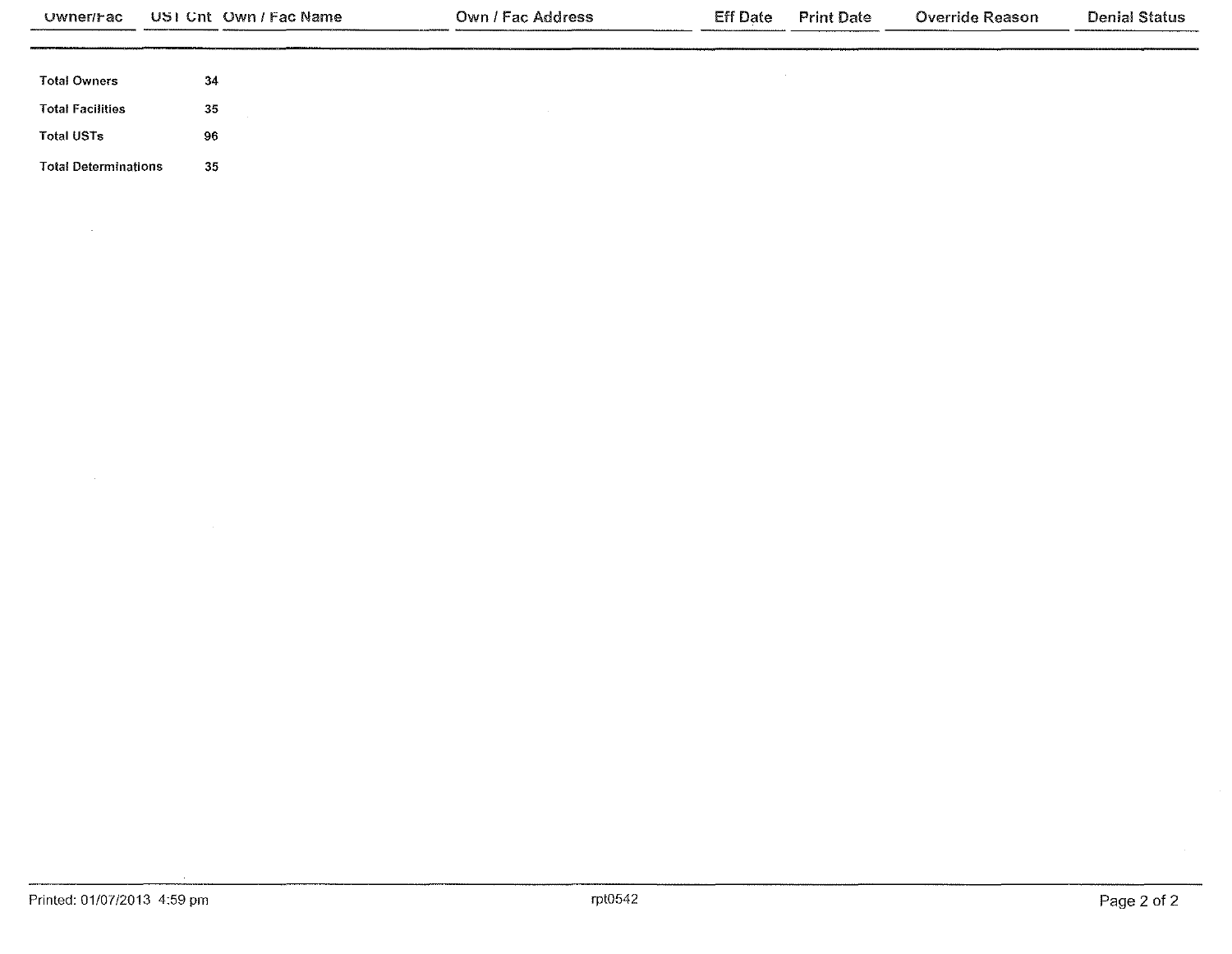| <b>Owner/Fac</b>            | USI Cnt Own / Fac Name | Own / Fac Address | <b>Eff Date</b> | <b>Print Date</b> | <b>Override Reason</b> | <b>Denial Status</b> |
|-----------------------------|------------------------|-------------------|-----------------|-------------------|------------------------|----------------------|
|                             |                        |                   |                 |                   |                        |                      |
| <b>Total Owners</b>         | 34                     |                   |                 |                   |                        |                      |
| <b>Total Facilities</b>     | 35                     |                   |                 |                   |                        |                      |
| <b>Total USTs</b>           | 96                     |                   |                 |                   |                        |                      |
| <b>Total Determinations</b> | 35                     |                   |                 |                   |                        |                      |

 $\sim$ 

 $\mathcal{L}$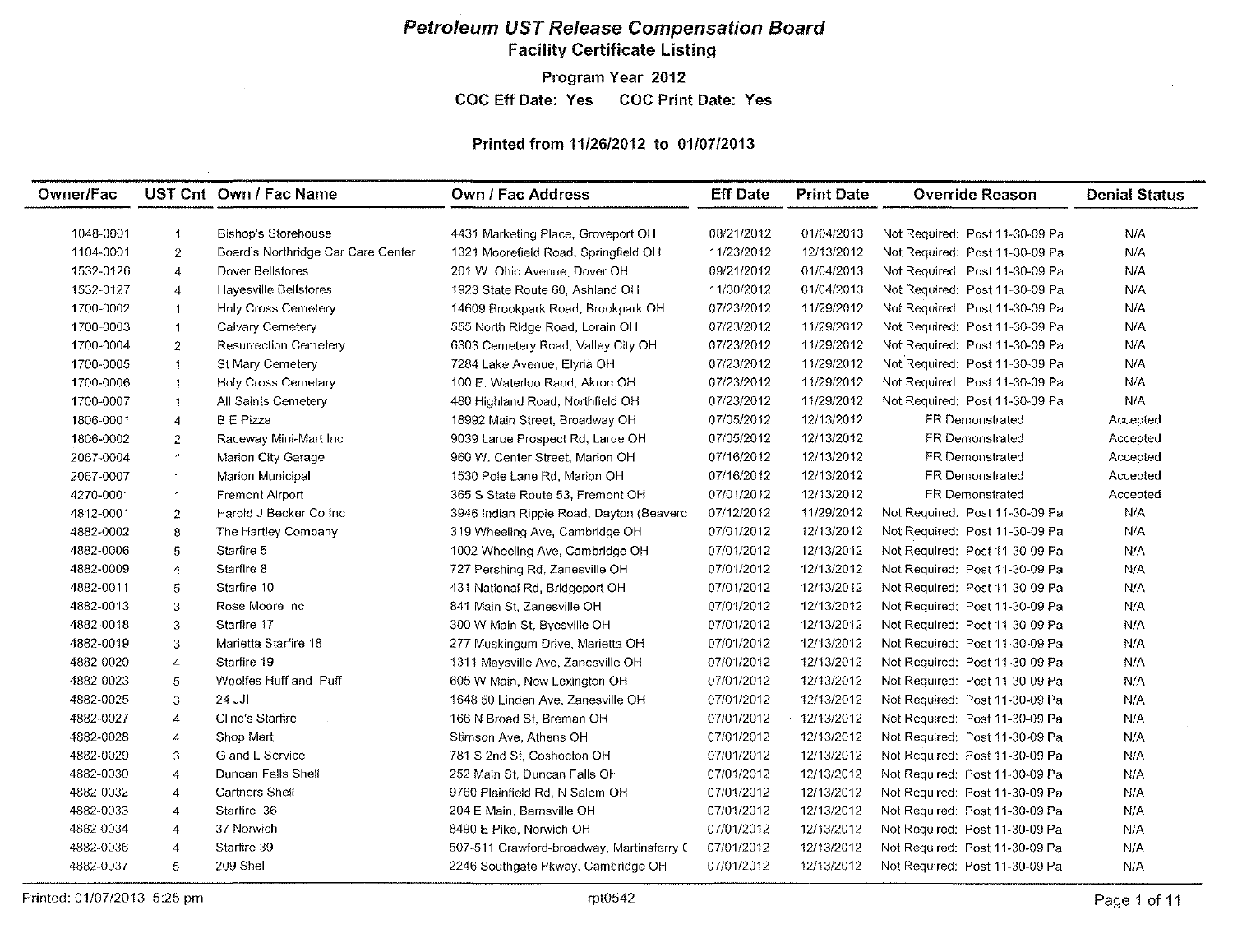# Petroleum UST Release Compensation Board Facility Certificate Listing

Program Year 2012

COC Eff Date: Yes COC Print Date: Yes

#### Printed from 11/26/2012 to 01/07/2013

| Owner/Fac |                         | UST Cnt Own / Fac Name             | <b>Own / Fac Address</b>                  | <b>Eff Date</b> | <b>Print Date</b> | <b>Override Reason</b>         | <b>Denial Status</b> |
|-----------|-------------------------|------------------------------------|-------------------------------------------|-----------------|-------------------|--------------------------------|----------------------|
|           |                         |                                    |                                           |                 |                   |                                |                      |
| 1048-0001 | -1                      | <b>Bishop's Storehouse</b>         | 4431 Marketing Place, Groveport OH        | 08/21/2012      | 01/04/2013        | Not Required: Post 11-30-09 Pa | N/A                  |
| 1104-0001 | $\overline{2}$          | Board's Northridge Car Care Center | 1321 Moorefield Road, Springfield OH      | 11/23/2012      | 12/13/2012        | Not Required: Post 11-30-09 Pa | N/A                  |
| 1532-0126 | 4                       | Dover Bellstores                   | 201 W. Ohio Avenue. Dover OH              | 09/21/2012      | 01/04/2013        | Not Required: Post 11-30-09 Pa | N/A                  |
| 1532-0127 | $\overline{4}$          | <b>Hayesville Bellstores</b>       | 1923 State Route 60, Ashland OH           | 11/30/2012      | 01/04/2013        | Not Required: Post 11-30-09 Pa | N/A                  |
| 1700-0002 | $\mathbf{1}$            | <b>Holy Cross Cemetery</b>         | 14609 Brookpark Road, Brookpark OH        | 07/23/2012      | 11/29/2012        | Not Required: Post 11-30-09 Pa | N/A                  |
| 1700-0003 | $\mathbf{1}$            | Calvary Cemetery                   | 555 North Ridge Road, Lorain OH           | 07/23/2012      | 11/29/2012        | Not Required: Post 11-30-09 Pa | N/A                  |
| 1700-0004 | $\overline{c}$          | <b>Resurrection Cemetery</b>       | 6303 Cemetery Road, Valley City OH        | 07/23/2012      | 11/29/2012        | Not Required: Post 11-30-09 Pa | N/A                  |
| 1700-0005 | $\ddot{1}$              | St Mary Cemetery                   | 7284 Lake Avenue, Elvria OH               | 07/23/2012      | 11/29/2012        | Not Required: Post 11-30-09 Pa | N/A                  |
| 1700-0006 | $\mathbf{1}$            | Holy Cross Cemetary                | 100 E. Waterloo Raod, Akron OH            | 07/23/2012      | 11/29/2012        | Not Required: Post 11-30-09 Pa | N/A                  |
| 1700-0007 | $\ddagger$              | All Saints Cemetery                | 480 Highland Road, Northfield OH          | 07/23/2012      | 11/29/2012        | Not Required: Post 11-30-09 Pa | N/A                  |
| 1806-0001 | 4                       | <b>B</b> E Pizza                   | 18992 Main Street, Broadway OH            | 07/05/2012      | 12/13/2012        | <b>FR Demonstrated</b>         | Accepted             |
| 1806-0002 | $\overline{\mathbf{c}}$ | Raceway Mini-Mart Inc              | 9039 Larue Prospect Rd, Larue OH          | 07/05/2012      | 12/13/2012        | <b>FR Demonstrated</b>         | Accepted             |
| 2067-0004 | $\uparrow$              | Marion City Garage                 | 960 W. Center Street, Marion OH           | 07/16/2012      | 12/13/2012        | <b>FR Demonstrated</b>         | Accepted             |
| 2067-0007 | $\blacktriangleleft$    | Marion Municipal                   | 1530 Pole Lane Rd, Marion OH              | 07/16/2012      | 12/13/2012        | FR Demonstrated                | Accepted             |
| 4270-0001 | $\mathbf{1}$            | Fremont Airport                    | 365 S State Route 53, Fremont OH          | 07/01/2012      | 12/13/2012        | FR Demonstrated                | Accepted             |
| 4812-0001 | $\boldsymbol{2}$        | Harold J Becker Co Inc             | 3946 Indian Ripple Road, Dayton (Beaverc  | 07/12/2012      | 11/29/2012        | Not Required: Post 11-30-09 Pa | N/A                  |
| 4882-0002 | $\bf8$                  | The Hartley Company                | 319 Wheeling Ave, Cambridge OH            | 07/01/2012      | 12/13/2012        | Not Required: Post 11-30-09 Pa | N/A                  |
| 4882-0006 | $\mathfrak s$           | Starfire 5                         | 1002 Wheeling Ave, Cambridge OH           | 07/01/2012      | 12/13/2012        | Not Required: Post 11-30-09 Pa | N/A                  |
| 4882-0009 | 4                       | Starfire 8                         | 727 Pershing Rd, Zanesville OH            | 07/01/2012      | 12/13/2012        | Not Required: Post 11-30-09 Pa | N/A                  |
| 4882-0011 | 5                       | Starfire 10                        | 431 National Rd, Bridgeport OH            | 07/01/2012      | 12/13/2012        | Not Required: Post 11-30-09 Pa | N/A                  |
| 4882-0013 | 3                       | Rose Moore Inc.                    | 841 Main St, Zanesville OH                | 07/01/2012      | 12/13/2012        | Not Required: Post 11-30-09 Pa | N/A                  |
| 4882-0018 | 3                       | Starfire 17                        | 300 W Main St, Byesville OH               | 07/01/2012      | 12/13/2012        | Not Required: Post 11-30-09 Pa | N/A                  |
| 4882-0019 | 3                       | Marietta Starfire 18               | 277 Muskingum Drive, Marietta OH          | 07/01/2012      | 12/13/2012        | Not Required: Post 11-30-09 Pa | N/A                  |
| 4882-0020 | $\overline{4}$          | Starfire 19                        | 1311 Maysville Ave, Zanesville OH         | 07/01/2012      | 12/13/2012        | Not Required: Post 11-30-09 Pa | N/A                  |
| 4882-0023 | 5                       | Woolfes Huff and Puff              | 605 W Main, New Lexington OH              | 07/01/2012      | 12/13/2012        | Not Required: Post 11-30-09 Pa | N/A                  |
| 4882-0025 | 3                       | 24 JJI                             | 1648 50 Linden Ave, Zanesville OH         | 07/01/2012      | 12/13/2012        | Not Required: Post 11-30-09 Pa | N/A                  |
| 4882-0027 | 4                       | Cline's Starfire                   | 166 N Broad St, Breman OH                 | 07/01/2012      | 12/13/2012        | Not Required: Post 11-30-09 Pa | N/A                  |
| 4882-0028 | 4                       | Shop Mart                          | Stimson Ave, Athens OH                    | 07/01/2012      | 12/13/2012        | Not Required: Post 11-30-09 Pa | N/A                  |
| 4882-0029 | 3                       | G and L Service                    | 781 S 2nd St, Coshocton OH                | 07/01/2012      | 12/13/2012        | Not Required: Post 11-30-09 Pa | N/A                  |
| 4882-0030 | 4                       | Duncan Falls Shell                 | 252 Main St, Duncan Falls OH              | 07/01/2012      | 12/13/2012        | Not Required: Post 11-30-09 Pa | N/A                  |
| 4882-0032 | $\overline{4}$          | <b>Cartners Shell</b>              | 9760 Plainfield Rd, N Salem OH            | 07/01/2012      | 12/13/2012        | Not Required: Post 11-30-09 Pa | N/A                  |
| 4882-0033 | 4                       | Starfire 36                        | 204 E Main, Barnsville OH                 | 07/01/2012      | 12/13/2012        | Not Required: Post 11-30-09 Pa | N/A                  |
| 4882-0034 | $\overline{4}$          | 37 Norwich                         | 8490 E Pike, Norwich OH                   | 07/01/2012      | 12/13/2012        | Not Required: Post 11-30-09 Pa | N/A                  |
| 4882-0036 | 4                       | Starfire 39                        | 507-511 Crawford-broadway, Martinsferry C | 07/01/2012      | 12/13/2012        | Not Required: Post 11-30-09 Pa | N/A                  |
| 4882-0037 | 5                       | 209 Shell                          | 2246 Southgate Pkway, Cambridge OH        | 07/01/2012      | 12/13/2012        | Not Required: Post 11-30-09 Pa | N/A                  |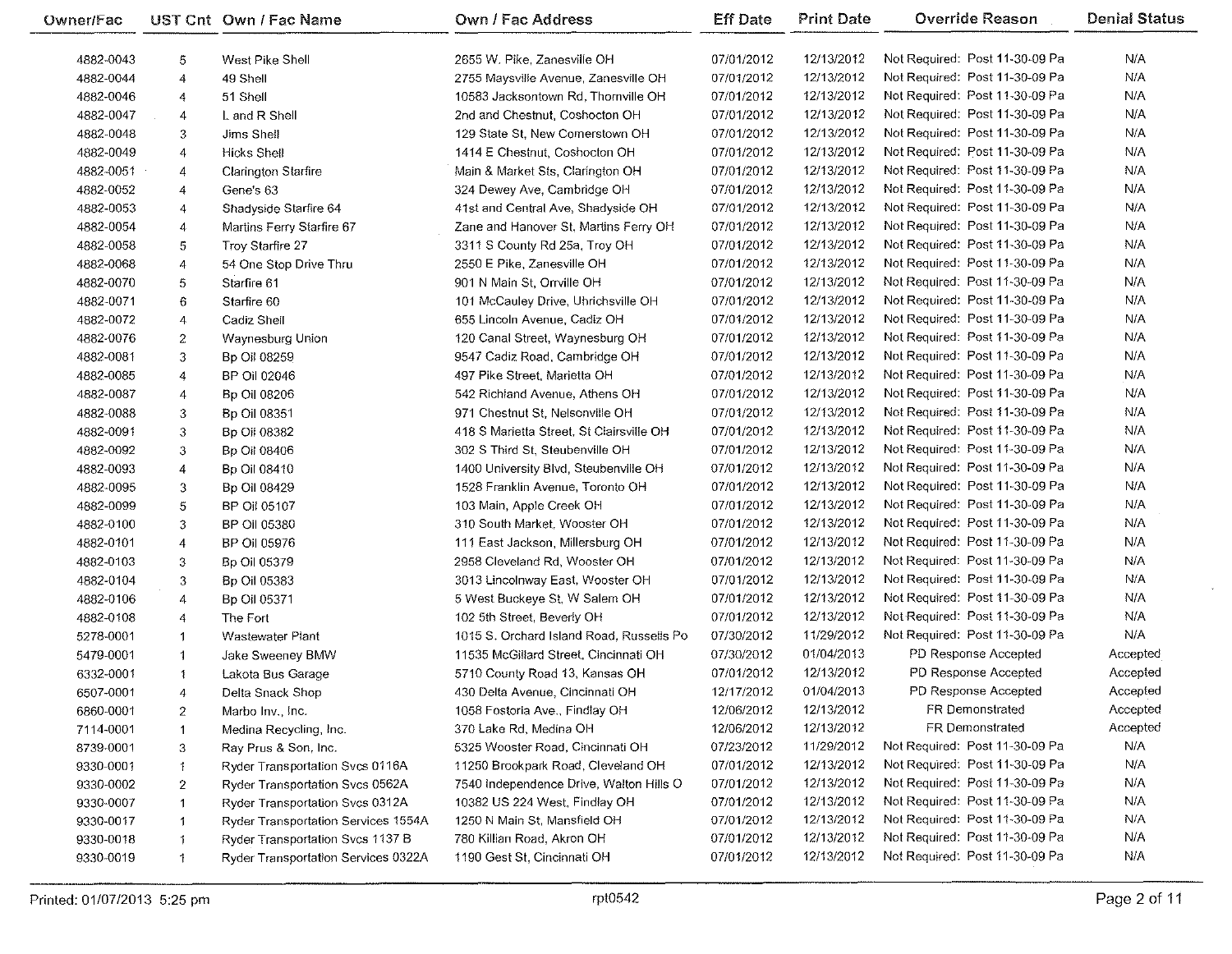| <b>Owner/Fac</b> |                | UST Cnt Own / Fac Name              | Own / Fac Address                        | <b>Eff Date</b> | <b>Print Date</b> | <b>Override Reason</b>         | <b>Denial Status</b> |
|------------------|----------------|-------------------------------------|------------------------------------------|-----------------|-------------------|--------------------------------|----------------------|
| 4882-0043        | 5              | West Pike Shell                     | 2655 W. Pike, Zanesville OH              | 07/01/2012      | 12/13/2012        | Not Required: Post 11-30-09 Pa | N/A                  |
| 4882-0044        | 4              | 49 Shell                            | 2755 Maysville Avenue, Zanesville OH     | 07/01/2012      | 12/13/2012        | Not Required: Post 11-30-09 Pa | N/A                  |
| 4882-0046        | 4              | 51 Shell                            | 10583 Jacksontown Rd, Thornville OH      | 07/01/2012      | 12/13/2012        | Not Required: Post 11-30-09 Pa | N/A                  |
| 4882-0047        | 4              | L and R Shell                       | 2nd and Chestnut, Coshocton OH           | 07/01/2012      | 12/13/2012        | Not Required: Post 11-30-09 Pa | N/A                  |
| 4882-0048        | 3              | Jims Shell                          | 129 State St, New Comerstown OH          | 07/01/2012      | 12/13/2012        | Not Required: Post 11-30-09 Pa | N/A                  |
| 4882-0049        | 4              | <b>Hicks Shell</b>                  | 1414 E Chestnut, Coshocton OH            | 07/01/2012      | 12/13/2012        | Not Required: Post 11-30-09 Pa | N/A                  |
| 4882-0051        | 4              | Clarington Starfire                 | Main & Market Sts, Clarington OH         | 07/01/2012      | 12/13/2012        | Not Required: Post 11-30-09 Pa | N/A                  |
| 4882-0052        | 4              | Gene's 63                           | 324 Dewey Ave, Cambridge OH              | 07/01/2012      | 12/13/2012        | Not Required: Post 11-30-09 Pa | N/A                  |
| 4882-0053        | 4              | Shadyside Starfire 64               | 41st and Central Ave, Shadyside OH       | 07/01/2012      | 12/13/2012        | Not Required: Post 11-30-09 Pa | N/A                  |
| 4882-0054        | 4              | Martins Ferry Starfire 67           | Zane and Hanover St, Martins Ferry OH    | 07/01/2012      | 12/13/2012        | Not Required: Post 11-30-09 Pa | N/A                  |
| 4882-0058        | 5              | Troy Starfire 27                    | 3311 S County Rd 25a, Troy OH            | 07/01/2012      | 12/13/2012        | Not Required: Post 11-30-09 Pa | N/A                  |
| 4882-0068        | 4              | 54 One Stop Drive Thru              | 2550 E Pike, Zanesville OH               | 07/01/2012      | 12/13/2012        | Not Required: Post 11-30-09 Pa | N/A                  |
| 4882-0070        | 5              | Starfire 61                         | 901 N Main St, Orrville OH               | 07/01/2012      | 12/13/2012        | Not Required: Post 11-30-09 Pa | N/A                  |
| 4882-0071        | 6              | Starfire 60                         | 101 McCauley Drive, Uhrichsville OH      | 07/01/2012      | 12/13/2012        | Not Required: Post 11-30-09 Pa | N/A                  |
| 4882-0072        | 4              | Cadiz Shell                         | 655 Lincoln Avenue, Cadiz OH             | 07/01/2012      | 12/13/2012        | Not Required: Post 11-30-09 Pa | N/A                  |
| 4882-0076        | $\overline{c}$ | Waynesburg Union                    | 120 Canal Street, Waynesburg OH          | 07/01/2012      | 12/13/2012        | Not Required: Post 11-30-09 Pa | N/A                  |
| 4882-0081        | 3              | Bp Oil 08259                        | 9547 Cadiz Road, Cambridge OH            | 07/01/2012      | 12/13/2012        | Not Required: Post 11-30-09 Pa | N/A                  |
| 4882-0085        | 4              | BP Oil 02046                        | 497 Pike Street, Marietta OH             | 07/01/2012      | 12/13/2012        | Not Required: Post 11-30-09 Pa | N/A                  |
| 4882-0087        | 4              | Bp Oil 08206                        | 542 Richland Avenue, Athens OH           | 07/01/2012      | 12/13/2012        | Not Required: Post 11-30-09 Pa | N/A                  |
| 4882-0088        | 3              | Bp Oil 08351                        | 971 Chestnut St, Nelsonville OH          | 07/01/2012      | 12/13/2012        | Not Required: Post 11-30-09 Pa | N/A                  |
| 4882-0091        | 3              | Bp Oil 08382                        | 418 S Marietta Street, St Clairsville OH | 07/01/2012      | 12/13/2012        | Not Required: Post 11-30-09 Pa | N/A                  |
| 4882-0092        | 3              | Bp Oil 08406                        | 302 S Third St, Steubenville OH          | 07/01/2012      | 12/13/2012        | Not Required: Post 11-30-09 Pa | N/A                  |
| 4882-0093        | 4              | <b>Bp Oil 08410</b>                 | 1400 University Blvd, Steubenville OH    | 07/01/2012      | 12/13/2012        | Not Required: Post 11-30-09 Pa | N/A                  |
| 4882-0095        | 3              | Bp Oil 08429                        | 1528 Franklin Avenue, Toronto OH         | 07/01/2012      | 12/13/2012        | Not Required: Post 11-30-09 Pa | N/A                  |
| 4882-0099        | 5              | BP Oil 05107                        | 103 Main, Apple Creek OH                 | 07/01/2012      | 12/13/2012        | Not Required: Post 11-30-09 Pa | N/A                  |
| 4882-0100        | 3              | <b>BP Oil 05380</b>                 | 310 South Market, Wooster OH             | 07/01/2012      | 12/13/2012        | Not Required: Post 11-30-09 Pa | N/A                  |
| 4882-0101        | 4              | <b>BP Oil 05976</b>                 | 111 East Jackson, Millersburg OH         | 07/01/2012      | 12/13/2012        | Not Required: Post 11-30-09 Pa | N/A                  |
| 4882-0103        | 3              | Bp Oil 05379                        | 2958 Cleveland Rd, Wooster OH            | 07/01/2012      | 12/13/2012        | Not Required: Post 11-30-09 Pa | N/A                  |
| 4882-0104        | 3              | Bp Oil 05383                        | 3013 Lincolnway East, Wooster OH         | 07/01/2012      | 12/13/2012        | Not Required: Post 11-30-09 Pa | N/A                  |
| 4882-0106        | 4              | Bp Oil 05371                        | 5 West Buckeye St, W Salem OH            | 07/01/2012      | 12/13/2012        | Not Required: Post 11-30-09 Pa | N/A                  |
| 4882-0108        | 4              | The Fort                            | 102 5th Street, Beverly OH               | 07/01/2012      | 12/13/2012        | Not Required: Post 11-30-09 Pa | N/A                  |
| 5278-0001        | $\mathbf{1}$   | <b>Wastewater Plant</b>             | 1015 S. Orchard Island Road, Russells Po | 07/30/2012      | 11/29/2012        | Not Required: Post 11-30-09 Pa | N/A                  |
| 5479-0001        | $\overline{1}$ | Jake Sweeney BMW                    | 11535 McGillard Street, Cincinnati OH    | 07/30/2012      | 01/04/2013        | PD Response Accepted           | Accepted             |
| 6332-0001        | $\mathbf{1}$   | Lakota Bus Garage                   | 5710 County Road 13, Kansas OH           | 07/01/2012      | 12/13/2012        | PD Response Accepted           | Accepted             |
| 6507-0001        | 4              | Delta Snack Shop                    | 430 Delta Avenue, Cincinnati OH          | 12/17/2012      | 01/04/2013        | PD Response Accepted           | Accepted             |
| 6860-0001        | $\overline{2}$ | Marbo Inv., Inc.                    | 1058 Fostoria Ave., Findlay OH           | 12/06/2012      | 12/13/2012        | FR Demonstrated                | Accepted             |
| 7114-0001        | $\mathbf{1}$   | Medina Recycling, Inc.              | 370 Lake Rd, Medina OH                   | 12/06/2012      | 12/13/2012        | FR Demonstrated                | Accepted             |
| 8739-0001        | 3              | Ray Prus & Son, Inc.                | 5325 Wooster Road, Cincinnati OH         | 07/23/2012      | 11/29/2012        | Not Required: Post 11-30-09 Pa | N/A                  |
| 9330-0001        | 1.             | Ryder Transportation Svcs 0116A     | 11250 Brookpark Road, Cleveland OH       | 07/01/2012      | 12/13/2012        | Not Required: Post 11-30-09 Pa | N/A                  |
| 9330-0002        | 2              | Ryder Transportation Svcs 0562A     | 7540 Independence Drive, Walton Hills O  | 07/01/2012      | 12/13/2012        | Not Required: Post 11-30-09 Pa | N/A                  |
| 9330-0007        | $\mathbf{1}$   | Ryder Transportation Svcs 0312A     | 10382 US 224 West, Findlay OH            | 07/01/2012      | 12/13/2012        | Not Required: Post 11-30-09 Pa | N/A                  |
| 9330-0017        | 1              | Ryder Transportation Services 1554A | 1250 N Main St, Mansfield OH             | 07/01/2012      | 12/13/2012        | Not Required: Post 11-30-09 Pa | N/A                  |
| 9330-0018        | 1.             | Ryder Transportation Svcs 1137 B    | 780 Killian Road, Akron OH               | 07/01/2012      | 12/13/2012        | Not Required: Post 11-30-09 Pa | N/A                  |
| 9330-0019        | $\ddagger$     | Ryder Transportation Services 0322A | 1190 Gest St, Cincinnati OH              | 07/01/2012      | 12/13/2012        | Not Required: Post 11-30-09 Pa | <b>N/A</b>           |
|                  |                |                                     |                                          |                 |                   |                                |                      |

 $\sim$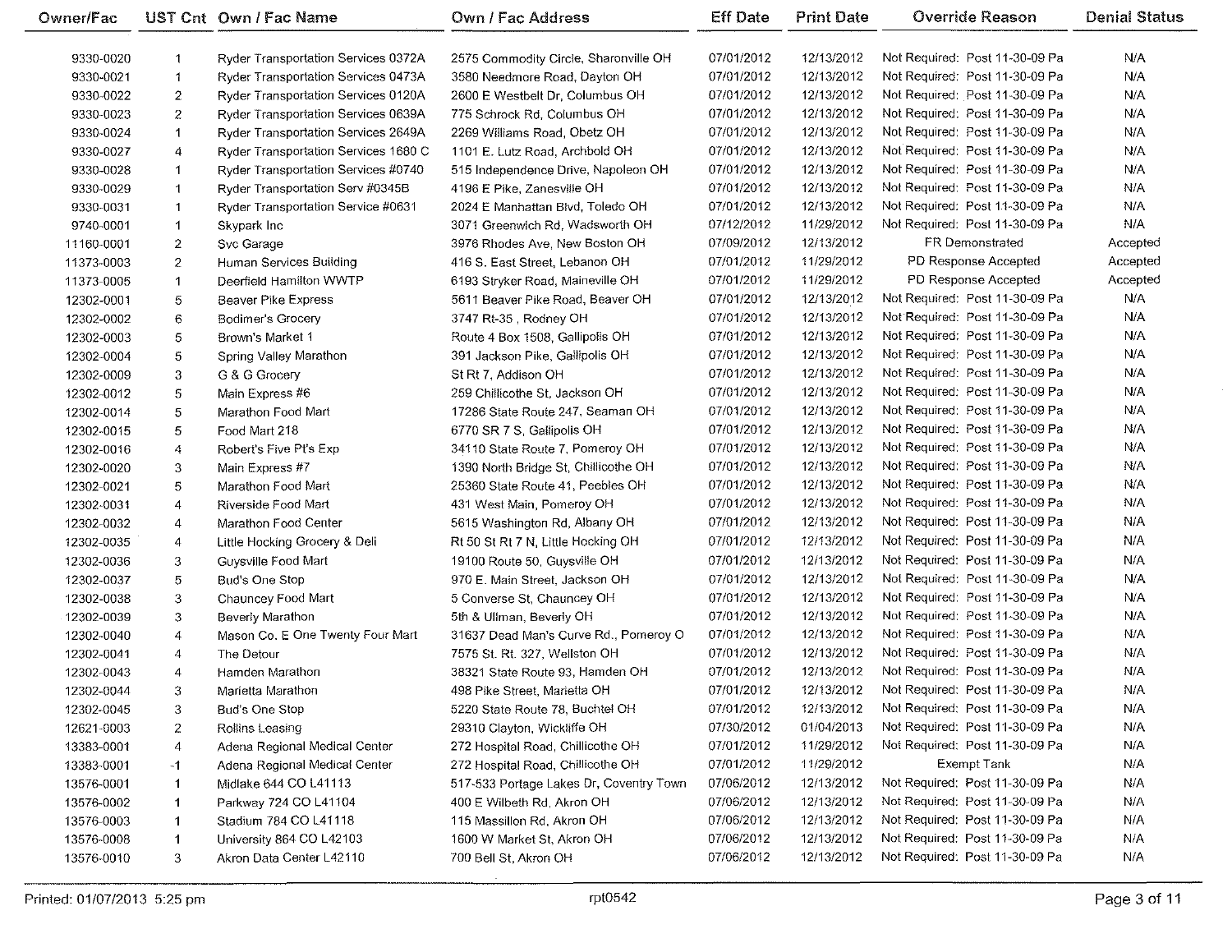| Owner/Fac  |                | UST Cnt Own / Fac Name               | <b>Own / Fac Address</b>                | <b>Eff Date</b> | <b>Print Date</b> | <b>Override Reason</b>         | <b>Denial Status</b> |
|------------|----------------|--------------------------------------|-----------------------------------------|-----------------|-------------------|--------------------------------|----------------------|
| 9330-0020  |                | Ryder Transportation Services 0372A  | 2575 Commodity Circle, Sharonville OH   | 07/01/2012      | 12/13/2012        | Not Required: Post 11-30-09 Pa | N/A                  |
| 9330-0021  | $\mathbf{1}$   | Ryder Transportation Services 0473A  | 3580 Needmore Road, Dayton OH           | 07/01/2012      | 12/13/2012        | Not Required: Post 11-30-09 Pa | N/A                  |
| 9330-0022  | $\overline{2}$ | Ryder Transportation Services 0120A  | 2600 E Westbelt Dr, Columbus OH         | 07/01/2012      | 12/13/2012        | Not Required: Post 11-30-09 Pa | N/A                  |
| 9330-0023  | $\overline{2}$ | Ryder Transportation Services 0639A  | 775 Schrock Rd, Columbus OH             | 07/01/2012      | 12/13/2012        | Not Required: Post 11-30-09 Pa | N/A                  |
| 9330-0024  | $\mathbf 1$    | Ryder Transportation Services 2649A  | 2269 Williams Road, Obetz OH            | 07/01/2012      | 12/13/2012        | Not Required: Post 11-30-09 Pa | N/A                  |
| 9330-0027  | 4              | Ryder Transportation Services 1680 C | 1101 E. Lutz Road, Archbold OH          | 07/01/2012      | 12/13/2012        | Not Required: Post 11-30-09 Pa | N/A                  |
| 9330-0028  | $\mathbf 1$    | Ryder Transportation Services #0740  | 515 Independence Drive, Napoleon OH     | 07/01/2012      | 12/13/2012        | Not Required: Post 11-30-09 Pa | N/A                  |
| 9330-0029  | $\mathbf{1}$   | Ryder Transportation Serv #0345B     | 4196 E Pike, Zanesville OH              | 07/01/2012      | 12/13/2012        | Not Required: Post 11-30-09 Pa | N/A                  |
| 9330-0031  | $\mathbf{1}$   | Ryder Transportation Service #0631   | 2024 E Manhattan Blvd, Toledo OH        | 07/01/2012      | 12/13/2012        | Not Required: Post 11-30-09 Pa | N/A                  |
| 9740-0001  | $\mathbf 1$    | Skypark Inc                          | 3071 Greenwich Rd, Wadsworth OH         | 07/12/2012      | 11/29/2012        | Not Required: Post 11-30-09 Pa | N/A                  |
| 11160-0001 | $\mathbf{2}$   | Svc Garage                           | 3976 Rhodes Ave, New Boston OH          | 07/09/2012      | 12/13/2012        | FR Demonstrated                | Accepted             |
| 11373-0003 | $\mathbf{2}$   | Human Services Building              | 416 S. East Street, Lebanon OH          | 07/01/2012      | 11/29/2012        | PD Response Accepted           | Accepted             |
| 11373-0005 | $\mathbf{1}$   | Deerfield Hamilton WWTP              | 6193 Stryker Road, Maineville OH        | 07/01/2012      | 11/29/2012        | PD Response Accepted           | Accepted             |
| 12302-0001 | 5              | Beaver Pike Express                  | 5611 Beaver Pike Road, Beaver OH        | 07/01/2012      | 12/13/2012        | Not Required: Post 11-30-09 Pa | N/A                  |
| 12302-0002 | 6              | Bodimer's Grocery                    | 3747 Rt-35, Rodney OH                   | 07/01/2012      | 12/13/2012        | Not Required: Post 11-30-09 Pa | N/A                  |
| 12302-0003 | 5              | Brown's Market 1                     | Route 4 Box 1508, Gallipolis OH         | 07/01/2012      | 12/13/2012        | Not Required: Post 11-30-09 Pa | N/A                  |
| 12302-0004 | 5              | Spring Valley Marathon               | 391 Jackson Pike, Gallipolis OH         | 07/01/2012      | 12/13/2012        | Not Required: Post 11-30-09 Pa | N/A                  |
| 12302-0009 | 3              | G & G Grocery                        | St Rt 7, Addison OH                     | 07/01/2012      | 12/13/2012        | Not Required: Post 11-30-09 Pa | N/A                  |
| 12302-0012 | 5              | Main Express #6                      | 259 Chillicothe St. Jackson OH          | 07/01/2012      | 12/13/2012        | Not Required: Post 11-30-09 Pa | N/A                  |
| 12302-0014 | 5              | Marathon Food Mart                   | 17286 State Route 247, Seaman OH        | 07/01/2012      | 12/13/2012        | Not Required: Post 11-30-09 Pa | N/A                  |
| 12302-0015 | 5.             | Food Mart 218                        | 6770 SR 7 S, Gallipolis OH              | 07/01/2012      | 12/13/2012        | Not Required: Post 11-30-09 Pa | N/A                  |
| 12302-0016 | 4              | Robert's Five Pt's Exp               | 34110 State Route 7, Pomeroy OH         | 07/01/2012      | 12/13/2012        | Not Required: Post 11-30-09 Pa | N/A                  |
| 12302-0020 | $\overline{3}$ | Main Express #7                      | 1390 North Bridge St, Chillicothe OH    | 07/01/2012      | 12/13/2012        | Not Required: Post 11-30-09 Pa | N/A                  |
| 12302-0021 | 5              | Marathon Food Mart                   | 25360 State Route 41, Peebles OH        | 07/01/2012      | 12/13/2012        | Not Required: Post 11-30-09 Pa | N/A                  |
| 12302-0031 | 4              | Riverside Food Mart                  | 431 West Main, Pomeroy OH               | 07/01/2012      | 12/13/2012        | Not Required: Post 11-30-09 Pa | N/A                  |
| 12302-0032 | 4              | Marathon Food Center                 | 5615 Washington Rd, Albany OH           | 07/01/2012      | 12/13/2012        | Not Required: Post 11-30-09 Pa | N/A                  |
| 12302-0035 | 4              | Little Hocking Grocery & Deli        | Rt 50 St Rt 7 N, Little Hocking OH      | 07/01/2012      | 12/13/2012        | Not Required: Post 11-30-09 Pa | N/A                  |
| 12302-0036 | 3              | Guysville Food Mart                  | 19100 Route 50, Guysville OH            | 07/01/2012      | 12/13/2012        | Not Required: Post 11-30-09 Pa | N/A                  |
| 12302-0037 | 5              | Bud's One Stop                       | 970 E. Main Street, Jackson OH          | 07/01/2012      | 12/13/2012        | Not Required: Post 11-30-09 Pa | N/A                  |
| 12302-0038 | 3              | Chauncey Food Mart                   | 5 Converse St, Chauncey OH              | 07/01/2012      | 12/13/2012        | Not Required: Post 11-30-09 Pa | N/A                  |
| 12302-0039 | 3              | Beverly Marathon                     | 5th & Ullman, Beverly OH                | 07/01/2012      | 12/13/2012        | Not Required: Post 11-30-09 Pa | N/A                  |
| 12302-0040 | 4              | Mason Co. E One Twenty Four Mart     | 31637 Dead Man's Curve Rd., Pomeroy O   | 07/01/2012      | 12/13/2012        | Not Required: Post 11-30-09 Pa | N/A                  |
| 12302-0041 | 4              | The Detour                           | 7575 St. Rt. 327, Wellston OH           | 07/01/2012      | 12/13/2012        | Not Required: Post 11-30-09 Pa | N/A                  |
| 12302-0043 | $\overline{4}$ | Hamden Marathon                      | 38321 State Route 93, Hamden OH         | 07/01/2012      | 12/13/2012        | Not Required: Post 11-30-09 Pa | N/A                  |
| 12302-0044 | 3              | Marietta Marathon                    | 498 Pike Street, Marietta OH            | 07/01/2012      | 12/13/2012        | Not Required: Post 11-30-09 Pa | N/A                  |
| 12302-0045 | 3              | <b>Bud's One Stop</b>                | 5220 State Route 78, Buchtel OH         | 07/01/2012      | 12/13/2012        | Not Required: Post 11-30-09 Pa | N/A                  |
| 12621-0003 | $\overline{z}$ | Rollins Leasing                      | 29310 Clayton, Wickliffe OH             | 07/30/2012      | 01/04/2013        | Not Required: Post 11-30-09 Pa | N/A                  |
| 13383-0001 | 4              | Adena Regional Medical Center        | 272 Hospital Road, Chillicothe OH       | 07/01/2012      | 11/29/2012        | Not Required: Post 11-30-09 Pa | N/A                  |
| 13383-0001 | -1             | Adena Regional Medical Center        | 272 Hospital Road, Chillicothe OH       | 07/01/2012      | 11/29/2012        | Exempt Tank                    | N/A                  |
| 13576-0001 | -1             | Midlake 644 CO L41113                | 517-533 Portage Lakes Dr, Coventry Town | 07/06/2012      | 12/13/2012        | Not Required: Post 11-30-09 Pa | N/A                  |
| 13576-0002 |                | Parkway 724 CO L41104                | 400 E Wilbeth Rd, Akron OH              | 07/06/2012      | 12/13/2012        | Not Required: Post 11-30-09 Pa | N/A                  |
| 13576-0003 | 1              | Stadium 784 CO L41118                | 115 Massillon Rd, Akron OH              | 07/06/2012      | 12/13/2012        | Not Required: Post 11-30-09 Pa | N/A                  |
| 13576-0008 |                | University 864 CO L42103             | 1600 W Market St, Akron OH              | 07/06/2012      | 12/13/2012        | Not Required: Post 11-30-09 Pa | N/A                  |
| 13576-0010 | 3              | Akron Data Center L42110             | 700 Bell St, Akron OH                   | 07/06/2012      | 12/13/2012        | Not Required: Post 11-30-09 Pa | N/A                  |
|            |                |                                      |                                         |                 |                   |                                |                      |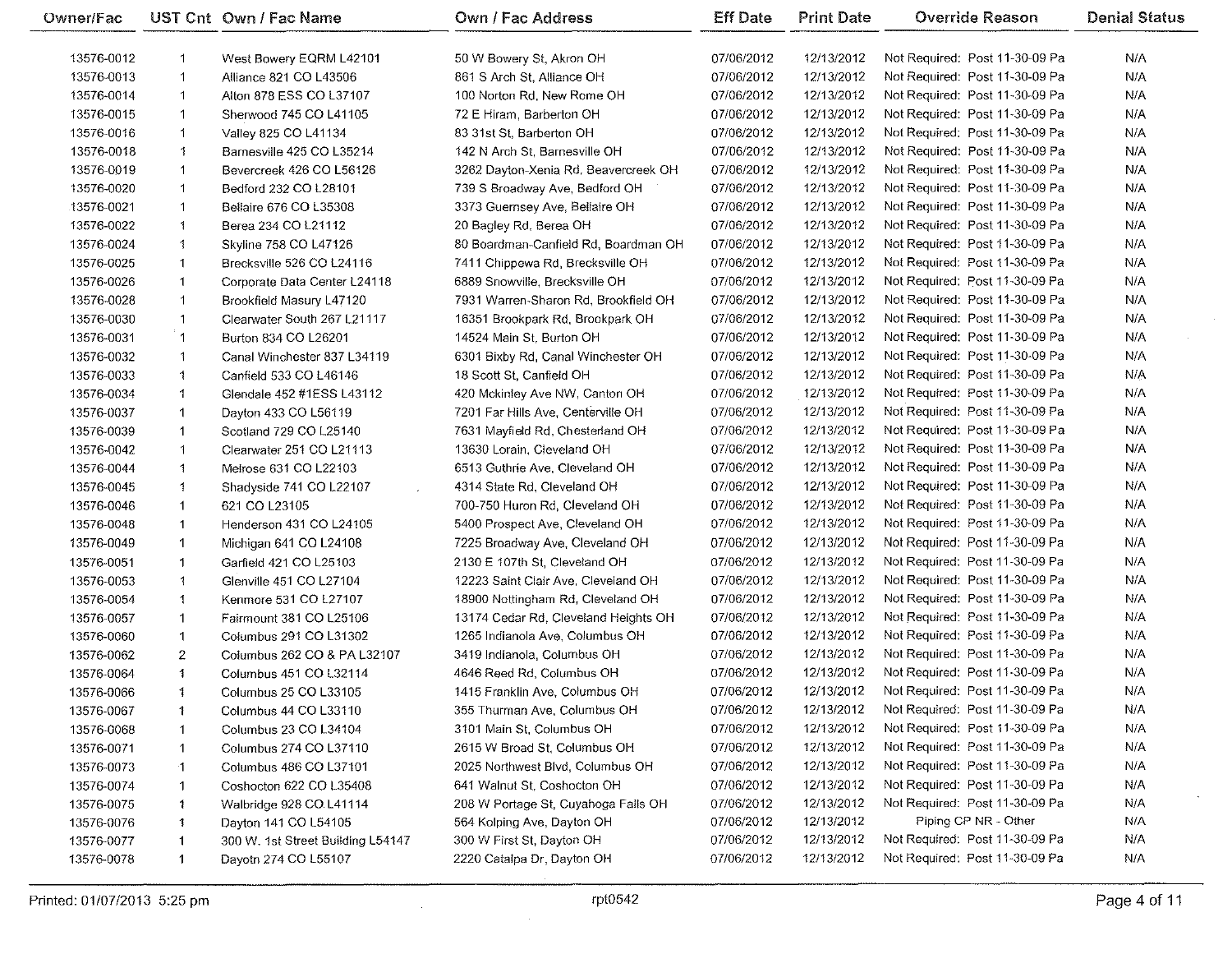| Owner/Fac  |              | UST Cnt Own / Fac Name                   | Own / Fac Address                                         | <b>Eff Date</b>          | <b>Print Date</b>        | Override Reason                                        | <b>Denial Status</b> |
|------------|--------------|------------------------------------------|-----------------------------------------------------------|--------------------------|--------------------------|--------------------------------------------------------|----------------------|
| 13576-0012 | -1           | West Bowery EQRM L42101                  | 50 W Bowery St, Akron OH                                  | 07/06/2012               | 12/13/2012               | Not Required: Post 11-30-09 Pa                         | N/A                  |
| 13576-0013 | $\mathbf{1}$ | Alliance 821 CO L43506                   | 861 S Arch St, Alliance OH                                | 07/06/2012               | 12/13/2012               | Not Required: Post 11-30-09 Pa                         | N/A                  |
| 13576-0014 | $\mathbf{1}$ | Alton 878 ESS CO L37107                  | 100 Norton Rd, New Rome OH                                | 07/06/2012               | 12/13/2012               | Not Required: Post 11-30-09 Pa                         | N/A                  |
| 13576-0015 | 1            | Sherwood 745 CO L41105                   | 72 E Hiram, Barberton OH                                  | 07/06/2012               | 12/13/2012               | Not Required: Post 11-30-09 Pa                         | N/A                  |
| 13576-0016 | 1            | Valley 825 CO L41134                     | 83 31st St, Barberton OH                                  | 07/06/2012               | 12/13/2012               | Not Required: Post 11-30-09 Pa                         | N/A                  |
| 13576-0018 | $\ddagger$   | Barnesville 425 CO L35214                | 142 N Arch St, Barnesville OH                             | 07/06/2012               | 12/13/2012               | Not Required: Post 11-30-09 Pa                         | N/A                  |
| 13576-0019 | $\mathbf{1}$ | Bevercreek 426 CO L56126                 | 3262 Dayton-Xenia Rd, Beavercreek OH                      | 07/06/2012               | 12/13/2012               | Not Required: Post 11-30-09 Pa                         | N/A                  |
| 13576-0020 | $\mathbf{1}$ | Bedford 232 CO L28101                    | 739 S Broadway Ave, Bedford OH                            | 07/06/2012               | 12/13/2012               | Not Required: Post 11-30-09 Pa                         | N/A                  |
| 13576-0021 | $\mathbf{1}$ | Bellaire 676 CO L35308                   | 3373 Guernsey Ave, Bellaire OH                            | 07/06/2012               | 12/13/2012               | Not Required: Post 11-30-09 Pa                         | N/A                  |
| 13576-0022 | $\ddagger$   | Berea 234 CO L21112                      | 20 Bagley Rd, Berea OH                                    | 07/06/2012               | 12/13/2012               | Not Required: Post 11-30-09 Pa                         | N/A                  |
| 13576-0024 | 1            | Skyline 758 CO L47126                    | 80 Boardman-Canfield Rd, Boardman OH                      | 07/06/2012               | 12/13/2012               | Not Required: Post 11-30-09 Pa                         | N/A                  |
| 13576-0025 | 1            | Brecksville 526 CO L24116                | 7411 Chippewa Rd, Brecksville OH                          | 07/06/2012               | 12/13/2012               | Not Required: Post 11-30-09 Pa                         | N/A                  |
| 13576-0026 | $\mathbf{1}$ | Corporate Data Center L24118             | 6889 Snowville, Brecksville OH                            | 07/06/2012               | 12/13/2012               | Not Required: Post 11-30-09 Pa                         | N/A                  |
| 13576-0028 | $\mathbf{1}$ | Brookfield Masury L47120                 | 7931 Warren-Sharon Rd, Brookfield OH                      | 07/06/2012               | 12/13/2012               | Not Required: Post 11-30-09 Pa                         | N/A                  |
| 13576-0030 | $\mathbf{1}$ | Clearwater South 267 L21117              | 16351 Brookpark Rd, Brookpark OH                          | 07/06/2012               | 12/13/2012               | Not Required: Post 11-30-09 Pa                         | N/A                  |
| 13576-0031 | $\mathbf{1}$ | Burton 834 CO L26201                     | 14524 Main St, Burton OH                                  | 07/06/2012               | 12/13/2012               | Not Required: Post 11-30-09 Pa                         | N/A                  |
| 13576-0032 | 1            | Canal Winchester 837 L34119              | 6301 Bixby Rd, Canal Winchester OH                        | 07/06/2012               | 12/13/2012               | Not Required: Post 11-30-09 Pa                         | N/A                  |
| 13576-0033 | 1            | Canfield 533 CO L46146                   | 18 Scott St, Canfield OH                                  | 07/06/2012               | 12/13/2012               | Not Required: Post 11-30-09 Pa                         | N/A                  |
| 13576-0034 | 1            | Glendale 452 #1ESS L43112                | 420 Mckinley Ave NW, Canton OH                            | 07/06/2012               | 12/13/2012               | Not Required: Post 11-30-09 Pa                         | N/A                  |
| 13576-0037 | $\mathbf 1$  | Dayton 433 CO L56119                     | 7201 Far Hills Ave, Centerville OH                        | 07/06/2012               | 12/13/2012               | Not Required: Post 11-30-09 Pa                         | N/A                  |
| 13576-0039 | 1            | Scotland 729 CO L25140                   | 7631 Mayfield Rd, Chesterland OH                          | 07/06/2012               | 12/13/2012               | Not Required: Post 11-30-09 Pa                         | N/A                  |
| 13576-0042 | 1            | Clearwater 251 CO L21113                 | 13630 Lorain, Cleveland OH                                | 07/06/2012               | 12/13/2012               | Not Required: Post 11-30-09 Pa                         | N/A                  |
| 13576-0044 | 1            | Melrose 631 CO L22103                    | 6513 Guthrie Ave, Cleveland OH                            | 07/06/2012               | 12/13/2012               | Not Required: Post 11-30-09 Pa                         | N/A                  |
| 13576-0045 | $\uparrow$   | Shadyside 741 CO L22107<br>$\mathcal{L}$ | 4314 State Rd, Cleveland OH                               | 07/06/2012               | 12/13/2012               | Not Required: Post 11-30-09 Pa                         | N/A                  |
| 13576-0046 | $\mathbf{1}$ | 621 CO L23105                            | 700-750 Huron Rd, Cleveland OH                            | 07/06/2012               | 12/13/2012               | Not Required: Post 11-30-09 Pa                         | N/A                  |
| 13576-0048 | $\mathbf{1}$ | Henderson 431 CO L24105                  | 5400 Prospect Ave, Cleveland OH                           | 07/06/2012               | 12/13/2012               | Not Required: Post 11-30-09 Pa                         | N/A                  |
| 13576-0049 | $\mathbf{1}$ | Michigan 641 CO L24108                   | 7225 Broadway Ave, Cleveland OH                           | 07/06/2012               | 12/13/2012               | Not Required: Post 11-30-09 Pa                         | N/A                  |
| 13576-0051 | 1            | Garfield 421 CO L25103                   | 2130 E 107th St, Cleveland OH                             | 07/06/2012               | 12/13/2012               | Not Required: Post 11-30-09 Pa                         | N/A                  |
| 13576-0053 | -1           | Glenville 451 CO L27104                  | 12223 Saint Clair Ave, Cleveland OH                       | 07/06/2012               | 12/13/2012               | Not Required: Post 11-30-09 Pa                         | N/A                  |
| 13576-0054 | 1            | Kenmore 531 CO L27107                    | 18900 Nottingham Rd, Cleveland OH                         | 07/06/2012               | 12/13/2012               | Not Required: Post 11-30-09 Pa                         | N/A                  |
| 13576-0057 | $\mathbf{1}$ | Fairmount 381 CO L25106                  | 13174 Cedar Rd, Cleveland Heights OH                      | 07/06/2012               | 12/13/2012               | Not Required. Post 11-30-09 Pa                         | N/A                  |
| 13576-0060 | $\mathbf 1$  | Columbus 291 CO L31302                   | 1265 Indianola Ave, Columbus OH                           | 07/06/2012               | 12/13/2012               | Not Required: Post 11-30-09 Pa                         | N/A                  |
|            | 2            | Columbus 262 CO & PA L32107              | 3419 Indianola, Columbus OH                               | 07/06/2012               | 12/13/2012               | Not Required: Post 11-30-09 Pa                         | N/A                  |
| 13576-0062 | $\mathbf{1}$ | Columbus 451 CO L32114                   | 4646 Reed Rd, Columbus OH                                 | 07/06/2012               | 12/13/2012               | Not Required: Post 11-30-09 Pa                         | N/A                  |
| 13576-0064 |              | Columbus 25 CO L33105                    | 1415 Franklin Ave. Columbus OH                            | 07/06/2012               | 12/13/2012               | Not Required: Post 11-30-09 Pa                         | N/A                  |
| 13576-0066 | 1            |                                          |                                                           |                          | 12/13/2012               | Not Required: Post 11-30-09 Pa                         |                      |
| 13576-0067 |              | Columbus 44 CO L33110                    | 355 Thurman Ave, Columbus OH                              | 07/06/2012               | 12/13/2012               | Not Required: Post 11-30-09 Pa                         | N/A<br>N/A           |
| 13576-0068 | -1           | Columbus 23 CO L34104                    | 3101 Main St, Columbus OH<br>2615 W Broad St, Columbus OH | 07/06/2012<br>07/06/2012 | 12/13/2012               | Not Required: Post 11-30-09 Pa                         | N/A                  |
| 13576-0071 | 1            | Columbus 274 CO L37110                   |                                                           | 07/06/2012               | 12/13/2012               | Not Required: Post 11-30-09 Pa                         | N/A                  |
| 13576-0073 | 1.           | Columbus 486 CO L37101                   | 2025 Northwest Blvd, Columbus OH                          | 07/06/2012               |                          | Not Required: Post 11-30-09 Pa                         |                      |
| 13576-0074 | $\mathbf{1}$ | Coshocton 622 CO L35408                  | 641 Walnut St, Coshocton OH                               |                          | 12/13/2012               |                                                        | N/A                  |
| 13576-0075 | $\mathbf{1}$ | Walbridge 928 CO L41114                  | 208 W Portage St, Cuyahoga Falls OH                       | 07/06/2012               | 12/13/2012               | Not Required: Post 11-30-09 Pa<br>Piping CP NR - Other | N/A<br>N/A           |
| 13576-0076 | 1            | Dayton 141 CO L54105                     | 564 Kolping Ave, Dayton OH                                | 07/06/2012<br>07/06/2012 | 12/13/2012<br>12/13/2012 | Not Required: Post 11-30-09 Pa                         | N/A                  |
| 13576-0077 | $\mathbf 1$  | 300 W. 1st Street Building L54147        | 300 W First St, Dayton OH                                 |                          |                          | Not Required: Post 11-30-09 Pa                         |                      |
| 13576-0078 | $\mathbf{1}$ | Dayotn 274 CO L55107                     | 2220 Catalpa Dr. Dayton OH                                | 07/06/2012               | 12/13/2012               |                                                        | N/A                  |

 $\sim$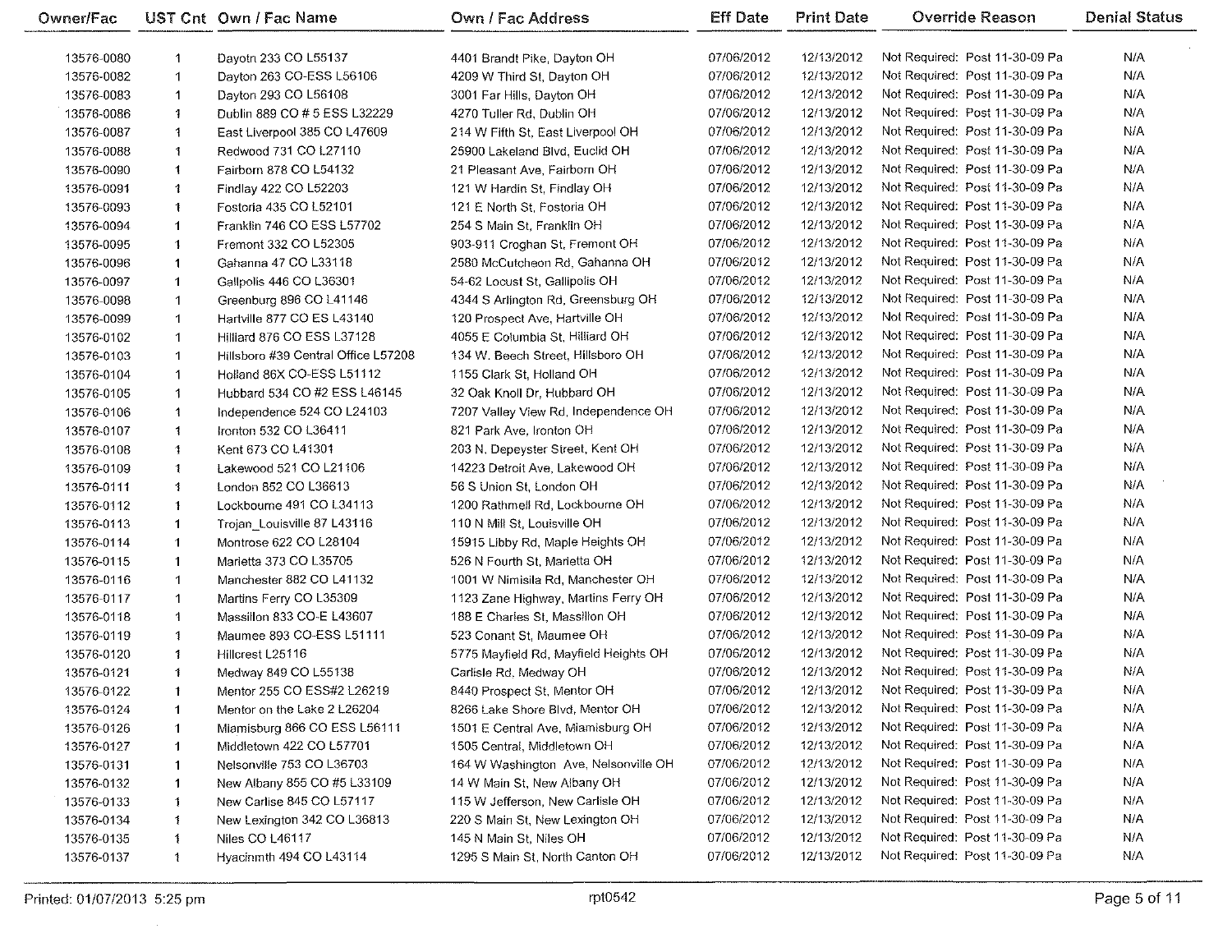| Owner/Fac  |                      | UST Cnt Own / Fac Name                   | Own / Fac Address                                               | <b>Eff Date</b>          | <b>Print Date</b>        | Override Reason                | <b>Denial Status</b> |
|------------|----------------------|------------------------------------------|-----------------------------------------------------------------|--------------------------|--------------------------|--------------------------------|----------------------|
| 13576-0080 | 1                    | Dayotn 233 CO L55137                     | 4401 Brandt Pike, Dayton OH                                     | 07/06/2012               | 12/13/2012               | Not Required: Post 11-30-09 Pa | N/A                  |
| 13576-0082 | $\mathbf 1$          | Dayton 263 CO-ESS L56106                 | 4209 W Third St, Dayton OH                                      | 07/06/2012               | 12/13/2012               | Not Required: Post 11-30-09 Pa | N/A                  |
| 13576-0083 | $\mathbf 1$          | Dayton 293 CO L56108                     | 3001 Far Hills, Dayton OH                                       | 07/06/2012               | 12/13/2012               | Not Required: Post 11-30-09 Pa | N/A                  |
| 13576-0086 | -1                   | Dublin 889 CO # 5 ESS L32229             | 4270 Tuller Rd, Dublin OH                                       | 07/06/2012               | 12/13/2012               | Not Required: Post 11-30-09 Pa | N/A                  |
| 13576-0087 | 1                    | East Liverpool 385 CO L47609             | 214 W Fifth St, East Liverpool OH                               | 07/06/2012               | 12/13/2012               | Not Required: Post 11-30-09 Pa | N/A                  |
| 13576-0088 | 1                    | Redwood 731 CO L27110                    | 25900 Lakeland Blvd, Euclid OH                                  | 07/06/2012               | 12/13/2012               | Not Required: Post 11-30-09 Pa | N/A                  |
| 13576-0090 | $\ddot{\mathbf{1}}$  | Fairborn 878 CO L54132                   | 21 Pleasant Ave, Fairborn OH                                    | 07/06/2012               | 12/13/2012               | Not Required: Post 11-30-09 Pa | N/A                  |
| 13576-0091 | $\ddot{\phantom{1}}$ | Findlay 422 CO L52203                    | 121 W Hardin St, Findlay OH                                     | 07/06/2012               | 12/13/2012               | Not Required: Post 11-30-09 Pa | N/A                  |
| 13576-0093 | 1                    | Fostoria 435 CO L52101                   | 121 E North St, Fostoria OH                                     | 07/06/2012               | 12/13/2012               | Not Required: Post 11-30-09 Pa | N/A                  |
| 13576-0094 | $\mathbf 1$          | Franklin 746 CO ESS L57702               | 254 S Main St, Franklin OH                                      | 07/06/2012               | 12/13/2012               | Not Required: Post 11-30-09 Pa | N/A                  |
| 13576-0095 | $\mathbf 1$          | Fremont 332 CO L52305                    | 903-911 Croghan St, Fremont OH                                  | 07/06/2012               | 12/13/2012               | Not Required: Post 11-30-09 Pa | N/A                  |
| 13576-0096 | $\mathbf 1$          | Gahanna 47 CO L33118                     | 2580 McCutcheon Rd, Gahanna OH                                  | 07/06/2012               | 12/13/2012               | Not Required: Post 11-30-09 Pa | N/A                  |
| 13576-0097 | $\mathbf 1$          | Gallpolis 446 CO L36301                  | 54-62 Locust St, Gallipolis OH                                  | 07/06/2012               | 12/13/2012               | Not Required: Post 11-30-09 Pa | N/A                  |
| 13576-0098 | $\blacktriangleleft$ | Greenburg 896 CO L41146                  | 4344 S Arlington Rd, Greensburg OH                              | 07/06/2012               | 12/13/2012               | Not Required: Post 11-30-09 Pa | N/A                  |
| 13576-0099 | $\mathbf 1$          | Hartville 877 CO ES L43140               | 120 Prospect Ave, Hartville OH                                  | 07/06/2012               | 12/13/2012               | Not Required: Post 11-30-09 Pa | N/A                  |
| 13576-0102 | $\mathbf 1$          | <b>Hilliard 876 CO ESS L37128</b>        | 4055 E Columbia St, Hilliard OH                                 | 07/06/2012               | 12/13/2012               | Not Required: Post 11-30-09 Pa | N/A                  |
| 13576-0103 | $\mathbf 1$          | Hillsboro #39 Central Office L57208      | 134 W. Beech Street, Hillsboro OH                               | 07/06/2012               | 12/13/2012               | Not Required: Post 11-30-09 Pa | N/A                  |
| 13576-0104 | 1                    | Holland 86X CO-ESS L51112                | 1155 Clark St, Holland OH                                       | 07/06/2012               | 12/13/2012               | Not Required: Post 11-30-09 Pa | N/A                  |
| 13576-0105 | 1                    | Hubbard 534 CO #2 ESS L46145             | 32 Oak Knoll Dr. Hubbard OH                                     | 07/06/2012               | 12/13/2012               | Not Required: Post 11-30-09 Pa | N/A                  |
| 13576-0106 | 1                    | Independence 524 CO L24103               | 7207 Valley View Rd, Independence OH                            | 07/06/2012               | 12/13/2012               | Not Required: Post 11-30-09 Pa | N/A                  |
| 13576-0107 | 1                    | Ironton 532 CO L36411                    | 821 Park Ave, Ironton OH                                        | 07/06/2012               | 12/13/2012               | Not Required: Post 11-30-09 Pa | N/A                  |
| 13576-0108 | -1                   | Kent 673 CO L41301                       | 203 N. Depeyster Street, Kent OH                                | 07/06/2012               | 12/13/2012               | Not Required: Post 11-30-09 Pa | N/A                  |
| 13576-0109 | 1.                   | Lakewood 521 CO L21106                   | 14223 Detroit Ave, Lakewood OH                                  | 07/06/2012               | 12/13/2012               | Not Required: Post 11-30-09 Pa | N/A                  |
| 13576-0111 | 1                    | London 852 CO L36613                     | 56 S Union St, London OH                                        | 07/06/2012               | 12/13/2012               | Not Required: Post 11-30-09 Pa | N/A                  |
| 13576-0112 | $\overline{1}$       | Lockbourne 491 CO L34113                 | 1200 Rathmell Rd, Lockbourne OH                                 | 07/06/2012               | 12/13/2012               | Not Required. Post 11-30-09 Pa | N/A                  |
| 13576-0113 | $\mathbf{1}$         | Trojan Louisville 87 L43116              | 110 N Mill St, Louisville OH                                    | 07/06/2012               | 12/13/2012               | Not Required: Post 11-30-09 Pa | N/A                  |
| 13576-0114 | $\mathbf{1}$         | Montrose 622 CO L28104                   | 15915 Libby Rd, Maple Heights OH                                | 07/06/2012               | 12/13/2012               | Not Required: Post 11-30-09 Pa | N/A                  |
| 13576-0115 | $\mathbf{1}$         | Marietta 373 CO L35705                   | 526 N Fourth St, Marietta OH                                    | 07/06/2012               | 12/13/2012               | Not Required: Post 11-30-09 Pa | N/A                  |
| 13576-0116 | $\mathbf 1$          | Manchester 882 CO L41132                 | 1001 W Nimisila Rd, Manchester OH                               | 07/06/2012               | 12/13/2012               | Not Required: Post 11-30-09 Pa | N/A                  |
| 13576-0117 | 1                    | Martins Ferry CO L35309                  | 1123 Zane Highway, Martins Ferry OH                             | 07/06/2012               | 12/13/2012               | Not Required: Post 11-30-09 Pa | N/A                  |
| 13576-0118 | 1                    | Massillon 833 CO-E L43607                | 188 E Charles St, Massillon OH                                  | 07/06/2012               | 12/13/2012               | Not Required: Post 11-30-09 Pa | N/A                  |
|            | 1                    | Maumee 893 CO-ESS L51111                 |                                                                 | 07/06/2012               | 12/13/2012               | Not Required: Post 11-30-09 Pa | N/A                  |
| 13576-0119 |                      |                                          | 523 Conant St, Maumee OH                                        | 07/06/2012               | 12/13/2012               | Not Required: Post 11-30-09 Pa | N/A                  |
| 13576-0120 | $\mathbf{1}$         | Hillcrest L25116<br>Medway 849 CO L55138 | 5775 Mayfield Rd, Mayfield Heights OH<br>Carlisle Rd. Medway OH | 07/06/2012               | 12/13/2012               | Not Required: Post 11-30-09 Pa | N/A                  |
| 13576-0121 | $\mathbf{1}$         |                                          |                                                                 | 07/06/2012               | 12/13/2012               | Not Required: Post 11-30-09 Pa | N/A                  |
| 13576-0122 | 1.                   | Mentor 255 CO ESS#2 L26219               | 8440 Prospect St, Mentor OH                                     |                          |                          | Not Required: Post 11-30-09 Pa |                      |
| 13576-0124 | $\mathbf 1$          | Mentor on the Lake 2 L26204              | 8266 Lake Shore Blvd, Mentor OH                                 | 07/06/2012<br>07/06/2012 | 12/13/2012               | Not Required: Post 11-30-09 Pa | N/A<br>N/A           |
| 13576-0126 | 1                    | Miamisburg 866 CO ESS L56111             | 1501 E Central Ave, Miamisburg OH                               | 07/06/2012               | 12/13/2012               | Not Required: Post 11-30-09 Pa | N/A                  |
| 13576-0127 | $\mathbf{1}$         | Middletown 422 CO L57701                 | 1505 Central, Middletown OH                                     | 07/06/2012               | 12/13/2012<br>12/13/2012 | Not Required: Post 11-30-09 Pa | N/A                  |
| 13576-0131 | $\mathbf{1}$         | Nelsonville 753 CO L36703                | 164 W Washington Ave, Nelsonville OH                            |                          |                          |                                |                      |
| 13576-0132 | $\mathbf{1}$         | New Albany 855 CO #5 L33109              | 14 W Main St, New Albany OH                                     | 07/06/2012               | 12/13/2012               | Not Required: Post 11-30-09 Pa | N/A                  |
| 13576-0133 | 1                    | New Carlise 845 CO L57117                | 115 W Jefferson, New Carlisle OH                                | 07/06/2012               | 12/13/2012               | Not Required: Post 11-30-09 Pa | N/A                  |
| 13576-0134 | $\mathbf{1}$         | New Lexington 342 CO L36813              | 220 S Main St, New Lexington OH                                 | 07/06/2012               | 12/13/2012               | Not Required: Post 11-30-09 Pa | N/A                  |
| 13576-0135 | $\ddot{\mathbf{1}}$  | Niles CO L46117                          | 145 N Main St, Niles OH                                         | 07/06/2012               | 12/13/2012               | Not Required: Post 11-30-09 Pa | N/A                  |
| 13576-0137 | $\ddot{\phantom{1}}$ | Hyacinmth 494 CO L43114                  | 1295 S Main St, North Canton OH                                 | 07/06/2012               | 12/13/2012               | Not Required: Post 11-30-09 Pa | N/A                  |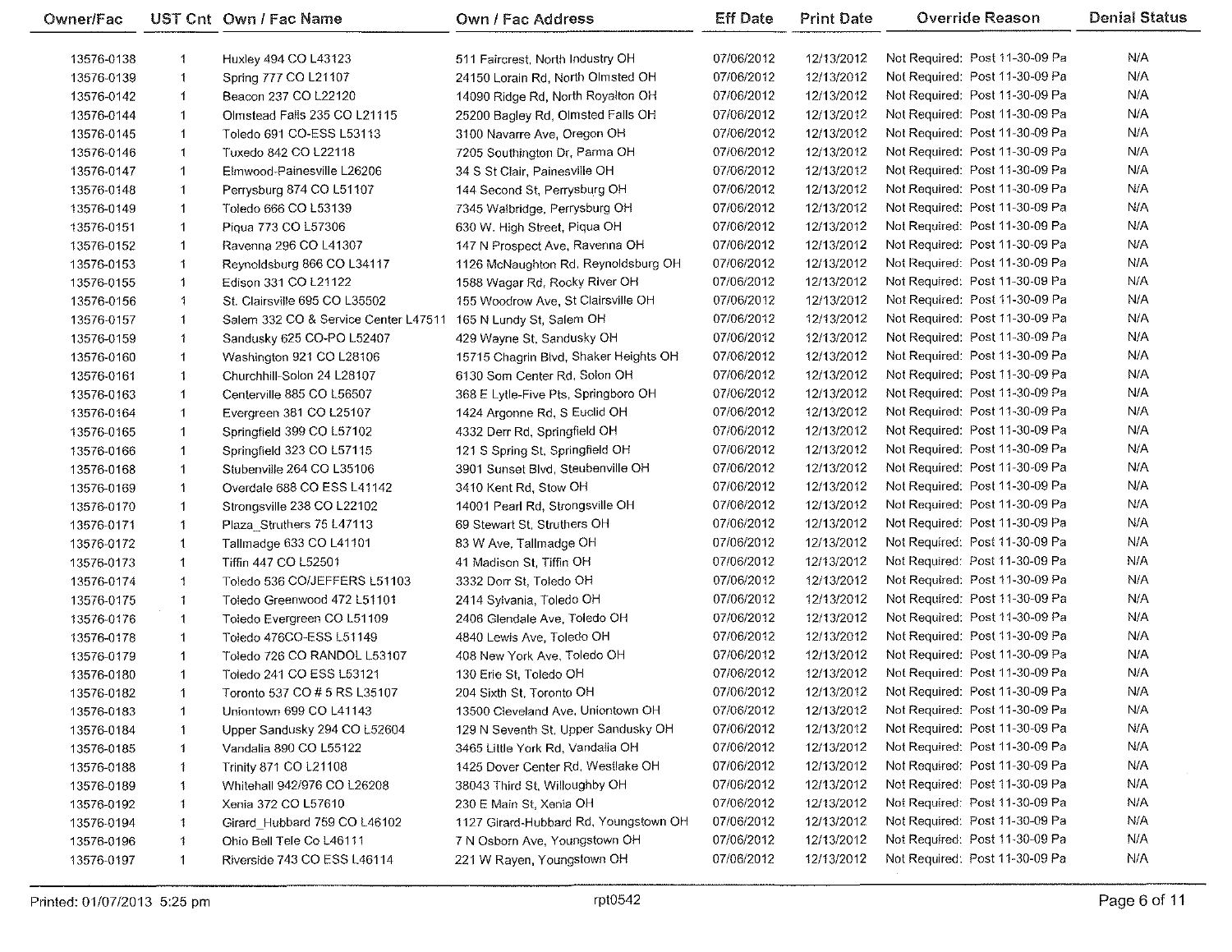| Owner/Fac  |              | UST Cnt Own / Fac Name               | Own / Fac Address                     | <b>Eff Date</b> | <b>Print Date</b> | <b>Override Reason</b>         | <b>Denial Status</b> |
|------------|--------------|--------------------------------------|---------------------------------------|-----------------|-------------------|--------------------------------|----------------------|
| 13576-0138 | 1            | Huxley 494 CO L43123                 | 511 Faircrest, North Industry OH      | 07/06/2012      | 12/13/2012        | Not Required: Post 11-30-09 Pa | N/A                  |
| 13576-0139 | 1            | Spring 777 CO L21107                 | 24150 Lorain Rd, North Olmsted OH     | 07/06/2012      | 12/13/2012        | Not Required: Post 11-30-09 Pa | N/A                  |
| 13576-0142 | 1            | Beacon 237 CO L22120                 | 14090 Ridge Rd, North Royalton OH     | 07/06/2012      | 12/13/2012        | Not Required: Post 11-30-09 Pa | N/A                  |
| 13576-0144 | $\mathbf{1}$ | Olmstead Falls 235 CO L21115         | 25200 Bagley Rd, Olmsted Falls OH     | 07/06/2012      | 12/13/2012        | Not Required: Post 11-30-09 Pa | N/A                  |
| 13576-0145 | $\mathbf{1}$ | Toledo 691 CO-ESS L53113             | 3100 Navarre Ave, Oregon OH           | 07/06/2012      | 12/13/2012        | Not Required: Post 11-30-09 Pa | N/A                  |
| 13576-0146 | 1            | Tuxedo 842 CO L22118                 | 7205 Southington Dr, Parma OH         | 07/06/2012      | 12/13/2012        | Not Required: Post 11-30-09 Pa | N/A                  |
| 13576-0147 | $\mathbf{1}$ | Elmwood-Painesville L26206           | 34 S St Clair, Painesville OH         | 07/06/2012      | 12/13/2012        | Not Required: Post 11-30-09 Pa | N/A                  |
| 13576-0148 | 1            | Perrysburg 874 CO L51107             | 144 Second St, Perrysburg OH          | 07/06/2012      | 12/13/2012        | Not Required: Post 11-30-09 Pa | N/A                  |
| 13576-0149 | 1            | Toledo 666 CO L53139                 | 7345 Walbridge, Perrysburg OH         | 07/06/2012      | 12/13/2012        | Not Required: Post 11-30-09 Pa | N/A                  |
| 13576-0151 | $\mathbf 1$  | Piqua 773 CO L57306                  | 630 W. High Street, Piqua OH          | 07/06/2012      | 12/13/2012        | Not Required: Post 11-30-09 Pa | N/A                  |
| 13576-0152 | 1            | Ravenna 296 CO L41307                | 147 N Prospect Ave, Ravenna OH        | 07/06/2012      | 12/13/2012        | Not Required: Post 11-30-09 Pa | N/A                  |
| 13576-0153 | 1            | Reynoldsburg 866 CO L34117           | 1126 McNaughton Rd, Reynoldsburg OH   | 07/06/2012      | 12/13/2012        | Not Required: Post 11-30-09 Pa | N/A                  |
| 13576-0155 | 1            | Edison 331 CO L21122                 | 1588 Wagar Rd, Rocky River OH         | 07/06/2012      | 12/13/2012        | Not Required: Post 11-30-09 Pa | N/A                  |
| 13576-0156 | 1            | St. Clairsville 695 CO L35502        | 155 Woodrow Ave, St Clairsville OH    | 07/06/2012      | 12/13/2012        | Not Required: Post 11-30-09 Pa | N/A                  |
| 13576-0157 | $\mathbf{1}$ | Salem 332 CO & Service Center L47511 | 165 N Lundy St, Salem OH              | 07/06/2012      | 12/13/2012        | Not Required: Post 11-30-09 Pa | N/A                  |
| 13576-0159 | 1            | Sandusky 625 CO-PO L52407            | 429 Wayne St, Sandusky OH             | 07/06/2012      | 12/13/2012        | Not Required: Post 11-30-09 Pa | N/A                  |
| 13576-0160 | 1            | Washington 921 CO L28106             | 15715 Chagrin Blvd, Shaker Heights OH | 07/06/2012      | 12/13/2012        | Not Required: Post 11-30-09 Pa | N/A                  |
| 13576-0161 | $\mathbf{1}$ | Churchhill-Solon 24 L28107           | 6130 Som Center Rd, Solon OH          | 07/06/2012      | 12/13/2012        | Not Required: Post 11-30-09 Pa | N/A                  |
| 13576-0163 | 1            | Centerville 885 CO L56507            | 368 E Lytle-Five Pts, Springboro OH   | 07/06/2012      | 12/13/2012        | Not Required: Post 11-30-09 Pa | N/A                  |
| 13576-0164 | 1            | Evergreen 381 CO L25107              | 1424 Argonne Rd, S Euclid OH          | 07/06/2012      | 12/13/2012        | Not Required: Post 11-30-09 Pa | N/A                  |
| 13576-0165 | $\mathbf{1}$ | Springfield 399 CO L57102            | 4332 Derr Rd, Springfield OH          | 07/06/2012      | 12/13/2012        | Not Required: Post 11-30-09 Pa | N/A                  |
| 13576-0166 | 1            | Springfield 323 CO L57115            | 121 S Spring St, Springfield OH       | 07/06/2012      | 12/13/2012        | Not Required: Post 11-30-09 Pa | N/A                  |
| 13576-0168 | 1            | Stubenville 264 CO L35106            | 3901 Sunset Blvd, Steubenville OH     | 07/06/2012      | 12/13/2012        | Not Required: Post 11-30-09 Pa | N/A                  |
| 13576-0169 | 1            | Overdale 688 CO ESS L41142           | 3410 Kent Rd, Stow OH                 | 07/06/2012      | 12/13/2012        | Not Required: Post 11-30-09 Pa | N/A                  |
| 13576-0170 | $\mathbf{1}$ | Strongsville 238 CO L22102           | 14001 Pearl Rd, Strongsville OH       | 07/06/2012      | 12/13/2012        | Not Required: Post 11-30-09 Pa | N/A                  |
| 13576-0171 | 1            | Plaza Struthers 75 L47113            | 69 Stewart St, Struthers OH           | 07/06/2012      | 12/13/2012        | Not Required: Post 11-30-09 Pa | N/A                  |
| 13576-0172 | 1            | Tallmadge 633 CO L41101              | 83 W Ave, Tallmadge OH                | 07/06/2012      | 12/13/2012        | Not Required: Post 11-30-09 Pa | N/A                  |
| 13576-0173 | 1            | Tiffin 447 CO L52501                 | 41 Madison St, Tiffin OH              | 07/06/2012      | 12/13/2012        | Not Required: Post 11-30-09 Pa | N/A                  |
| 13576-0174 | $\ddagger$   | Toledo 536 CO/JEFFERS L51103         | 3332 Dorr St, Toledo OH               | 07/06/2012      | 12/13/2012        | Not Required: Post 11-30-09 Pa | N/A                  |
| 13576-0175 | 1.           | Toledo Greenwood 472 L51101          | 2414 Sylvania, Toledo OH              | 07/06/2012      | 12/13/2012        | Not Required: Post 11-30-09 Pa | N/A                  |
| 13576-0176 | $\mathbf{1}$ | Toledo Evergreen CO L51109           | 2406 Glendale Ave, Toledo OH          | 07/06/2012      | 12/13/2012        | Not Required: Post 11-30-09 Pa | N/A                  |
| 13576-0178 | 1            | Toledo 476CO-ESS L51149              | 4840 Lewis Ave, Toledo OH             | 07/06/2012      | 12/13/2012        | Not Required: Post 11-30-09 Pa | N/A                  |
| 13576-0179 | 1            | Toledo 726 CO RANDOL L53107          | 408 New York Ave, Toledo OH           | 07/06/2012      | 12/13/2012        | Not Required: Post 11-30-09 Pa | N/A                  |
| 13576-0180 | 1            | Toledo 241 CO ESS L53121             | 130 Erie St, Toledo OH                | 07/06/2012      | 12/13/2012        | Not Required: Post 11-30-09 Pa | N/A                  |
| 13576-0182 | 1            | Toronto 537 CO # 5 RS L35107         | 204 Sixth St. Toronto OH              | 07/06/2012      | 12/13/2012        | Not Required: Post 11-30-09 Pa | N/A.                 |
| 13576-0183 | -1           | Uniontown 699 CO L41143              | 13500 Cleveland Ave, Uniontown OH     | 07/06/2012      | 12/13/2012        | Not Required: Post 11-30-09 Pa | N/A                  |
| 13576-0184 | 1            | Upper Sandusky 294 CO L52604         | 129 N Seventh St, Upper Sandusky OH   | 07/06/2012      | 12/13/2012        | Not Required: Post 11-30-09 Pa | N/A.                 |
| 13576-0185 | 1            | Vandalia 890 CO L55122               | 3465 Little York Rd, Vandalia OH      | 07/06/2012      | 12/13/2012        | Not Required: Post 11-30-09 Pa | N/A                  |
| 13576-0188 | 1            | <b>Trinity 871 CO L21108</b>         | 1425 Dover Center Rd, Westlake OH     | 07/06/2012      | 12/13/2012        | Not Required: Post 11-30-09 Pa | N/A                  |
| 13576-0189 | 1            | Whitehall 942/976 CO L26208          | 38043 Third St, Willoughby OH         | 07/06/2012      | 12/13/2012        | Not Required: Post 11-30-09 Pa | N/A                  |
| 13576-0192 | 1            | Xenia 372 CO L57610                  | 230 E Main St, Xenia OH               | 07/06/2012      | 12/13/2012        | Not Required: Post 11-30-09 Pa | N/A                  |
| 13576-0194 | 1            | Girard Hubbard 759 CO L46102         | 1127 Girard-Hubbard Rd, Youngstown OH | 07/06/2012      | 12/13/2012        | Not Required: Post 11-30-09 Pa | N/A                  |
| 13576-0196 | 1            | Ohio Bell Tele Co L46111             | 7 N Osborn Ave, Youngstown OH         | 07/06/2012      | 12/13/2012        | Not Required: Post 11-30-09 Pa | N/A                  |
| 13576-0197 | 1            | Riverside 743 CO ESS L46114          | 221 W Rayen, Youngstown OH            | 07/06/2012      | 12/13/2012        | Not Required: Post 11-30-09 Pa | N/A                  |

e.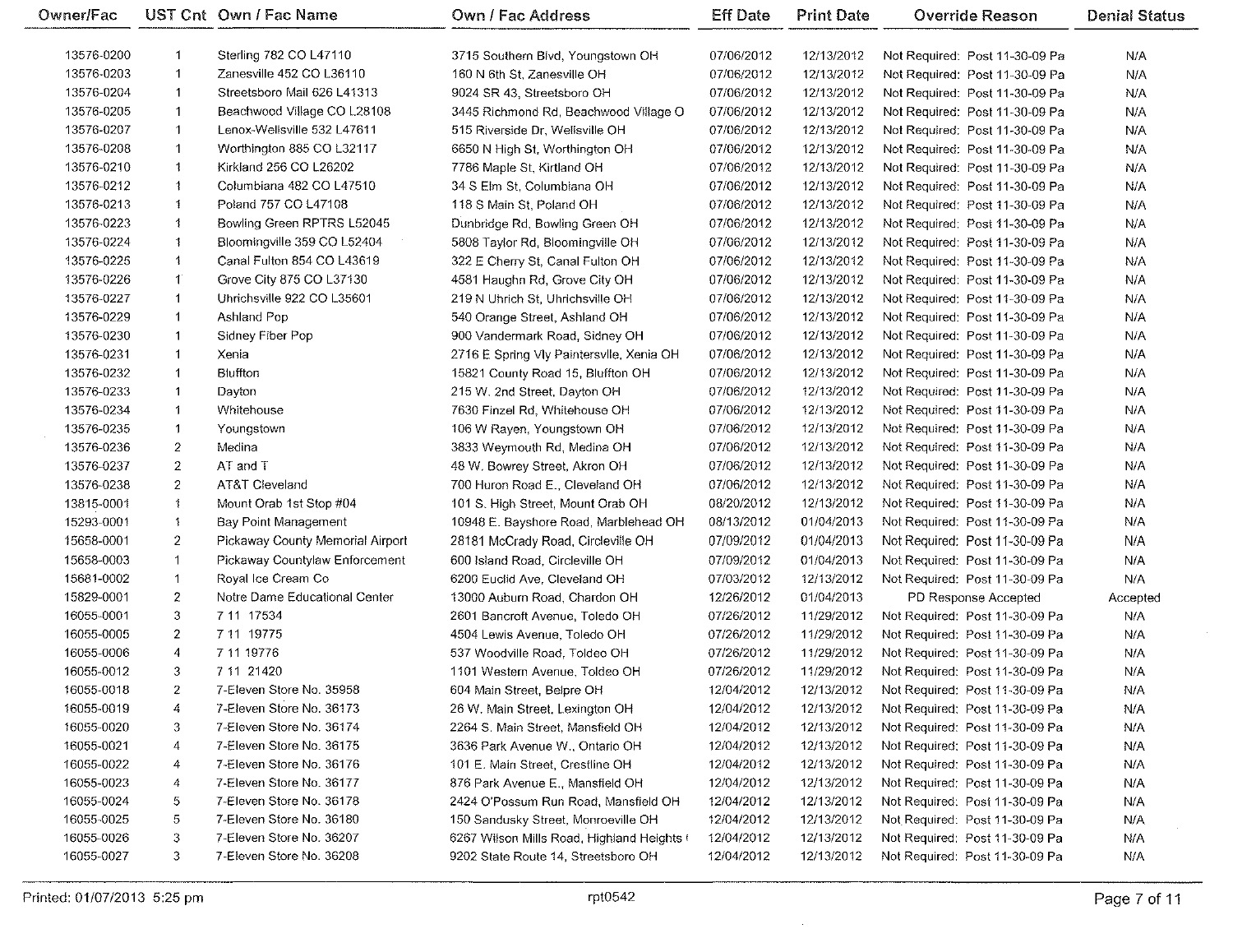| Owner/Fac  |                      | UST Cnt Own / Fac Name           | <b>Own / Fac Address</b>                   | <b>Eff Date</b> | <b>Print Date</b> | <b>Override Reason</b>         | <b>Denial Status</b> |
|------------|----------------------|----------------------------------|--------------------------------------------|-----------------|-------------------|--------------------------------|----------------------|
| 13576-0200 | -1                   | Sterling 782 CO L47110           | 3715 Southern Blvd, Youngstown OH          | 07/06/2012      | 12/13/2012        | Not Required: Post 11-30-09 Pa | N/A                  |
| 13576-0203 | $\mathbf 1$          | Zanesville 452 CO L36110         | 160 N 6th St, Zanesville OH                | 07/06/2012      | 12/13/2012        | Not Required: Post 11-30-09 Pa | N/A                  |
| 13576-0204 | $\mathbf 1$          | Streetsboro Mail 626 L41313      | 9024 SR 43, Streetsboro OH                 | 07/06/2012      | 12/13/2012        | Not Required: Post 11-30-09 Pa | N/A                  |
| 13576-0205 | 1                    | Beachwood Village CO L28108      | 3445 Richmond Rd, Beachwood Village O      | 07/06/2012      | 12/13/2012        | Not Required: Post 11-30-09 Pa | N/A                  |
| 13576-0207 | $\mathbf{1}$         | Lenox-Wellsville 532 L47611      | 515 Riverside Dr, Wellsville OH            | 07/06/2012      | 12/13/2012        | Not Required: Post 11-30-09 Pa | N/A                  |
| 13576-0208 | $\mathbf 1$          | Worthington 885 CO L32117        | 6650 N High St, Worthington OH             | 07/06/2012      | 12/13/2012        | Not Required: Post 11-30-09 Pa | N/A                  |
| 13576-0210 | $\ddot{\phantom{1}}$ | Kirkland 256 CO L26202           | 7786 Maple St, Kirtland OH                 | 07/06/2012      | 12/13/2012        | Not Required: Post 11-30-09 Pa | N/A                  |
| 13576-0212 | 1                    | Columbiana 482 CO L47510         | 34 S Elm St, Columbiana OH                 | 07/06/2012      | 12/13/2012        | Not Required: Post 11-30-09 Pa | N/A                  |
| 13576-0213 | $\mathbf{1}$         | Poland 757 CO L47108             | 118 S Main St, Poland OH                   | 07/06/2012      | 12/13/2012        | Not Required: Post 11-30-09 Pa | N/A                  |
| 13576-0223 | $\mathbf{1}$         | Bowling Green RPTRS L52045       | Dunbridge Rd, Bowling Green OH             | 07/06/2012      | 12/13/2012        | Not Required: Post 11-30-09 Pa | N/A                  |
| 13576-0224 | 1                    | Bloomingville 359 CO L52404      | 5808 Taylor Rd, Bloomingville OH           | 07/06/2012      | 12/13/2012        | Not Required: Post 11-30-09 Pa | N/A                  |
| 13576-0225 | 1                    | Canal Fulton 854 CO L43619       | 322 E Cherry St, Canal Fulton OH           | 07/06/2012      | 12/13/2012        | Not Required: Post 11-30-09 Pa | N/A                  |
| 13576-0226 | -1                   | Grove City 875 CO L37130         | 4581 Haughn Rd, Grove City OH              | 07/06/2012      | 12/13/2012        | Not Required: Post 11-30-09 Pa | N/A                  |
| 13576-0227 | $\overline{1}$       | Uhrichsville 922 CO L35601       | 219 N Uhrich St, Uhrichsville OH           | 07/06/2012      | 12/13/2012        | Not Required: Post 11-30-09 Pa | N/A                  |
| 13576-0229 | $\overline{1}$       | Ashland Pop                      | 540 Orange Street, Ashland OH              | 07/06/2012      | 12/13/2012        | Not Required: Post 11-30-09 Pa | N/A                  |
| 13576-0230 | 1                    | Sidney Fiber Pop                 | 900 Vandermark Road, Sidney OH             | 07/06/2012      | 12/13/2012        | Not Required: Post 11-30-09 Pa | N/A                  |
| 13576-0231 | $\mathbf 1$          | Xenia                            | 2716 E Spring Vly Paintersvile, Xenia OH   | 07/06/2012      | 12/13/2012        | Not Required: Post 11-30-09 Pa | N/A                  |
| 13576-0232 | -1                   | Bluffton                         | 15821 County Road 15, Bluffton OH          | 07/06/2012      | 12/13/2012        | Not Required: Post 11-30-09 Pa | N/A                  |
| 13576-0233 | $\mathbf 1$          | Dayton                           | 215 W. 2nd Street, Dayton OH               | 07/06/2012      | 12/13/2012        | Not Required: Post 11-30-09 Pa | N/A                  |
| 13576-0234 | 1                    | Whitehouse                       | 7630 Finzel Rd, Whitehouse OH              | 07/06/2012      | 12/13/2012        | Not Required: Post 11-30-09 Pa | N/A                  |
| 13576-0235 | 1                    | Youngstown                       | 106 W Rayen, Youngstown OH                 | 07/06/2012      | 12/13/2012        | Not Required: Post 11-30-09 Pa | N/A                  |
| 13576-0236 | 2                    | Medina                           | 3833 Weymouth Rd, Medina OH                | 07/06/2012      | 12/13/2012        | Not Required: Post 11-30-09 Pa | N/A                  |
| 13576-0237 | $\mathbf{2}$         | AT and T                         | 48 W. Bowrey Street, Akron OH              | 07/06/2012      | 12/13/2012        | Not Required: Post 11-30-09 Pa | N/A                  |
| 13576-0238 | $\overline{2}$       | AT&T Cleveland                   | 700 Huron Road E., Cleveland OH            | 07/06/2012      | 12/13/2012        | Not Required: Post 11-30-09 Pa | N/A                  |
| 13815-0001 | $\mathbf{1}$         | Mount Orab 1st Stop #04          | 101 S. High Street, Mount Orab OH          | 08/20/2012      | 12/13/2012        | Not Required: Post 11-30-09 Pa | N/A                  |
| 15293-0001 | 1                    | Bay Point Management             | 10948 E. Bayshore Road, Marblehead OH      | 08/13/2012      | 01/04/2013        | Not Required: Post 11-30-09 Pa | N/A                  |
| 15658-0001 | $\overline{a}$       | Pickaway County Memorial Airport | 28181 McCrady Road, Circleville OH         | 07/09/2012      | 01/04/2013        | Not Required: Post 11-30-09 Pa | N/A                  |
| 15658-0003 | $\mathbf{1}$         | Pickaway Countylaw Enforcement   | 600 Island Road, Circleville OH            | 07/09/2012      | 01/04/2013        | Not Required: Post 11-30-09 Pa | N/A                  |
| 15681-0002 | $\mathbf 1$          | Royal Ice Cream Co               | 6200 Euclid Ave, Cleveland OH              | 07/03/2012      | 12/13/2012        | Not Required: Post 11-30-09 Pa | N/A                  |
| 15829-0001 | $\mathbf{2}$         | Notre Dame Educational Center    | 13000 Auburn Road, Chardon OH              | 12/26/2012      | 01/04/2013        | PD Response Accepted           | Accepted             |
| 16055-0001 | 3                    | 7 11 17534                       | 2601 Bancroft Avenue, Toledo OH            | 07/26/2012      | 11/29/2012        | Not Required: Post 11-30-09 Pa | N/A                  |
| 16055-0005 | $\overline{2}$       | 7 11 19775                       | 4504 Lewis Avenue, Toledo OH               | 07/26/2012      | 11/29/2012        | Not Required: Post 11-30-09 Pa | N/A                  |
| 16055-0006 | 4                    | 7 11 19776                       | 537 Woodville Road, Toldeo OH              | 07/26/2012      | 11/29/2012        | Not Required: Post 11-30-09 Pa | N/A                  |
| 16055-0012 | 3                    | 7 11 21420                       | 1101 Western Avenue, Toldeo OH             | 07/26/2012      | 11/29/2012        | Not Required: Post 11-30-09 Pa | N/A                  |
| 16055-0018 | $\mathbf{2}$         | 7-Eleven Store No. 35958         | 604 Main Street, Belpre OH                 | 12/04/2012      | 12/13/2012        | Not Required: Post 11-30-09 Pa | N/A                  |
| 16055-0019 | 4                    | 7-Eleven Store No. 36173         | 26 W. Main Street, Lexington OH            | 12/04/2012      | 12/13/2012        | Not Required: Post 11-30-09 Pa | N/A                  |
| 16055-0020 | 3                    | 7-Eleven Store No. 36174         | 2264 S. Main Street, Mansfield OH          | 12/04/2012      | 12/13/2012        | Not Required: Post 11-30-09 Pa | N/A                  |
| 16055-0021 | 4                    | 7-Eleven Store No. 36175         | 3636 Park Avenue W., Ontario OH            | 12/04/2012      | 12/13/2012        | Not Required: Post 11-30-09 Pa | N/A                  |
| 16055-0022 | 4                    | 7-Eleven Store No. 36176         | 101 E. Main Street, Crestline OH           | 12/04/2012      | 12/13/2012        | Not Required: Post 11-30-09 Pa | N/A                  |
| 16055-0023 | 4                    | 7-Eleven Store No. 36177         | 876 Park Avenue E., Mansfield OH           | 12/04/2012      | 12/13/2012        | Not Required: Post 11-30-09 Pa | N/A                  |
| 16055-0024 | 5                    | 7-Eleven Store No. 36178         | 2424 O'Possum Run Road, Mansfield OH       | 12/04/2012      | 12/13/2012        | Not Required: Post 11-30-09 Pa | N/A                  |
| 16055-0025 | 5                    | 7-Eleven Store No. 36180         | 150 Sandusky Street, Monroeville OH        | 12/04/2012      | 12/13/2012        | Not Required: Post 11-30-09 Pa | N/A                  |
| 16055-0026 | 3                    | 7-Eleven Store No. 36207         | 6267 Wilson Mills Road, Highland Heights ( | 12/04/2012      | 12/13/2012        | Not Required: Post 11-30-09 Pa | N/A                  |
| 16055-0027 | $\mathbf{3}$         | 7-Eleven Store No. 36208         | 9202 State Route 14, Streetsboro OH        | 12/04/2012      | 12/13/2012        | Not Required: Post 11-30-09 Pa | N/A                  |

 $\sim 10^7$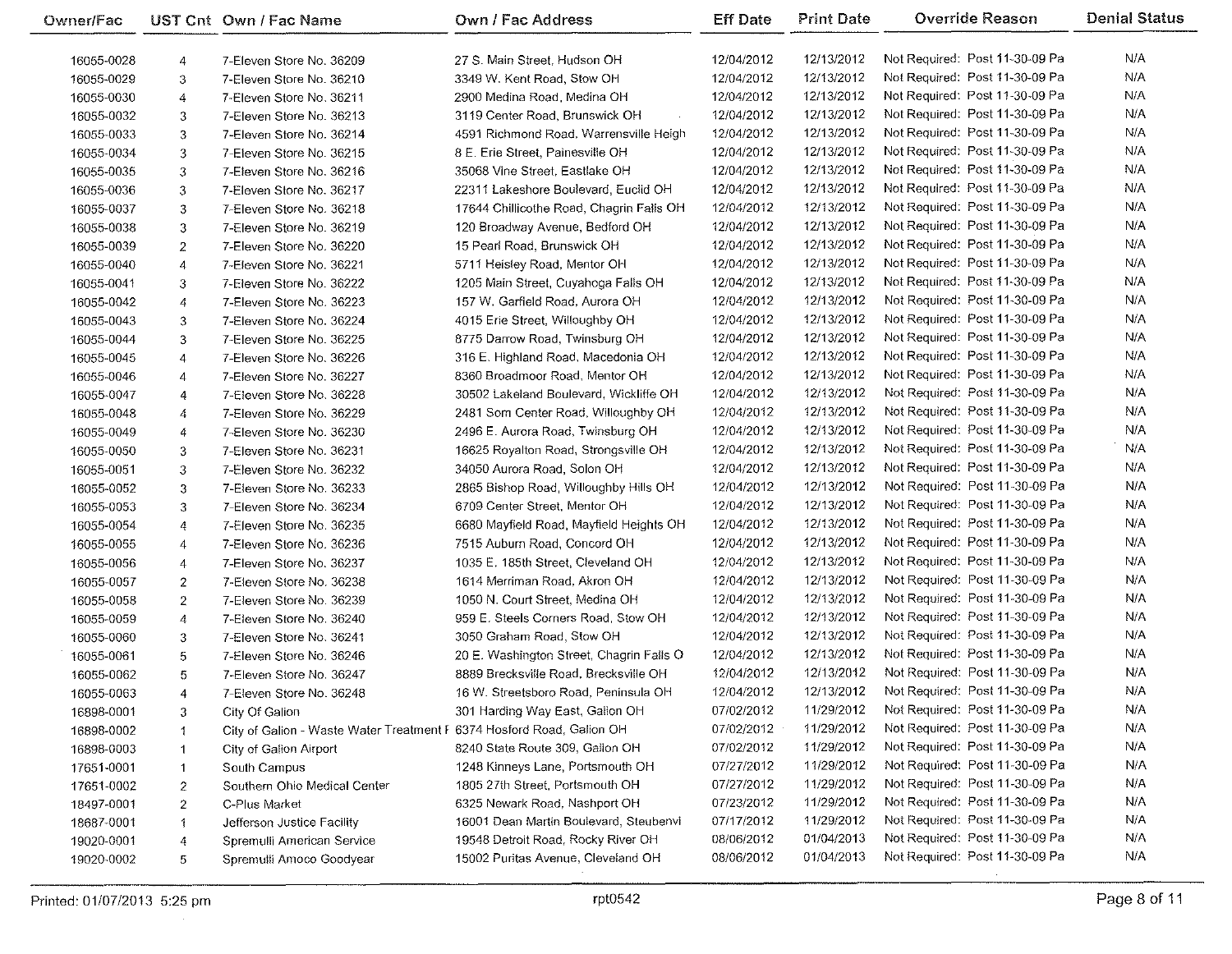| Owner/Fac  |                | UST Cnt Own / Fac Name                                                | Own / Fac Address                        | <b>Eff Date</b>          | <b>Print Date</b> | <b>Override Reason</b>         | <b>Denial Status</b> |
|------------|----------------|-----------------------------------------------------------------------|------------------------------------------|--------------------------|-------------------|--------------------------------|----------------------|
| 16055-0028 | 4              | 7-Eleven Store No. 36209                                              | 27 S. Main Street, Hudson OH             | 12/04/2012               | 12/13/2012        | Not Required: Post 11-30-09 Pa | N/A                  |
| 16055-0029 | 3              | 7-Eleven Store No. 36210                                              | 3349 W. Kent Road, Stow OH               | 12/04/2012               | 12/13/2012        | Not Required: Post 11-30-09 Pa | N/A                  |
| 16055-0030 | 4              | 7-Eleven Store No. 36211                                              | 2900 Medina Road, Medina OH              | 12/04/2012               | 12/13/2012        | Not Required: Post 11-30-09 Pa | N/A                  |
| 16055-0032 | 3              | 7-Eleven Store No. 36213                                              | 3119 Center Road, Brunswick OH           | 12/04/2012               | 12/13/2012        | Not Required: Post 11-30-09 Pa | N/A                  |
| 16055-0033 | 3              | 7-Eleven Store No. 36214                                              | 4591 Richmond Road, Warrensville Heigh   | 12/04/2012               | 12/13/2012        | Not Required: Post 11-30-09 Pa | N/A                  |
|            |                |                                                                       | 8 E. Erie Street, Painesville OH         | 12/04/2012               | 12/13/2012        | Not Required: Post 11-30-09 Pa | N/A                  |
| 16055-0034 | 3              | 7-Eleven Store No. 36215                                              | 35068 Vine Street, Eastlake OH           | 12/04/2012               | 12/13/2012        | Not Required: Post 11-30-09 Pa | N/A                  |
| 16055-0035 | 3              | 7-Eleven Store No. 36216                                              |                                          |                          |                   | Not Required: Post 11-30-09 Pa | N/A                  |
| 16055-0036 | 3              | 7-Eleven Store No. 36217                                              | 22311 Lakeshore Boulevard, Euclid OH     | 12/04/2012               | 12/13/2012        |                                |                      |
| 16055-0037 | 3              | 7-Eleven Store No. 36218                                              | 17644 Chillicothe Road, Chagrin Falls OH | 12/04/2012               | 12/13/2012        | Not Required: Post 11-30-09 Pa | N/A                  |
| 16055-0038 | 3              | 7-Eleven Store No. 36219                                              | 120 Broadway Avenue, Bedford OH          | 12/04/2012               | 12/13/2012        | Not Required: Post 11-30-09 Pa | N/A                  |
| 16055-0039 | $\overline{2}$ | 7-Eleven Store No. 36220                                              | 15 Pearl Road, Brunswick OH              | 12/04/2012               | 12/13/2012        | Not Required: Post 11-30-09 Pa | N/A                  |
| 16055-0040 | 4              | 7-Eleven Store No. 36221                                              | 5711 Heisley Road, Mentor OH             | 12/04/2012               | 12/13/2012        | Not Required: Post 11-30-09 Pa | N/A                  |
| 16055-0041 | 3              | 7-Eleven Store No. 36222                                              | 1205 Main Street, Cuyahoga Falls OH      | 12/04/2012               | 12/13/2012        | Not Required: Post 11-30-09 Pa | N/A                  |
| 16055-0042 | 4              | 7-Eleven Store No. 36223                                              | 157 W. Garfield Road, Aurora OH          | 12/04/2012               | 12/13/2012        | Not Required: Post 11-30-09 Pa | N/A                  |
| 16055-0043 | 3              | 7-Eleven Store No. 36224                                              | 4015 Erie Street, Willoughby OH          | 12/04/2012               | 12/13/2012        | Not Required: Post 11-30-09 Pa | N/A                  |
| 16055-0044 | 3              | 7-Eleven Store No. 36225                                              | 8775 Darrow Road, Twinsburg OH           | 12/04/2012               | 12/13/2012        | Not Required: Post 11-30-09 Pa | N/A                  |
| 16055-0045 | 4              | 7-Eleven Store No. 36226                                              | 316 E. Highland Road, Macedonia OH       | 12/04/2012               | 12/13/2012        | Not Required: Post 11-30-09 Pa | N/A                  |
| 16055-0046 | 4              | 7-Eleven Store No. 36227                                              | 8360 Broadmoor Road, Mentor OH           | 12/04/2012               | 12/13/2012        | Not Required: Post 11-30-09 Pa | N/A                  |
| 16055-0047 | 4              | 7-Eleven Store No. 36228                                              | 30502 Lakeland Boulevard, Wickliffe OH   | 12/04/2012               | 12/13/2012        | Not Required. Post 11-30-09 Pa | N/A                  |
| 16055-0048 | 4              | 7-Eleven Store No. 36229                                              | 2481 Som Center Road, Willoughby OH      | 12/04/2012               | 12/13/2012        | Not Required: Post 11-30-09 Pa | N/A                  |
| 16055-0049 | 4              | 7-Eleven Store No. 36230                                              | 2496 E. Aurora Road, Twinsburg OH        | 12/04/2012               | 12/13/2012        | Not Required: Post 11-30-09 Pa | N/A                  |
| 16055-0050 | 3              | 7-Eleven Store No. 36231                                              | 16625 Royalton Road, Strongsville OH     | 12/04/2012               | 12/13/2012        | Not Required: Post 11-30-09 Pa | N/A                  |
| 16055-0051 | 3              | 7-Eleven Store No. 36232                                              | 34050 Aurora Road, Solon OH              | 12/04/2012               | 12/13/2012        | Not Required: Post 11-30-09 Pa | N/A                  |
| 16055-0052 | 3              | 7-Eleven Store No. 36233                                              | 2865 Bishop Road, Willoughby Hills OH    | 12/04/2012               | 12/13/2012        | Not Required: Post 11-30-09 Pa | N/A                  |
| 16055-0053 | 3              | 7-Eleven Store No. 36234                                              | 6709 Center Street, Mentor OH            | 12/04/2012               | 12/13/2012        | Not Required: Post 11-30-09 Pa | N/A                  |
| 16055-0054 | 4              | 7-Eleven Store No. 36235                                              | 6680 Mayfield Road, Mayfield Heights OH  | 12/04/2012               | 12/13/2012        | Not Required: Post 11-30-09 Pa | N/A                  |
| 16055-0055 | 4              | 7-Eleven Store No. 36236                                              | 7515 Auburn Road, Concord OH             | 12/04/2012               | 12/13/2012        | Not Required: Post 11-30-09 Pa | N/A                  |
| 16055-0056 | 4              | 7-Eleven Store No. 36237                                              | 1035 E. 185th Street, Cleveland OH       | 12/04/2012               | 12/13/2012        | Not Required: Post 11-30-09 Pa | N/A                  |
| 16055-0057 | 2              | 7-Eleven Store No. 36238                                              | 1614 Merriman Road, Akron OH             | 12/04/2012               | 12/13/2012        | Not Required: Post 11-30-09 Pa | N/A                  |
| 16055-0058 | $\overline{2}$ | 7-Eleven Store No. 36239                                              | 1050 N. Court Street, Medina OH          | 12/04/2012               | 12/13/2012        | Not Required: Post 11-30-09 Pa | N/A                  |
| 16055-0059 | 4              | 7-Eleven Store No. 36240                                              | 959 E. Steels Corners Road, Stow OH      | 12/04/2012               | 12/13/2012        | Not Required: Post 11-30-09 Pa | N/A                  |
| 16055-0060 | 3              | 7-Eleven Store No. 36241                                              | 3050 Graham Road, Stow OH                | 12/04/2012               | 12/13/2012        | Not Required: Post 11-30-09 Pa | N/A                  |
| 16055-0061 | 5              | 7-Eleven Store No. 36246                                              | 20 E. Washington Street, Chagrin Falls O | 12/04/2012               | 12/13/2012        | Not Required: Post 11-30-09 Pa | N/A                  |
| 16055-0062 | 5              | 7-Eleven Store No. 36247                                              | 8889 Brecksville Road, Brecksville OH    | 12/04/2012               | 12/13/2012        | Not Required: Post 11-30-09 Pa | N/A                  |
| 16055-0063 | 4              | 7-Eleven Store No. 36248                                              | 16 W. Streetsboro Road, Peninsula OH     | 12/04/2012               | 12/13/2012        | Not Required: Post 11-30-09 Pa | N/A                  |
| 16898-0001 | 3              | City Of Galion                                                        | 301 Harding Way East, Galion OH          | 07/02/2012               | 11/29/2012        | Not Required: Post 11-30-09 Pa | N/A                  |
| 16898-0002 |                | City of Galion - Waste Water Treatment F 6374 Hosford Road, Galion OH |                                          | 07/02/2012               | 11/29/2012        | Not Required: Post 11-30-09 Pa | N/A                  |
|            | 1              |                                                                       | 8240 State Route 309, Gallon OH          | 07/02/2012               | 11/29/2012        | Not Required: Post 11-30-09 Pa | N/A                  |
| 16898-0003 | $\mathbf{1}$   | City of Galion Airport<br>South Campus                                | 1248 Kinneys Lane, Portsmouth OH         | 07/27/2012               | 11/29/2012        | Not Required: Post 11-30-09 Pa | N/A                  |
| 17651-0001 | $\mathbf{1}$   | Southern Ohio Medical Center                                          | 1805 27th Street, Portsmouth OH          | 07/27/2012               | 11/29/2012        | Not Required: Post 11-30-09 Pa | N/A                  |
| 17651-0002 | 2              |                                                                       |                                          | 07/23/2012               | 11/29/2012        | Not Required: Post 11-30-09 Pa | N/A                  |
| 18497-0001 | $\overline{2}$ | C-Plus Market                                                         | 6325 Newark Road, Nashport OH            |                          | 11/29/2012        | Not Required: Post 11-30-09 Pa | N/A                  |
| 18687-0001 | 1              | Jefferson Justice Facility                                            | 16001 Dean Martin Boulevard, Steubenvi   | 07/17/2012<br>08/06/2012 | 01/04/2013        | Not Required: Post 11-30-09 Pa | N/A                  |
| 19020-0001 | 4              | Spremulli American Service                                            | 19548 Detroit Road, Rocky River OH       |                          |                   |                                | N/A                  |
| 19020-0002 | 5              | Spremulli Amoco Goodyear                                              | 15002 Puritas Avenue, Cleveland OH       | 08/06/2012               | 01/04/2013        | Not Required: Post 11-30-09 Pa |                      |

 $\overline{\phantom{0}}$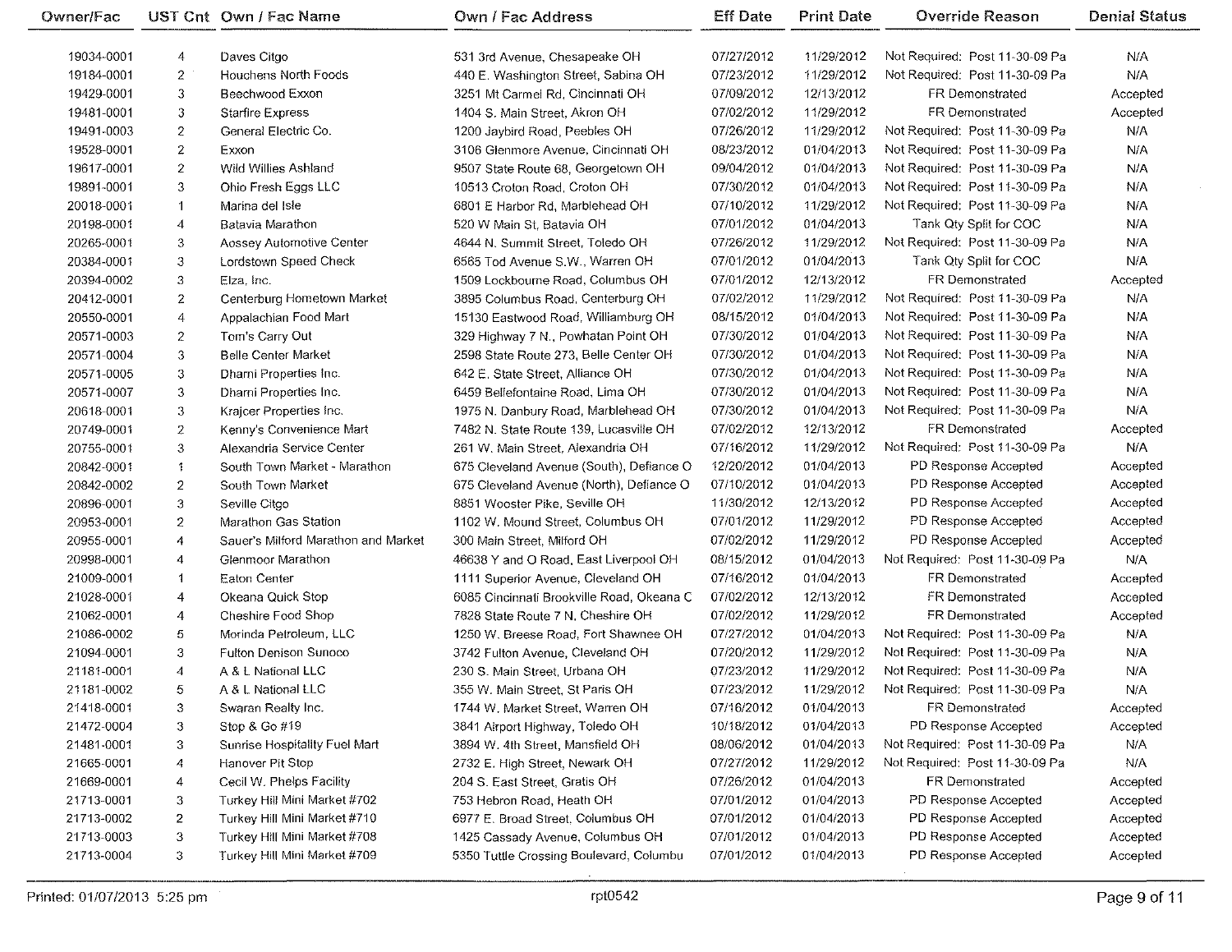| Owner/Fac  |                  | UST Cnt Own / Fac Name              | <b>Own / Fac Address</b>                  | <b>Eff Date</b> | <b>Print Date</b> | <b>Override Reason</b>         | <b>Denial Status</b> |
|------------|------------------|-------------------------------------|-------------------------------------------|-----------------|-------------------|--------------------------------|----------------------|
| 19034-0001 | 4                | Daves Citgo                         | 531 3rd Avenue, Chesapeake OH             | 07/27/2012      | 11/29/2012        | Not Required: Post 11-30-09 Pa | N/A                  |
| 19184-0001 | $\overline{c}$   | Houchens North Foods                | 440 E. Washington Street, Sabina OH       | 07/23/2012      | 11/29/2012        | Not Required: Post 11-30-09 Pa | N/A                  |
| 19429-0001 | 3                | Beechwood Exxon                     | 3251 Mt Carmel Rd, Cincinnati OH          | 07/09/2012      | 12/13/2012        | FR Demonstrated                | Accepted             |
| 19481-0001 | 3                | <b>Starfire Express</b>             | 1404 S. Main Street, Akron OH             | 07/02/2012      | 11/29/2012        | FR Demonstrated                | Accepted             |
| 19491-0003 | $\overline{c}$   | General Electric Co.                | 1200 Jaybird Road, Peebles OH             | 07/26/2012      | 11/29/2012        | Not Required: Post 11-30-09 Pa | N/A                  |
| 19528-0001 | $\boldsymbol{z}$ | Exxon                               | 3106 Glenmore Avenue, Cincinnati OH       | 08/23/2012      | 01/04/2013        | Not Required: Post 11-30-09 Pa | N/A                  |
| 19617-0001 | $\overline{2}$   | Wild Willies Ashland                | 9507 State Route 68, Georgetown OH        | 09/04/2012      | 01/04/2013        | Not Required: Post 11-30-09 Pa | N/A                  |
| 19891-0001 | 3                | Ohio Fresh Eggs LLC                 | 10513 Croton Road, Croton OH              | 07/30/2012      | 01/04/2013        | Not Required: Post 11-30-09 Pa | N/A                  |
| 20018-0001 | $\mathbf{1}$     | Marina del Isle                     | 6801 E Harbor Rd, Marblehead OH           | 07/10/2012      | 11/29/2012        | Not Required: Post 11-30-09 Pa | N/A                  |
| 20198-0001 | $\overline{4}$   | Batavia Marathon                    | 520 W Main St. Batavia OH                 | 07/01/2012      | 01/04/2013        | Tank Qty Split for COC         | N/A                  |
| 20265-0001 | 3                | Aossey Automotive Center            | 4644 N. Summit Street, Toledo OH          | 07/26/2012      | 11/29/2012        | Not Required: Post 11-30-09 Pa | N/A                  |
| 20384-0001 | 3                | Lordstown Speed Check               | 6565 Tod Avenue S.W., Warren OH           | 07/01/2012      | 01/04/2013        | Tank Qty Split for COC         | N/A                  |
| 20394-0002 | 3                | Elza, Inc.                          | 1509 Lockbourne Road, Columbus OH         | 07/01/2012      | 12/13/2012        | FR Demonstrated                | Accepted             |
| 20412-0001 | $\overline{2}$   | Centerburg Hometown Market          | 3895 Columbus Road, Centerburg OH         | 07/02/2012      | 11/29/2012        | Not Required: Post 11-30-09 Pa | N/A                  |
| 20550-0001 | 4                | Appalachian Food Mart               | 15130 Eastwood Road, Williamburg OH       | 08/15/2012      | 01/04/2013        | Not Required: Post 11-30-09 Pa | N/A                  |
| 20571-0003 | $\mathbf{2}$     | Tom's Carry Out                     | 329 Highway 7 N., Powhatan Point OH       | 07/30/2012      | 01/04/2013        | Not Required: Post 11-30-09 Pa | N/A                  |
| 20571-0004 | 3                | <b>Belle Center Market</b>          | 2598 State Route 273, Belle Center OH     | 07/30/2012      | 01/04/2013        | Not Required: Post 11-30-09 Pa | N/A                  |
| 20571-0005 | 3                | Dharni Properties Inc.              | 642 E. State Street, Alliance OH          | 07/30/2012      | 01/04/2013        | Not Required: Post 11-30-09 Pa | N/A                  |
| 20571-0007 | 3                | Dhami Properties Inc.               | 6459 Bellefontaine Road, Lima OH          | 07/30/2012      | 01/04/2013        | Not Required: Post 11-30-09 Pa | N/A                  |
| 20618-0001 | 3                | Krajcer Properties Inc.             | 1975 N. Danbury Road, Marblehead OH       | 07/30/2012      | 01/04/2013        | Not Required: Post 11-30-09 Pa | N/A                  |
| 20749-0001 | 2                | Kenny's Convenience Mart            | 7482 N. State Route 139, Lucasville OH    | 07/02/2012      | 12/13/2012        | FR Demonstrated                | Accepted             |
| 20755-0001 | 3                | Alexandria Service Center           | 261 W. Main Street, Alexandria OH         | 07/16/2012      | 11/29/2012        | Not Required: Post 11-30-09 Pa | N/A                  |
| 20842-0001 | $\ddagger$       | South Town Market - Marathon        | 675 Cleveland Avenue (South), Defiance O  | 12/20/2012      | 01/04/2013        | PD Response Accepted           | Accepted             |
| 20842-0002 | $\overline{2}$   | South Town Market                   | 675 Cleveland Avenue (North), Defiance O  | 07/10/2012      | 01/04/2013        | PD Response Accepted           | Accepted             |
| 20896-0001 | 3                | Seville Citgo                       | 8851 Wooster Pike, Seville OH             | 11/30/2012      | 12/13/2012        | PD Response Accepted           | Accepted             |
| 20953-0001 | $\overline{2}$   | Marathon Gas Station                | 1102 W. Mound Street, Columbus OH         | 07/01/2012      | 11/29/2012        | PD Response Accepted           | Accepted             |
| 20955-0001 | 4                | Sauer's Milford Marathon and Market | 300 Main Street, Milford OH               | 07/02/2012      | 11/29/2012        | PD Response Accepted           | Accepted             |
| 20998-0001 | 4                | Glenmoor Marathon                   | 46638 Y and O Road, East Liverpool OH     | 08/15/2012      | 01/04/2013        | Not Required: Post 11-30-09 Pa | N/A                  |
| 21009-0001 | $\mathbf{1}$     | Eaton Center                        | 1111 Superior Avenue, Cleveland OH        | 07/16/2012      | 01/04/2013        | FR Demonstrated                | Accepted             |
| 21028-0001 | 4                | Okeana Quick Stop                   | 6085 Cincinnati Brookville Road, Okeana C | 07/02/2012      | 12/13/2012        | FR Demonstrated                | Accepted             |
| 21062-0001 | 4                | Cheshire Food Shop                  | 7828 State Route 7 N. Cheshire OH         | 07/02/2012      | 11/29/2012        | FR Demonstrated                | Accepted             |
| 21086-0002 | 5                | Morinda Petroleum, LLC              | 1250 W. Breese Road, Fort Shawnee OH      | 07/27/2012      | 01/04/2013        | Not Required: Post 11-30-09 Pa | N/A                  |
| 21094-0001 | 3                | Fulton Denison Sunoco               | 3742 Fulton Avenue, Cleveland OH          | 07/20/2012      | 11/29/2012        | Not Required: Post 11-30-09 Pa | N/A                  |
| 21181-0001 | 4                | A & L National LLC                  | 230 S. Main Street, Urbana OH             | 07/23/2012      | 11/29/2012        | Not Required: Post 11-30-09 Pa | N/A                  |
| 21181-0002 | 5                | A & L National LLC                  | 355 W. Main Street, St Paris OH           | 07/23/2012      | 11/29/2012        | Not Required: Post 11-30-09 Pa | N/A                  |
| 21418-0001 | 3                | Swaran Realty Inc.                  | 1744 W. Market Street, Warren OH          | 07/16/2012      | 01/04/2013        | FR Demonstrated                | Accepted             |
| 21472-0004 | 3                | Stop & Go #19                       | 3841 Airport Highway, Toledo OH           | 10/18/2012      | 01/04/2013        | PD Response Accepted           | Accepted             |
| 21481-0001 | 3                | Sunrise Hospitality Fuel Mart       | 3894 W. 4th Street, Mansfield OH          | 08/06/2012      | 01/04/2013        | Not Required: Post 11-30-09 Pa | N/A                  |
| 21665-0001 | 4                | Hanover Pit Stop                    | 2732 E. High Street, Newark OH            | 07/27/2012      | 11/29/2012        | Not Required: Post 11-30-09 Pa | N/A                  |
| 21669-0001 | 4                | Cecil W. Phelps Facility            | 204 S. East Street, Gratis OH             | 07/26/2012      | 01/04/2013        | FR Demonstrated                | Accepted             |
| 21713-0001 | 3                | Turkey Hill Mini Market #702        | 753 Hebron Road, Heath OH                 | 07/01/2012      | 01/04/2013        | PD Response Accepted           | Accepted             |
| 21713-0002 | 2                | Turkey Hill Mini Market #710        | 6977 E. Broad Street, Columbus OH         | 07/01/2012      | 01/04/2013        | PD Response Accepted           | Accepted             |
| 21713-0003 | 3                | Turkey Hill Mini Market #708        | 1425 Cassady Avenue, Columbus OH          | 07/01/2012      | 01/04/2013        | PD Response Accepted           | Accepted             |
| 21713-0004 | 3 <sup>1</sup>   | Turkey Hill Mini Market #709        | 5350 Tuttle Crossing Boulevard, Columbu   | 07/01/2012      | 01/04/2013        | PD Response Accepted           | Accepted             |
|            |                  |                                     |                                           |                 |                   |                                |                      |

 $\ddot{\phantom{a}}$ 

 $\sim$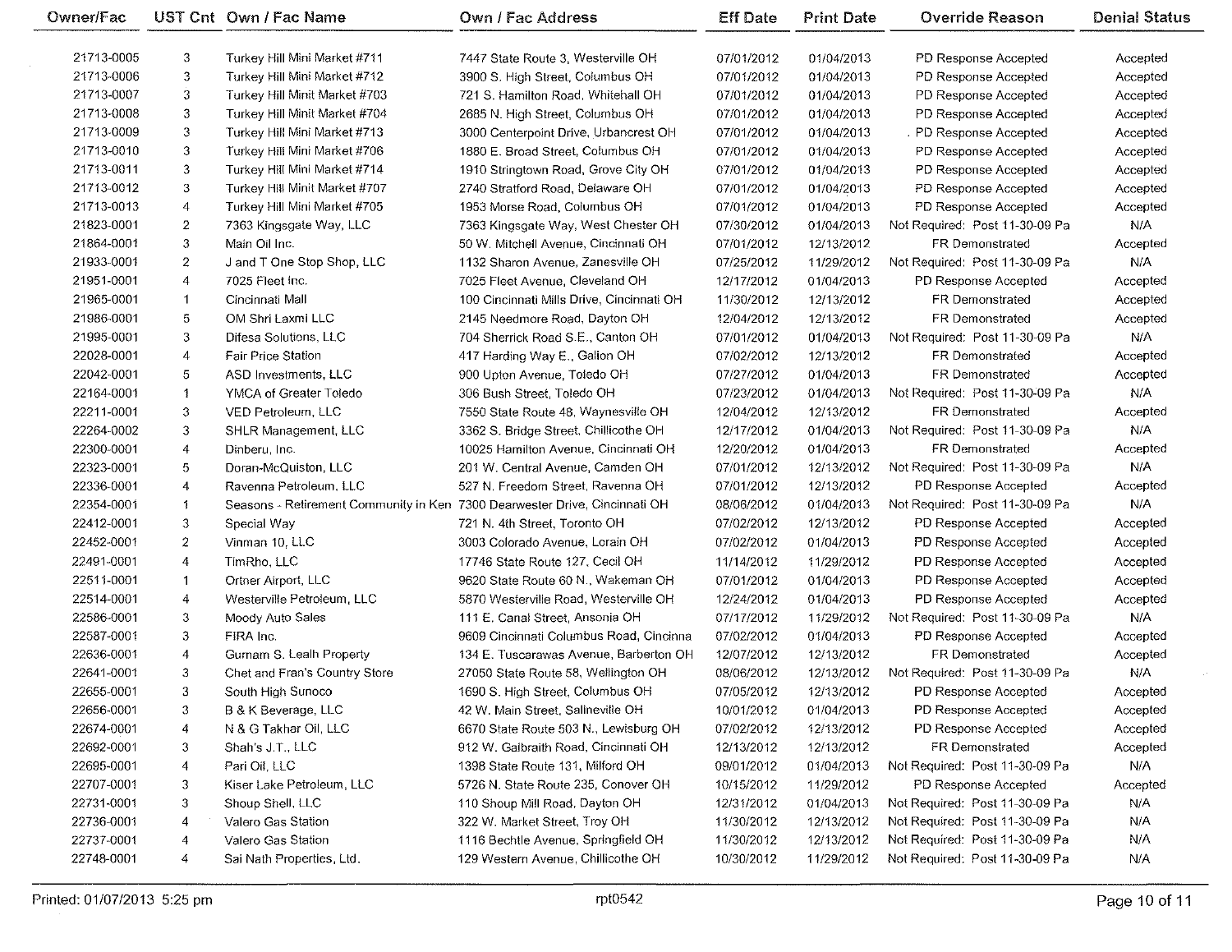| Owner/Fac  |                  | UST Cnt Own / Fac Name                                                     | Own / Fac Address                         | <b>Eff Date</b> | <b>Print Date</b> | <b>Override Reason</b>         | <b>Denial Status</b> |
|------------|------------------|----------------------------------------------------------------------------|-------------------------------------------|-----------------|-------------------|--------------------------------|----------------------|
| 21713-0005 | 3                | Turkey Hill Mini Market #711                                               | 7447 State Route 3, Westerville OH        | 07/01/2012      | 01/04/2013        | PD Response Accepted           | Accepted             |
| 21713-0006 | 3                | Turkey Hill Mini Market #712                                               | 3900 S. High Street, Columbus OH          | 07/01/2012      | 01/04/2013        | PD Response Accepted           | Accepted             |
| 21713-0007 | 3                | Turkey Hill Minit Market #703                                              | 721 S. Hamilton Road, Whitehall OH        | 07/01/2012      | 01/04/2013        | PD Response Accepted           | Accepted             |
| 21713-0008 | 3                | Turkey Hill Minit Market #704                                              | 2685 N. High Street, Columbus OH          | 07/01/2012      | 01/04/2013        | PD Response Accepted           | Accepted             |
| 21713-0009 | 3                | Turkey Hill Mini Market #713                                               | 3000 Centerpoint Drive, Urbancrest OH     | 07/01/2012      | 01/04/2013        | . PD Response Accepted         | Accepted             |
| 21713-0010 | 3                | Turkey Hill Mini Market #706                                               | 1880 E. Broad Street, Columbus OH         | 07/01/2012      | 01/04/2013        | PD Response Accepted           | Accepted             |
| 21713-0011 | 3                | Turkey Hill Mini Market #714                                               | 1910 Stringtown Road, Grove City OH       | 07/01/2012      | 01/04/2013        | PD Response Accepted           | Accepted             |
| 21713-0012 | 3                | Turkey Hill Minit Market #707                                              | 2740 Stratford Road, Delaware OH          | 07/01/2012      | 01/04/2013        | PD Response Accepted           | Accepted             |
| 21713-0013 | 4                | Turkey Hill Mini Market #705                                               | 1953 Morse Road, Columbus OH              | 07/01/2012      | 01/04/2013        | PD Response Accepted           | Accepted             |
|            |                  | 7363 Kingsgate Way, LLC                                                    |                                           |                 |                   |                                | N/A                  |
| 21823-0001 | 2                |                                                                            | 7363 Kingsgate Way, West Chester OH       | 07/30/2012      | 01/04/2013        | Not Required: Post 11-30-09 Pa |                      |
| 21864-0001 | 3                | Main Oil Inc.                                                              | 50 W. Mitchell Avenue, Cincinnati OH      | 07/01/2012      | 12/13/2012        | <b>FR Demonstrated</b>         | Accepted             |
| 21933-0001 | 2                | J and T One Stop Shop, LLC                                                 | 1132 Sharon Avenue, Zanesville OH         | 07/25/2012      | 11/29/2012        | Not Required: Post 11-30-09 Pa | N/A                  |
| 21951-0001 | 4                | 7025 Fleet Inc.                                                            | 7025 Fleet Avenue, Cleveland OH           | 12/17/2012      | 01/04/2013        | PD Response Accepted           | Accepted             |
| 21965-0001 | $\mathbf{1}$     | Cincinnati Mall                                                            | 100 Cincinnati Mills Drive, Cincinnati OH | 11/30/2012      | 12/13/2012        | FR Demonstrated                | Accepted             |
| 21986-0001 | 5                | OM Shri Laxmi LLC                                                          | 2145 Needmore Road, Dayton OH             | 12/04/2012      | 12/13/2012        | FR Demonstrated                | Accepted             |
| 21995-0001 | 3                | Difesa Solutions, LLC                                                      | 704 Sherrick Road S.E., Canton OH         | 07/01/2012      | 01/04/2013        | Not Required: Post 11-30-09 Pa | N/A                  |
| 22028-0001 | 4                | <b>Fair Price Station</b>                                                  | 417 Harding Way E., Galion OH             | 07/02/2012      | 12/13/2012        | FR Demonstrated                | Accepted             |
| 22042-0001 | 5                | ASD Investments, LLC                                                       | 900 Upton Avenue, Toledo OH               | 07/27/2012      | 01/04/2013        | FR Demonstrated                | Accepted             |
| 22164-0001 | 1                | YMCA of Greater Toledo                                                     | 306 Bush Street, Toledo OH                | 07/23/2012      | 01/04/2013        | Not Required: Post 11-30-09 Pa | N/A                  |
| 22211-0001 | 3                | VED Petroleum, LLC                                                         | 7550 State Route 48, Waynesville OH       | 12/04/2012      | 12/13/2012        | FR Demonstrated                | Accepted             |
| 22264-0002 | 3                | SHLR Management, LLC                                                       | 3362 S. Bridge Street, Chillicothe OH     | 12/17/2012      | 01/04/2013        | Not Required: Post 11-30-09 Pa | N/A                  |
| 22300-0001 | 4                | Dinberu, Inc.                                                              | 10025 Hamilton Avenue, Cincinnati OH      | 12/20/2012      | 01/04/2013        | <b>FR Demonstrated</b>         | Accepted             |
| 22323-0001 | 5                | Doran-McQuiston, LLC                                                       | 201 W. Central Avenue, Camden OH          | 07/01/2012      | 12/13/2012        | Not Required: Post 11-30-09 Pa | N/A                  |
| 22336-0001 | 4                | Ravenna Petroleum, LLC                                                     | 527 N. Freedom Street, Ravenna OH         | 07/01/2012      | 12/13/2012        | PD Response Accepted           | Accepted             |
| 22354-0001 | 1                | Seasons - Retirement Community in Ken 7300 Dearwester Drive, Cincinnati OH |                                           | 08/06/2012      | 01/04/2013        | Not Required: Post 11-30-09 Pa | N/A                  |
| 22412-0001 | 3                | Special Way                                                                | 721 N. 4th Street, Toronto OH             | 07/02/2012      | 12/13/2012        | PD Response Accepted           | Accepted             |
| 22452-0001 | $\boldsymbol{2}$ | Vinman 10, LLC                                                             | 3003 Colorado Avenue, Lorain OH           | 07/02/2012      | 01/04/2013        | PD Response Accepted           | Accepted             |
| 22491-0001 | 4                | TimRho, LLC                                                                | 17746 State Route 127, Cecil OH           | 11/14/2012      | 11/29/2012        | PD Response Accepted           | Accepted             |
| 22511-0001 | 1                | Ortner Airport, LLC                                                        | 9620 State Route 60 N., Wakeman OH        | 07/01/2012      | 01/04/2013        | PD Response Accepted           | Accepted             |
| 22514-0001 | 4                | Westerville Petroleum, LLC                                                 | 5870 Westerville Road, Westerville OH     | 12/24/2012      | 01/04/2013        | PD Response Accepted           | Accepted             |
| 22586-0001 | 3                | Moody Auto Sales                                                           | 111 E. Canal Street, Ansonia OH           | 07/17/2012      | 11/29/2012        | Not Required: Post 11-30-09 Pa | N/A                  |
| 22587-0001 | 3                | FIRA Inc.                                                                  | 9609 Cincinnati Columbus Road, Cincinna   | 07/02/2012      | 01/04/2013        | PD Response Accepted           | Accepted             |
| 22636-0001 | 4                | Gurnam S. Lealh Property                                                   | 134 E. Tuscarawas Avenue, Barberton OH    | 12/07/2012      | 12/13/2012        | FR Demonstrated                | Accepted             |
| 22641-0001 | 3                | Chet and Fran's Country Store                                              | 27050 State Route 58, Wellington OH       | 08/06/2012      | 12/13/2012        | Not Required: Post 11-30-09 Pa | N/A                  |
| 22655-0001 | 3                | South High Sunoco                                                          | 1690 S. High Street, Columbus OH          | 07/05/2012      | 12/13/2012        | PD Response Accepted           | Accepted             |
| 22656-0001 | 3                | B & K Beverage, LLC                                                        | 42 W. Main Street, Salineville OH         | 10/01/2012      | 01/04/2013        | PD Response Accepted           | Accepted             |
| 22674-0001 | 4                | N & G Takhar Oil, LLC                                                      | 6670 State Route 503 N., Lewisburg OH     | 07/02/2012      | 12/13/2012        | PD Response Accepted           | Accepted             |
| 22692-0001 | 3                | Shah's J.T., LLC                                                           | 912 W. Galbraith Road, Cincinnati OH      | 12/13/2012      | 12/13/2012        | FR Demonstrated                | Accepted             |
| 22695-0001 | 4                | Pari Oil, LLC                                                              | 1398 State Route 131, Milford OH          | 09/01/2012      | 01/04/2013        | Not Required: Post 11-30-09 Pa | N/A                  |
| 22707-0001 | 3                | Kiser Lake Petroleum, LLC                                                  | 5726 N. State Route 235, Conover OH       | 10/15/2012      | 11/29/2012        | PD Response Accepted           | Accepted             |
| 22731-0001 | 3                | Shoup Shell, LLC                                                           | 110 Shoup Mill Road, Dayton OH            | 12/31/2012      | 01/04/2013        | Not Required: Post 11-30-09 Pa | N/A                  |
| 22736-0001 | 4                | Valero Gas Station                                                         | 322 W. Market Street, Troy OH             | 11/30/2012      | 12/13/2012        | Not Required: Post 11-30-09 Pa | N/A                  |
| 22737-0001 | 4                | Valero Gas Station                                                         | 1116 Bechtle Avenue, Springfield OH       | 11/30/2012      | 12/13/2012        | Not Required: Post 11-30-09 Pa | N/A                  |
| 22748-0001 | 4                | Sai Nath Properties, Ltd.                                                  | 129 Western Avenue, Chillicothe OH        | 10/30/2012      | 11/29/2012        | Not Required: Post 11-30-09 Pa | N/A                  |
|            |                  |                                                                            |                                           |                 |                   |                                |                      |

 $\overline{a}$